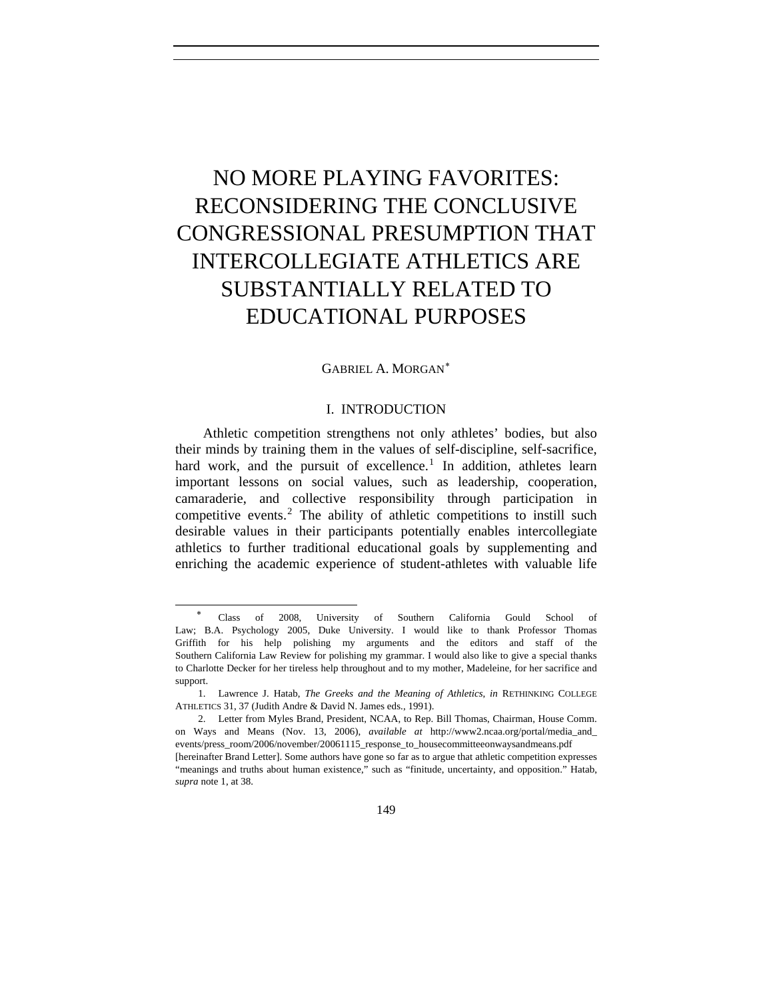# NO MORE PLAYING FAVORITES: RECONSIDERING THE CONCLUSIVE CONGRESSIONAL PRESUMPTION THAT INTERCOLLEGIATE ATHLETICS ARE SUBSTANTIALLY RELATED TO EDUCATIONAL PURPOSES

## GABRIEL A. MORGAN[∗](#page-0-0)

# I. INTRODUCTION

Athletic competition strengthens not only athletes' bodies, but also their minds by training them in the values of self-discipline, self-sacrifice, hard work, and the pursuit of excellence.<sup>[1](#page-0-1)</sup> In addition, athletes learn important lessons on social values, such as leadership, cooperation, camaraderie, and collective responsibility through participation in competitive events.<sup>[2](#page-0-2)</sup> The ability of athletic competitions to instill such desirable values in their participants potentially enables intercollegiate athletics to further traditional educational goals by supplementing and enriching the academic experience of student-athletes with valuable life

l

 $\overline{a}$ 

<span id="page-0-0"></span>∗ Class of 2008, University of Southern California Gould School of Law; B.A. Psychology 2005, Duke University. I would like to thank Professor Thomas Griffith for his help polishing my arguments and the editors and staff of the Southern California Law Review for polishing my grammar. I would also like to give a special thanks to Charlotte Decker for her tireless help throughout and to my mother, Madeleine, for her sacrifice and support.

<span id="page-0-1"></span><sup>1.</sup> Lawrence J. Hatab, *The Greeks and the Meaning of Athletics*, *in* RETHINKING COLLEGE ATHLETICS 31, 37 (Judith Andre & David N. James eds., 1991).

<span id="page-0-2"></span><sup>2.</sup> Letter from Myles Brand, President, NCAA, to Rep. Bill Thomas, Chairman, House Comm. on Ways and Means (Nov. 13, 2006), *available at* http://www2.ncaa.org/portal/media\_and\_ events/press\_room/2006/november/20061115\_response\_to\_housecommitteeonwaysandmeans.pdf [hereinafter Brand Letter]. Some authors have gone so far as to argue that athletic competition expresses

<sup>&</sup>quot;meanings and truths about human existence," such as "finitude, uncertainty, and opposition." Hatab, *supra* note 1, at 38.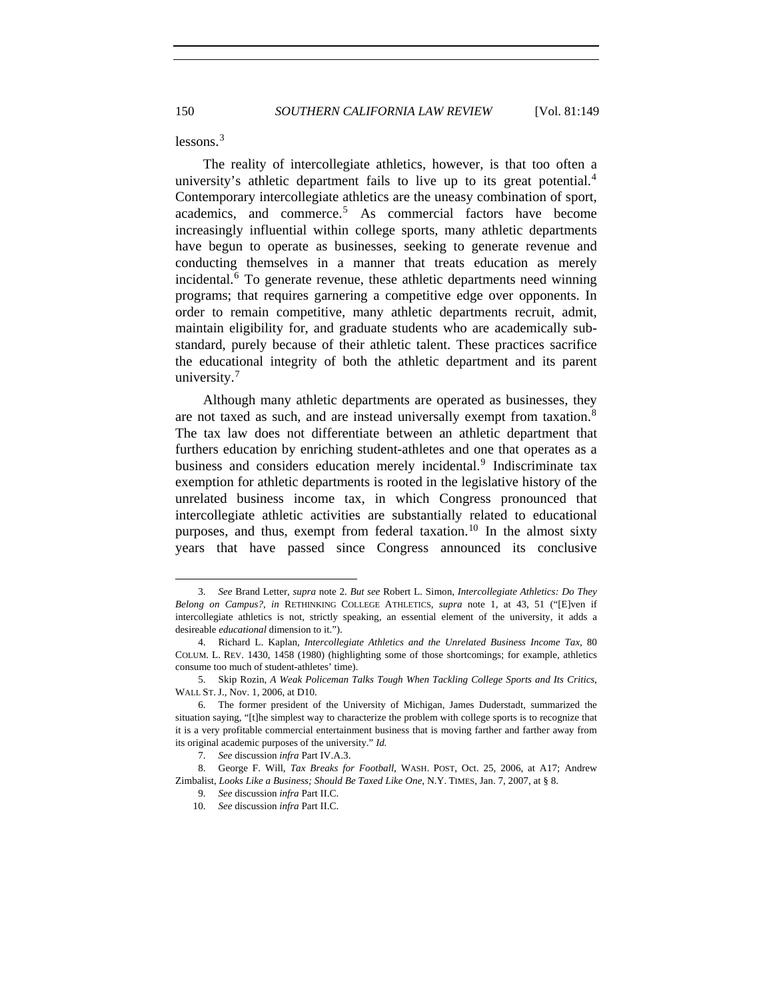lessons.[3](#page-1-0)

The reality of intercollegiate athletics, however, is that too often a university's athletic department fails to live up to its great potential.<sup>[4](#page-1-1)</sup> Contemporary intercollegiate athletics are the uneasy combination of sport, academics, and commerce.[5](#page-1-2) As commercial factors have become increasingly influential within college sports, many athletic departments have begun to operate as businesses, seeking to generate revenue and conducting themselves in a manner that treats education as merely incidental. $6$  To generate revenue, these athletic departments need winning programs; that requires garnering a competitive edge over opponents. In order to remain competitive, many athletic departments recruit, admit, maintain eligibility for, and graduate students who are academically substandard, purely because of their athletic talent. These practices sacrifice the educational integrity of both the athletic department and its parent university.<sup>[7](#page-1-4)</sup>

Although many athletic departments are operated as businesses, they are not taxed as such, and are instead universally exempt from taxation.<sup>[8](#page-1-5)</sup> The tax law does not differentiate between an athletic department that furthers education by enriching student-athletes and one that operates as a business and considers education merely incidental.<sup>[9](#page-1-6)</sup> Indiscriminate tax exemption for athletic departments is rooted in the legislative history of the unrelated business income tax, in which Congress pronounced that intercollegiate athletic activities are substantially related to educational purposes, and thus, exempt from federal taxation.<sup>[10](#page-1-7)</sup> In the almost sixty years that have passed since Congress announced its conclusive

<span id="page-1-0"></span><sup>3.</sup> *See* Brand Letter, *supra* note 2. *But see* Robert L. Simon, *Intercollegiate Athletics: Do They Belong on Campus?*, *in* RETHINKING COLLEGE ATHLETICS, *supra* note 1, at 43, 51 ("[E]ven if intercollegiate athletics is not, strictly speaking, an essential element of the university, it adds a desireable *educational* dimension to it.").

<span id="page-1-1"></span><sup>4.</sup> Richard L. Kaplan, *Intercollegiate Athletics and the Unrelated Business Income Tax*, 80 COLUM. L. REV. 1430, 1458 (1980) (highlighting some of those shortcomings; for example, athletics consume too much of student-athletes' time).

<span id="page-1-2"></span><sup>5.</sup> Skip Rozin, *A Weak Policeman Talks Tough When Tackling College Sports and Its Critics*, WALL ST. J., Nov. 1, 2006, at D10.

<span id="page-1-3"></span><sup>6.</sup> The former president of the University of Michigan, James Duderstadt, summarized the situation saying, "[t]he simplest way to characterize the problem with college sports is to recognize that it is a very profitable commercial entertainment business that is moving farther and farther away from its original academic purposes of the university." *Id.*

<sup>7.</sup> *See* discussion *infra* Part IV.A.3.

<span id="page-1-7"></span><span id="page-1-6"></span><span id="page-1-5"></span><span id="page-1-4"></span><sup>8.</sup> George F. Will, *Tax Breaks for Football*, WASH. POST, Oct. 25, 2006, at A17; Andrew Zimbalist, *Looks Like a Business; Should Be Taxed Like One*, N.Y. TIMES, Jan. 7, 2007, at § 8.

<sup>9.</sup> *See* discussion *infra* Part II.C.

<sup>10.</sup> *See* discussion *infra* Part II.C.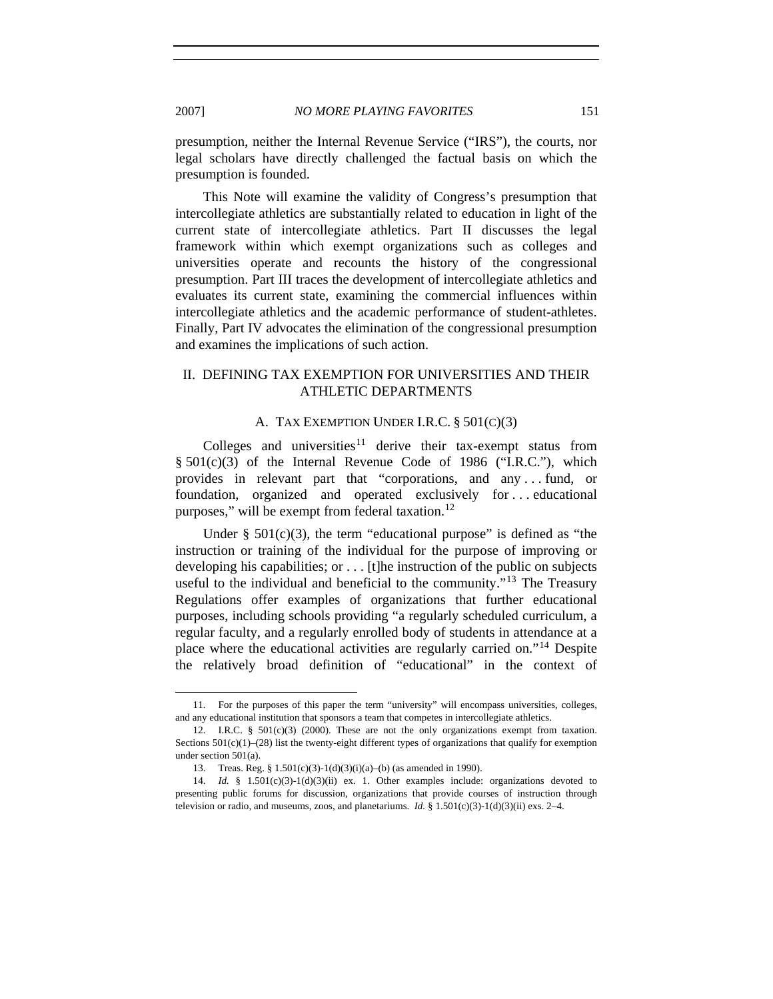presumption, neither the Internal Revenue Service ("IRS"), the courts, nor legal scholars have directly challenged the factual basis on which the presumption is founded.

This Note will examine the validity of Congress's presumption that intercollegiate athletics are substantially related to education in light of the current state of intercollegiate athletics. Part II discusses the legal framework within which exempt organizations such as colleges and universities operate and recounts the history of the congressional presumption. Part III traces the development of intercollegiate athletics and evaluates its current state, examining the commercial influences within intercollegiate athletics and the academic performance of student-athletes. Finally, Part IV advocates the elimination of the congressional presumption and examines the implications of such action.

# II. DEFINING TAX EXEMPTION FOR UNIVERSITIES AND THEIR ATHLETIC DEPARTMENTS

## A. TAX EXEMPTION UNDER I.R.C. § 501(C)(3)

Colleges and universities<sup>[11](#page-2-0)</sup> derive their tax-exempt status from § 501(c)(3) of the Internal Revenue Code of 1986 ("I.R.C."), which provides in relevant part that "corporations, and any . . . fund, or foundation, organized and operated exclusively for . . . educational purposes," will be exempt from federal taxation.<sup>[12](#page-2-1)</sup>

Under  $\S$  501(c)(3), the term "educational purpose" is defined as "the instruction or training of the individual for the purpose of improving or developing his capabilities; or . . . [t]he instruction of the public on subjects useful to the individual and beneficial to the community."[13](#page-2-2) The Treasury Regulations offer examples of organizations that further educational purposes, including schools providing "a regularly scheduled curriculum, a regular faculty, and a regularly enrolled body of students in attendance at a place where the educational activities are regularly carried on."[14](#page-2-3) Despite the relatively broad definition of "educational" in the context of

<span id="page-2-0"></span><sup>11.</sup> For the purposes of this paper the term "university" will encompass universities, colleges, and any educational institution that sponsors a team that competes in intercollegiate athletics.

<span id="page-2-1"></span><sup>12.</sup> I.R.C. § 501(c)(3) (2000). These are not the only organizations exempt from taxation. Sections  $501(c)(1)$ –(28) list the twenty-eight different types of organizations that qualify for exemption under section 501(a).

<sup>13.</sup> Treas. Reg. § 1.501(c)(3)-1(d)(3)(i)(a)–(b) (as amended in 1990).

<span id="page-2-3"></span><span id="page-2-2"></span><sup>14.</sup> *Id.* § 1.501(c)(3)-1(d)(3)(ii) ex. 1. Other examples include: organizations devoted to presenting public forums for discussion, organizations that provide courses of instruction through television or radio, and museums, zoos, and planetariums. *Id.* §  $1.501(c)(3)-1(d)(3)(ii)$  exs. 2–4.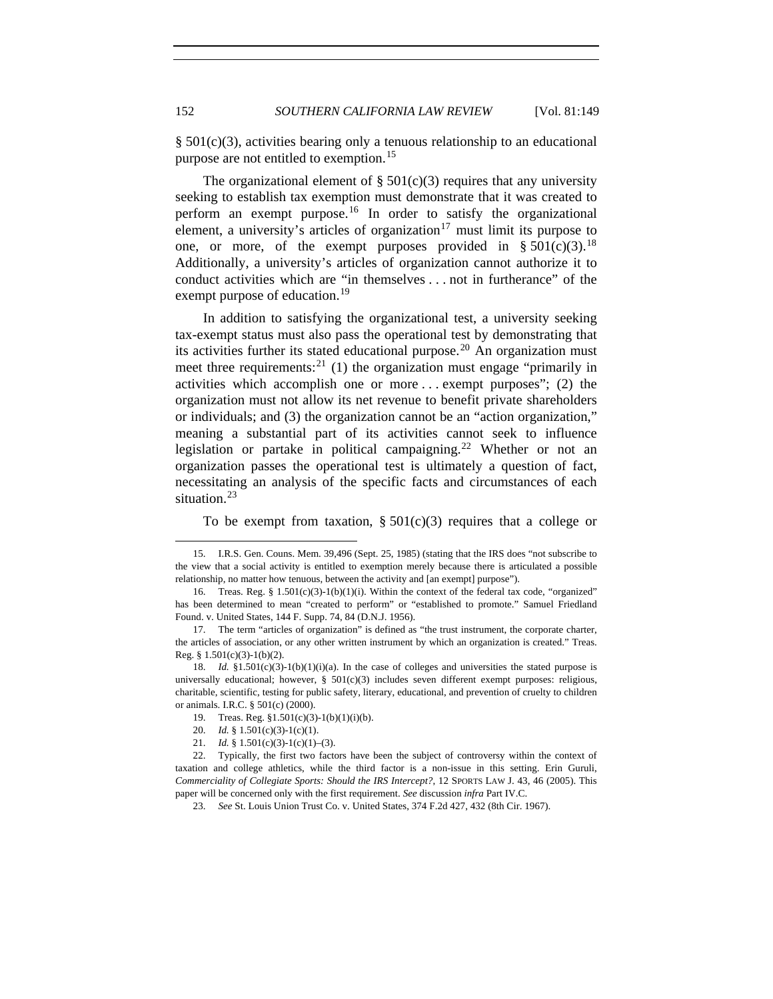§ 501(c)(3), activities bearing only a tenuous relationship to an educational purpose are not entitled to exemption.<sup>[15](#page-3-0)</sup>

The organizational element of  $\S 501(c)(3)$  requires that any university seeking to establish tax exemption must demonstrate that it was created to perform an exempt purpose.<sup>[16](#page-3-1)</sup> In order to satisfy the organizational element, a university's articles of organization<sup>[17](#page-3-2)</sup> must limit its purpose to one, or more, of the exempt purposes provided in  $\S 501(c)(3)$ .<sup>[18](#page-3-3)</sup> Additionally, a university's articles of organization cannot authorize it to conduct activities which are "in themselves . . . not in furtherance" of the exempt purpose of education.<sup>[19](#page-3-4)</sup>

In addition to satisfying the organizational test, a university seeking tax-exempt status must also pass the operational test by demonstrating that its activities further its stated educational purpose.<sup>[20](#page-3-5)</sup> An organization must meet three requirements:<sup>[21](#page-3-6)</sup> (1) the organization must engage "primarily in activities which accomplish one or more . . . exempt purposes"; (2) the organization must not allow its net revenue to benefit private shareholders or individuals; and (3) the organization cannot be an "action organization," meaning a substantial part of its activities cannot seek to influence legislation or partake in political campaigning.<sup>[22](#page-3-7)</sup> Whether or not an organization passes the operational test is ultimately a question of fact, necessitating an analysis of the specific facts and circumstances of each situation.<sup>[23](#page-3-8)</sup>

To be exempt from taxation,  $\S 501(c)(3)$  requires that a college or

20. *Id.* § 1.501(c)(3)-1(c)(1).

<span id="page-3-0"></span><sup>15.</sup> I.R.S. Gen. Couns. Mem. 39,496 (Sept. 25, 1985) (stating that the IRS does "not subscribe to the view that a social activity is entitled to exemption merely because there is articulated a possible relationship, no matter how tenuous, between the activity and [an exempt] purpose").

<span id="page-3-1"></span><sup>16.</sup> Treas. Reg. §  $1.501(c)(3)-1(b)(1)(i)$ . Within the context of the federal tax code, "organized" has been determined to mean "created to perform" or "established to promote." Samuel Friedland Found. v. United States, 144 F. Supp. 74, 84 (D.N.J. 1956).

<span id="page-3-2"></span><sup>17.</sup> The term "articles of organization" is defined as "the trust instrument, the corporate charter, the articles of association, or any other written instrument by which an organization is created." Treas. Reg. §  $1.501(c)(3)-1(b)(2)$ .

<span id="page-3-3"></span><sup>18.</sup> *Id.* §1.501(c)(3)-1(b)(1)(i)(a). In the case of colleges and universities the stated purpose is universally educational; however,  $\S$  501(c)(3) includes seven different exempt purposes: religious, charitable, scientific, testing for public safety, literary, educational, and prevention of cruelty to children or animals. I.R.C. § 501(c) (2000).

<sup>19.</sup> Treas. Reg. §1.501(c)(3)-1(b)(1)(i)(b).

<sup>21.</sup> *Id.* § 1.501(c)(3)-1(c)(1)–(3).

<span id="page-3-8"></span><span id="page-3-7"></span><span id="page-3-6"></span><span id="page-3-5"></span><span id="page-3-4"></span><sup>22.</sup> Typically, the first two factors have been the subject of controversy within the context of taxation and college athletics, while the third factor is a non-issue in this setting. Erin Guruli, *Commerciality of Collegiate Sports: Should the IRS Intercept?*, 12 SPORTS LAW J. 43, 46 (2005). This paper will be concerned only with the first requirement. *See* discussion *infra* Part IV.C.

<sup>23.</sup> *See* St. Louis Union Trust Co. v. United States, 374 F.2d 427, 432 (8th Cir. 1967).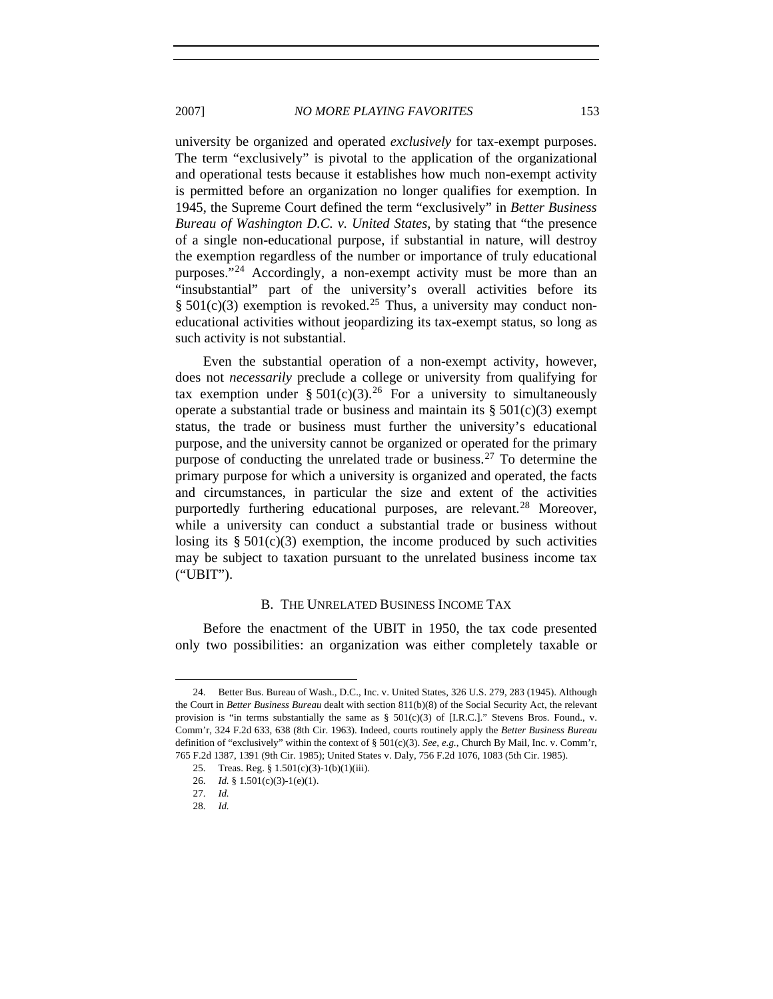university be organized and operated *exclusively* for tax-exempt purposes.

The term "exclusively" is pivotal to the application of the organizational and operational tests because it establishes how much non-exempt activity is permitted before an organization no longer qualifies for exemption. In 1945, the Supreme Court defined the term "exclusively" in *Better Business Bureau of Washington D.C. v. United States*, by stating that "the presence of a single non-educational purpose, if substantial in nature, will destroy the exemption regardless of the number or importance of truly educational purposes."[24](#page-4-0) Accordingly, a non-exempt activity must be more than an "insubstantial" part of the university's overall activities before its §  $501(c)(3)$  exemption is revoked.<sup>[25](#page-4-1)</sup> Thus, a university may conduct noneducational activities without jeopardizing its tax-exempt status, so long as such activity is not substantial.

Even the substantial operation of a non-exempt activity, however, does not *necessarily* preclude a college or university from qualifying for tax exemption under § 501(c)(3).<sup>[26](#page-4-2)</sup> For a university to simultaneously operate a substantial trade or business and maintain its  $\S 501(c)(3)$  exempt status, the trade or business must further the university's educational purpose, and the university cannot be organized or operated for the primary purpose of conducting the unrelated trade or business.<sup>[27](#page-4-3)</sup> To determine the primary purpose for which a university is organized and operated, the facts and circumstances, in particular the size and extent of the activities purportedly furthering educational purposes, are relevant.<sup>[28](#page-4-4)</sup> Moreover, while a university can conduct a substantial trade or business without losing its  $§ 501(c)(3)$  exemption, the income produced by such activities may be subject to taxation pursuant to the unrelated business income tax ("UBIT").

#### B. THE UNRELATED BUSINESS INCOME TAX

Before the enactment of the UBIT in 1950, the tax code presented only two possibilities: an organization was either completely taxable or

<span id="page-4-1"></span><span id="page-4-0"></span><sup>24.</sup> Better Bus. Bureau of Wash., D.C., Inc. v. United States, 326 U.S. 279, 283 (1945). Although the Court in *Better Business Bureau* dealt with section 811(b)(8) of the Social Security Act, the relevant provision is "in terms substantially the same as  $\S$  501(c)(3) of [I.R.C.]." Stevens Bros. Found., v. Comm'r, 324 F.2d 633, 638 (8th Cir. 1963). Indeed, courts routinely apply the *Better Business Bureau* definition of "exclusively" within the context of § 501(c)(3). *See, e.g.*, Church By Mail, Inc. v. Comm'r, 765 F.2d 1387, 1391 (9th Cir. 1985); United States v. Daly, 756 F.2d 1076, 1083 (5th Cir. 1985).

<span id="page-4-2"></span><sup>25.</sup> Treas. Reg. § 1.501(c)(3)-1(b)(1)(iii).

<sup>26.</sup> *Id.* § 1.501(c)(3)-1(e)(1).

<span id="page-4-4"></span><span id="page-4-3"></span><sup>27.</sup> *Id.*

<sup>28.</sup> *Id.*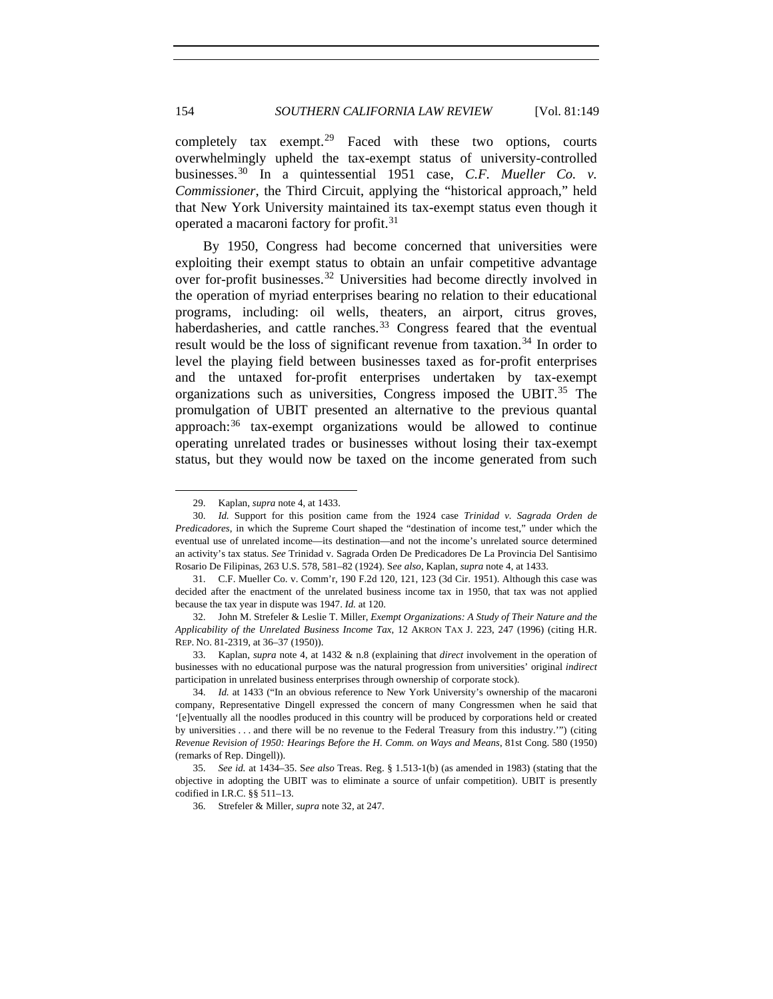completely tax exempt.<sup>[29](#page-5-0)</sup> Faced with these two options, courts overwhelmingly upheld the tax-exempt status of university-controlled businesses.[30](#page-5-1) In a quintessential 1951 case, *C.F. Mueller Co. v. Commissioner*, the Third Circuit, applying the "historical approach," held that New York University maintained its tax-exempt status even though it operated a macaroni factory for profit.[31](#page-5-2)

By 1950, Congress had become concerned that universities were exploiting their exempt status to obtain an unfair competitive advantage over for-profit businesses.<sup>[32](#page-5-3)</sup> Universities had become directly involved in the operation of myriad enterprises bearing no relation to their educational programs, including: oil wells, theaters, an airport, citrus groves, haberdasheries, and cattle ranches. $33$  Congress feared that the eventual result would be the loss of significant revenue from taxation.<sup>[34](#page-5-5)</sup> In order to level the playing field between businesses taxed as for-profit enterprises and the untaxed for-profit enterprises undertaken by tax-exempt organizations such as universities, Congress imposed the UBIT.<sup>[35](#page-5-6)</sup> The promulgation of UBIT presented an alternative to the previous quantal approach:<sup>[36](#page-5-7)</sup> tax-exempt organizations would be allowed to continue operating unrelated trades or businesses without losing their tax-exempt status, but they would now be taxed on the income generated from such

<sup>29.</sup> Kaplan, *supra* note 4, at 1433.

<span id="page-5-1"></span><span id="page-5-0"></span><sup>30.</sup> *Id.* Support for this position came from the 1924 case *Trinidad v. Sagrada Orden de Predicadores*, in which the Supreme Court shaped the "destination of income test," under which the eventual use of unrelated income—its destination—and not the income's unrelated source determined an activity's tax status. *See* Trinidad v. Sagrada Orden De Predicadores De La Provincia Del Santisimo Rosario De Filipinas, 263 U.S. 578, 581–82 (1924). S*ee also*, Kaplan, *supra* note 4, at 1433.

<span id="page-5-2"></span><sup>31.</sup> C.F. Mueller Co. v. Comm'r, 190 F.2d 120, 121, 123 (3d Cir. 1951). Although this case was decided after the enactment of the unrelated business income tax in 1950, that tax was not applied because the tax year in dispute was 1947. *Id.* at 120.

<span id="page-5-3"></span><sup>32.</sup> John M. Strefeler & Leslie T. Miller, *Exempt Organizations: A Study of Their Nature and the Applicability of the Unrelated Business Income Tax*, 12 AKRON TAX J. 223, 247 (1996) (citing H.R. REP. NO. 81-2319, at 36–37 (1950)).

<span id="page-5-4"></span><sup>33.</sup> Kaplan, *supra* note 4, at 1432 & n.8 (explaining that *direct* involvement in the operation of businesses with no educational purpose was the natural progression from universities' original *indirect* participation in unrelated business enterprises through ownership of corporate stock).

<span id="page-5-5"></span><sup>34.</sup> *Id.* at 1433 ("In an obvious reference to New York University's ownership of the macaroni company, Representative Dingell expressed the concern of many Congressmen when he said that '[e]ventually all the noodles produced in this country will be produced by corporations held or created by universities . . . and there will be no revenue to the Federal Treasury from this industry.'") (citing *Revenue Revision of 1950: Hearings Before the H. Comm. on Ways and Means*, 81st Cong. 580 (1950) (remarks of Rep. Dingell)).

<span id="page-5-7"></span><span id="page-5-6"></span><sup>35.</sup> *See id.* at 1434–35. S*ee also* Treas. Reg. § 1.513-1(b) (as amended in 1983) (stating that the objective in adopting the UBIT was to eliminate a source of unfair competition). UBIT is presently codified in I.R.C. §§ 511–13.

<sup>36.</sup> Strefeler & Miller, *supra* note 32, at 247.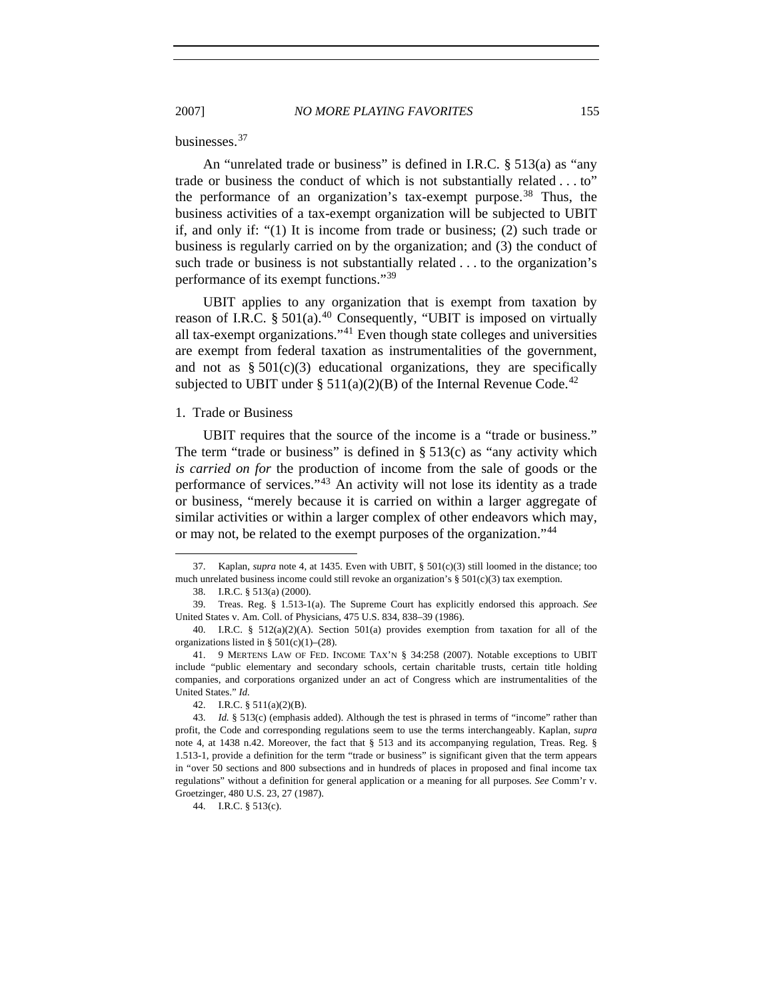#### businesses.[37](#page-6-0)

An "unrelated trade or business" is defined in I.R.C. § 513(a) as "any trade or business the conduct of which is not substantially related . . . to" the performance of an organization's tax-exempt purpose.<sup>[38](#page-6-1)</sup> Thus, the business activities of a tax-exempt organization will be subjected to UBIT if, and only if: "(1) It is income from trade or business; (2) such trade or business is regularly carried on by the organization; and (3) the conduct of such trade or business is not substantially related . . . to the organization's performance of its exempt functions."<sup>[39](#page-6-2)</sup>

UBIT applies to any organization that is exempt from taxation by reason of I.R.C.  $\S 501(a)$ .<sup>[40](#page-6-3)</sup> Consequently, "UBIT is imposed on virtually all tax-exempt organizations."<sup>[41](#page-6-4)</sup> Even though state colleges and universities are exempt from federal taxation as instrumentalities of the government, and not as  $\S 501(c)(3)$  educational organizations, they are specifically subjected to UBIT under § 511(a)(2)(B) of the Internal Revenue Code.<sup>[42](#page-6-5)</sup>

#### 1. Trade or Business

UBIT requires that the source of the income is a "trade or business." The term "trade or business" is defined in  $\S$  513(c) as "any activity which *is carried on for* the production of income from the sale of goods or the performance of services."[43](#page-6-6) An activity will not lose its identity as a trade or business, "merely because it is carried on within a larger aggregate of similar activities or within a larger complex of other endeavors which may, or may not, be related to the exempt purposes of the organization."[44](#page-6-7)

-

<span id="page-6-7"></span>44. I.R.C. § 513(c).

<span id="page-6-0"></span><sup>37.</sup> Kaplan, *supra* note 4, at 1435. Even with UBIT, § 501(c)(3) still loomed in the distance; too much unrelated business income could still revoke an organization's  $\S 501(c)(3)$  tax exemption.

<sup>38.</sup> I.R.C. § 513(a) (2000).

<span id="page-6-2"></span><span id="page-6-1"></span><sup>39.</sup> Treas. Reg. § 1.513-1(a). The Supreme Court has explicitly endorsed this approach. *See*  United States v. Am. Coll. of Physicians, 475 U.S. 834, 838–39 (1986).

<span id="page-6-3"></span><sup>40.</sup> I.R.C. § 512(a)(2)(A). Section 501(a) provides exemption from taxation for all of the organizations listed in § 501(c)(1)–(28).

<span id="page-6-4"></span><sup>41. 9</sup> MERTENS LAW OF FED. INCOME TAX'N § 34:258 (2007). Notable exceptions to UBIT include "public elementary and secondary schools, certain charitable trusts, certain title holding companies, and corporations organized under an act of Congress which are instrumentalities of the United States." *Id.*

<sup>42.</sup> I.R.C. § 511(a)(2)(B).

<span id="page-6-6"></span><span id="page-6-5"></span><sup>43.</sup> *Id.* § 513(c) (emphasis added). Although the test is phrased in terms of "income" rather than profit, the Code and corresponding regulations seem to use the terms interchangeably. Kaplan, *supra*  note 4, at 1438 n.42. Moreover, the fact that § 513 and its accompanying regulation, Treas. Reg. § 1.513-1, provide a definition for the term "trade or business" is significant given that the term appears in "over 50 sections and 800 subsections and in hundreds of places in proposed and final income tax regulations" without a definition for general application or a meaning for all purposes. *See* Comm'r v. Groetzinger, 480 U.S. 23, 27 (1987).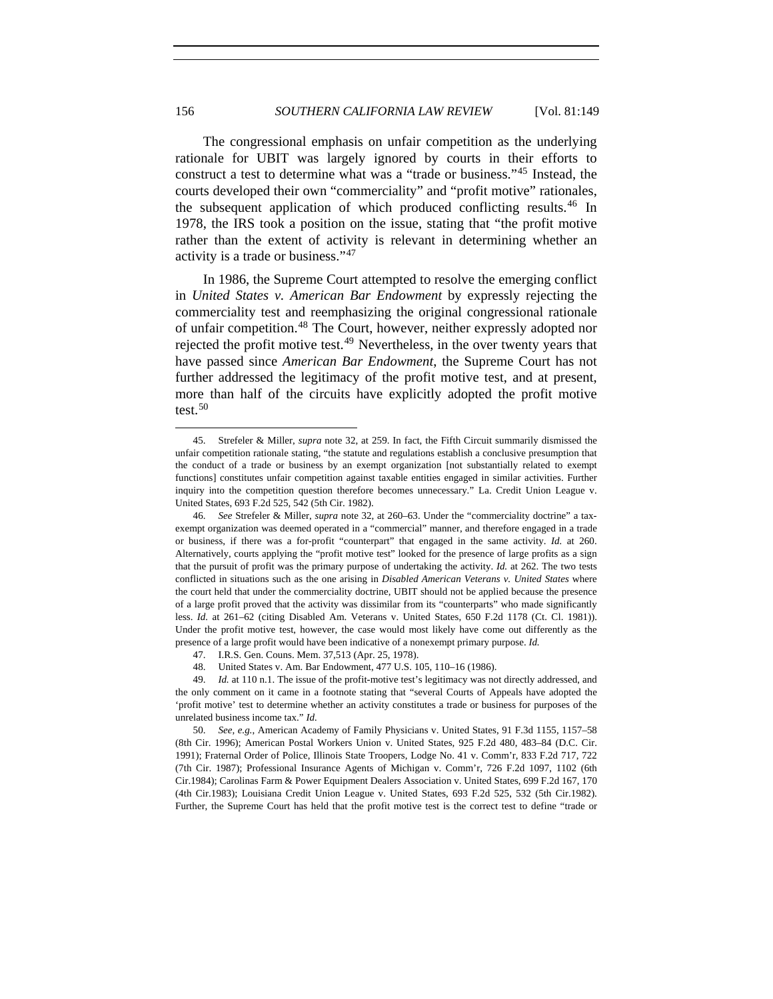The congressional emphasis on unfair competition as the underlying rationale for UBIT was largely ignored by courts in their efforts to construct a test to determine what was a "trade or business."[45](#page-7-0) Instead, the courts developed their own "commerciality" and "profit motive" rationales, the subsequent application of which produced conflicting results.<sup>[46](#page-7-1)</sup> In 1978, the IRS took a position on the issue, stating that "the profit motive rather than the extent of activity is relevant in determining whether an activity is a trade or business."[47](#page-7-2)

In 1986, the Supreme Court attempted to resolve the emerging conflict in *United States v. American Bar Endowment* by expressly rejecting the commerciality test and reemphasizing the original congressional rationale of unfair competition.[48](#page-7-3) The Court, however, neither expressly adopted nor rejected the profit motive test.<sup>[49](#page-7-4)</sup> Nevertheless, in the over twenty years that have passed since *American Bar Endowment*, the Supreme Court has not further addressed the legitimacy of the profit motive test, and at present, more than half of the circuits have explicitly adopted the profit motive test.<sup>[50](#page-7-5)</sup>

<span id="page-7-0"></span><sup>45.</sup> Strefeler & Miller, *supra* note 32, at 259. In fact, the Fifth Circuit summarily dismissed the unfair competition rationale stating, "the statute and regulations establish a conclusive presumption that the conduct of a trade or business by an exempt organization [not substantially related to exempt functions] constitutes unfair competition against taxable entities engaged in similar activities. Further inquiry into the competition question therefore becomes unnecessary." La. Credit Union League v. United States, 693 F.2d 525, 542 (5th Cir. 1982).

<span id="page-7-1"></span><sup>46.</sup> *See* Strefeler & Miller, *supra* note 32, at 260–63. Under the "commerciality doctrine" a taxexempt organization was deemed operated in a "commercial" manner, and therefore engaged in a trade or business, if there was a for-profit "counterpart" that engaged in the same activity. *Id.* at 260. Alternatively, courts applying the "profit motive test" looked for the presence of large profits as a sign that the pursuit of profit was the primary purpose of undertaking the activity. *Id.* at 262. The two tests conflicted in situations such as the one arising in *Disabled American Veterans v. United States* where the court held that under the commerciality doctrine, UBIT should not be applied because the presence of a large profit proved that the activity was dissimilar from its "counterparts" who made significantly less. *Id.* at 261–62 (citing Disabled Am. Veterans v. United States, 650 F.2d 1178 (Ct. Cl. 1981)). Under the profit motive test, however, the case would most likely have come out differently as the presence of a large profit would have been indicative of a nonexempt primary purpose. *Id.*

<sup>47.</sup> I.R.S. Gen. Couns. Mem. 37,513 (Apr. 25, 1978).

<sup>48.</sup> United States v. Am. Bar Endowment, 477 U.S. 105, 110–16 (1986).

<span id="page-7-4"></span><span id="page-7-3"></span><span id="page-7-2"></span><sup>49.</sup> *Id.* at 110 n.1. The issue of the profit-motive test's legitimacy was not directly addressed, and the only comment on it came in a footnote stating that "several Courts of Appeals have adopted the 'profit motive' test to determine whether an activity constitutes a trade or business for purposes of the unrelated business income tax." *Id.*

<span id="page-7-5"></span><sup>50.</sup> *See, e.g.*, American Academy of Family Physicians v. United States, 91 F.3d 1155, 1157–58 (8th Cir. 1996); American Postal Workers Union v. United States, 925 F.2d 480, 483–84 (D.C. Cir. 1991); Fraternal Order of Police, Illinois State Troopers, Lodge No. 41 v. Comm'r, 833 F.2d 717, 722 (7th Cir. 1987); Professional Insurance Agents of Michigan v. Comm'r, 726 F.2d 1097, 1102 (6th Cir.1984); Carolinas Farm & Power Equipment Dealers Association v. United States, 699 F.2d 167, 170 (4th Cir.1983); Louisiana Credit Union League v. United States, 693 F.2d 525, 532 (5th Cir.1982). Further, the Supreme Court has held that the profit motive test is the correct test to define "trade or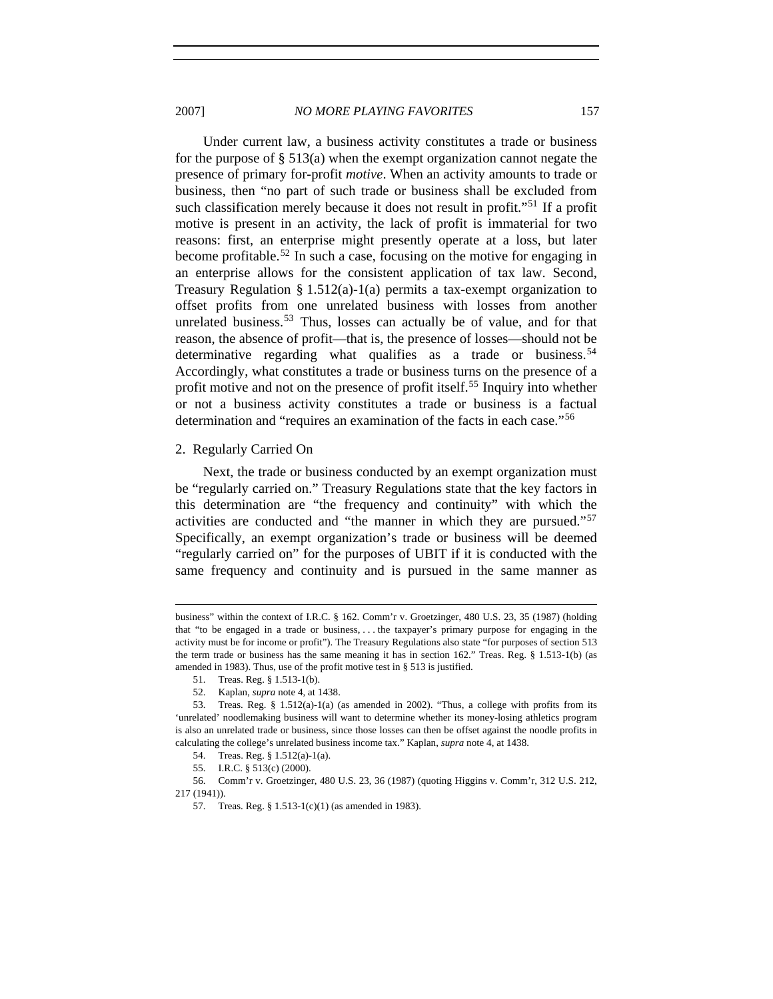2007] *NO MORE PLAYING FAVORITES* 157

Under current law, a business activity constitutes a trade or business for the purpose of  $\S$  513(a) when the exempt organization cannot negate the presence of primary for-profit *motive*. When an activity amounts to trade or business, then "no part of such trade or business shall be excluded from such classification merely because it does not result in profit."<sup>[51](#page-8-0)</sup> If a profit motive is present in an activity, the lack of profit is immaterial for two reasons: first, an enterprise might presently operate at a loss, but later become profitable.<sup>[52](#page-8-1)</sup> In such a case, focusing on the motive for engaging in an enterprise allows for the consistent application of tax law. Second, Treasury Regulation § 1.512(a)-1(a) permits a tax-exempt organization to offset profits from one unrelated business with losses from another unrelated business.<sup>[53](#page-8-2)</sup> Thus, losses can actually be of value, and for that reason, the absence of profit—that is, the presence of losses—should not be determinative regarding what qualifies as a trade or business.<sup>[54](#page-8-3)</sup> Accordingly, what constitutes a trade or business turns on the presence of a profit motive and not on the presence of profit itself.<sup>[55](#page-8-4)</sup> Inquiry into whether or not a business activity constitutes a trade or business is a factual determination and "requires an examination of the facts in each case."[56](#page-8-5)

## 2. Regularly Carried On

l

Next, the trade or business conducted by an exempt organization must be "regularly carried on." Treasury Regulations state that the key factors in this determination are "the frequency and continuity" with which the activities are conducted and "the manner in which they are pursued."[57](#page-8-6) Specifically, an exempt organization's trade or business will be deemed "regularly carried on" for the purposes of UBIT if it is conducted with the same frequency and continuity and is pursued in the same manner as

business" within the context of I.R.C. § 162. Comm'r v. Groetzinger, 480 U.S. 23, 35 (1987) (holding that "to be engaged in a trade or business, . . . the taxpayer's primary purpose for engaging in the activity must be for income or profit"). The Treasury Regulations also state "for purposes of section 513 the term trade or business has the same meaning it has in section 162." Treas. Reg. § 1.513-1(b) (as amended in 1983). Thus, use of the profit motive test in § 513 is justified.

<sup>51.</sup> Treas. Reg. § 1.513-1(b).

<sup>52.</sup> Kaplan, *supra* note 4, at 1438.

<span id="page-8-2"></span><span id="page-8-1"></span><span id="page-8-0"></span><sup>53.</sup> Treas. Reg. § 1.512(a)-1(a) (as amended in 2002). "Thus, a college with profits from its 'unrelated' noodlemaking business will want to determine whether its money-losing athletics program is also an unrelated trade or business, since those losses can then be offset against the noodle profits in calculating the college's unrelated business income tax." Kaplan, *supra* note 4, at 1438.

<sup>54.</sup> Treas. Reg. § 1.512(a)-1(a).

<sup>55.</sup> I.R.C. § 513(c) (2000).

<span id="page-8-6"></span><span id="page-8-5"></span><span id="page-8-4"></span><span id="page-8-3"></span><sup>56.</sup> Comm'r v. Groetzinger, 480 U.S. 23, 36 (1987) (quoting Higgins v. Comm'r, 312 U.S. 212, 217 (1941)).

<sup>57.</sup> Treas. Reg. § 1.513-1(c)(1) (as amended in 1983).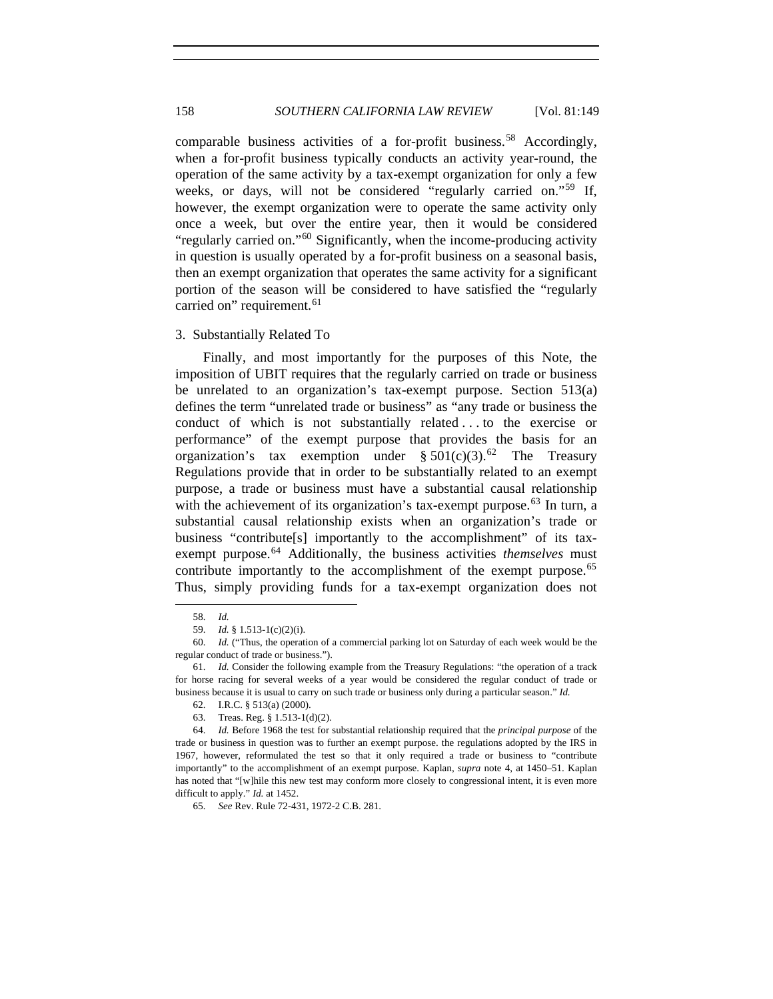comparable business activities of a for-profit business.<sup>[58](#page-9-0)</sup> Accordingly, when a for-profit business typically conducts an activity year-round, the operation of the same activity by a tax-exempt organization for only a few weeks, or days, will not be considered "regularly carried on."<sup>[59](#page-9-1)</sup> If, however, the exempt organization were to operate the same activity only once a week, but over the entire year, then it would be considered "regularly carried on."<sup>[60](#page-9-2)</sup> Significantly, when the income-producing activity in question is usually operated by a for-profit business on a seasonal basis, then an exempt organization that operates the same activity for a significant portion of the season will be considered to have satisfied the "regularly carried on" requirement.<sup>[61](#page-9-3)</sup>

#### 3. Substantially Related To

Finally, and most importantly for the purposes of this Note, the imposition of UBIT requires that the regularly carried on trade or business be unrelated to an organization's tax-exempt purpose. Section 513(a) defines the term "unrelated trade or business" as "any trade or business the conduct of which is not substantially related . . . to the exercise or performance" of the exempt purpose that provides the basis for an organization's tax exemption under  $\S 501(c)(3)$ .<sup>[62](#page-9-4)</sup> The Treasury Regulations provide that in order to be substantially related to an exempt purpose, a trade or business must have a substantial causal relationship with the achievement of its organization's tax-exempt purpose.<sup>[63](#page-9-5)</sup> In turn, a substantial causal relationship exists when an organization's trade or business "contribute[s] importantly to the accomplishment" of its tax-exempt purpose.<sup>[64](#page-9-6)</sup> Additionally, the business activities *themselves* must contribute importantly to the accomplishment of the exempt purpose.<sup>[65](#page-9-7)</sup> Thus, simply providing funds for a tax-exempt organization does not

<span id="page-9-0"></span>1

65. *See* Rev. Rule 72-431, 1972-2 C.B. 281.

<sup>58.</sup> *Id.*

<sup>59.</sup> *Id.* § 1.513-1(c)(2)(i).

<span id="page-9-2"></span><span id="page-9-1"></span><sup>60.</sup> *Id.* ("Thus, the operation of a commercial parking lot on Saturday of each week would be the regular conduct of trade or business.").

<span id="page-9-3"></span><sup>61.</sup> *Id.* Consider the following example from the Treasury Regulations: "the operation of a track for horse racing for several weeks of a year would be considered the regular conduct of trade or business because it is usual to carry on such trade or business only during a particular season." *Id.*

<sup>62.</sup> I.R.C. § 513(a) (2000).

<sup>63.</sup> Treas. Reg. § 1.513-1(d)(2).

<span id="page-9-7"></span><span id="page-9-6"></span><span id="page-9-5"></span><span id="page-9-4"></span><sup>64.</sup> *Id.* Before 1968 the test for substantial relationship required that the *principal purpose* of the trade or business in question was to further an exempt purpose. the regulations adopted by the IRS in 1967, however, reformulated the test so that it only required a trade or business to "contribute importantly" to the accomplishment of an exempt purpose. Kaplan, *supra* note 4, at 1450–51. Kaplan has noted that "[w]hile this new test may conform more closely to congressional intent, it is even more difficult to apply." *Id.* at 1452.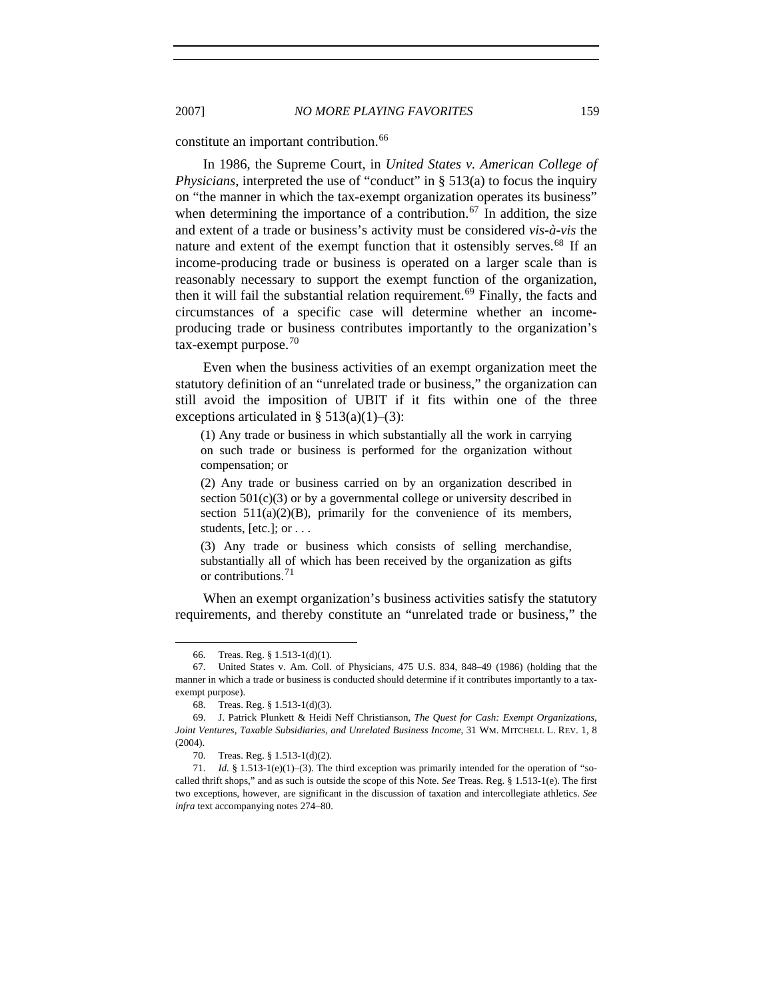constitute an important contribution.<sup>[66](#page-10-0)</sup>

In 1986, the Supreme Court, in *United States v. American College of Physicians*, interpreted the use of "conduct" in § 513(a) to focus the inquiry on "the manner in which the tax-exempt organization operates its business" when determining the importance of a contribution.<sup>[67](#page-10-1)</sup> In addition, the size and extent of a trade or business's activity must be considered *vis-à-vis* the nature and extent of the exempt function that it ostensibly serves.<sup>[68](#page-10-2)</sup> If an income-producing trade or business is operated on a larger scale than is reasonably necessary to support the exempt function of the organization, then it will fail the substantial relation requirement.<sup>[69](#page-10-3)</sup> Finally, the facts and circumstances of a specific case will determine whether an incomeproducing trade or business contributes importantly to the organization's  $tax$ -exempt purpose.<sup>[70](#page-10-4)</sup>

Even when the business activities of an exempt organization meet the statutory definition of an "unrelated trade or business," the organization can still avoid the imposition of UBIT if it fits within one of the three exceptions articulated in  $\S 513(a)(1)–(3)$ :

(1) Any trade or business in which substantially all the work in carrying on such trade or business is performed for the organization without compensation; or

(2) Any trade or business carried on by an organization described in section  $501(c)(3)$  or by a governmental college or university described in section  $511(a)(2)(B)$ , primarily for the convenience of its members, students, [etc.]; or . . .

(3) Any trade or business which consists of selling merchandise, substantially all of which has been received by the organization as gifts or contributions.<sup>[71](#page-10-5)</sup>

When an exempt organization's business activities satisfy the statutory requirements, and thereby constitute an "unrelated trade or business," the

<sup>66.</sup> Treas. Reg. § 1.513-1(d)(1).

<span id="page-10-1"></span><span id="page-10-0"></span><sup>67.</sup> United States v. Am. Coll. of Physicians, 475 U.S. 834, 848–49 (1986) (holding that the manner in which a trade or business is conducted should determine if it contributes importantly to a taxexempt purpose).

<sup>68.</sup> Treas. Reg. § 1.513-1(d)(3).

<span id="page-10-3"></span><span id="page-10-2"></span><sup>69.</sup> J. Patrick Plunkett & Heidi Neff Christianson, *The Quest for Cash: Exempt Organizations, Joint Ventures, Taxable Subsidiaries, and Unrelated Business Income*, 31 WM. MITCHELL L. REV. 1, 8 (2004).

<sup>70.</sup> Treas. Reg. § 1.513-1(d)(2).

<span id="page-10-5"></span><span id="page-10-4"></span><sup>71.</sup> *Id.* § 1.513-1(e)(1)–(3). The third exception was primarily intended for the operation of "socalled thrift shops," and as such is outside the scope of this Note. *See* Treas. Reg. § 1.513-1(e). The first two exceptions, however, are significant in the discussion of taxation and intercollegiate athletics. *See infra* text accompanying notes 274–80.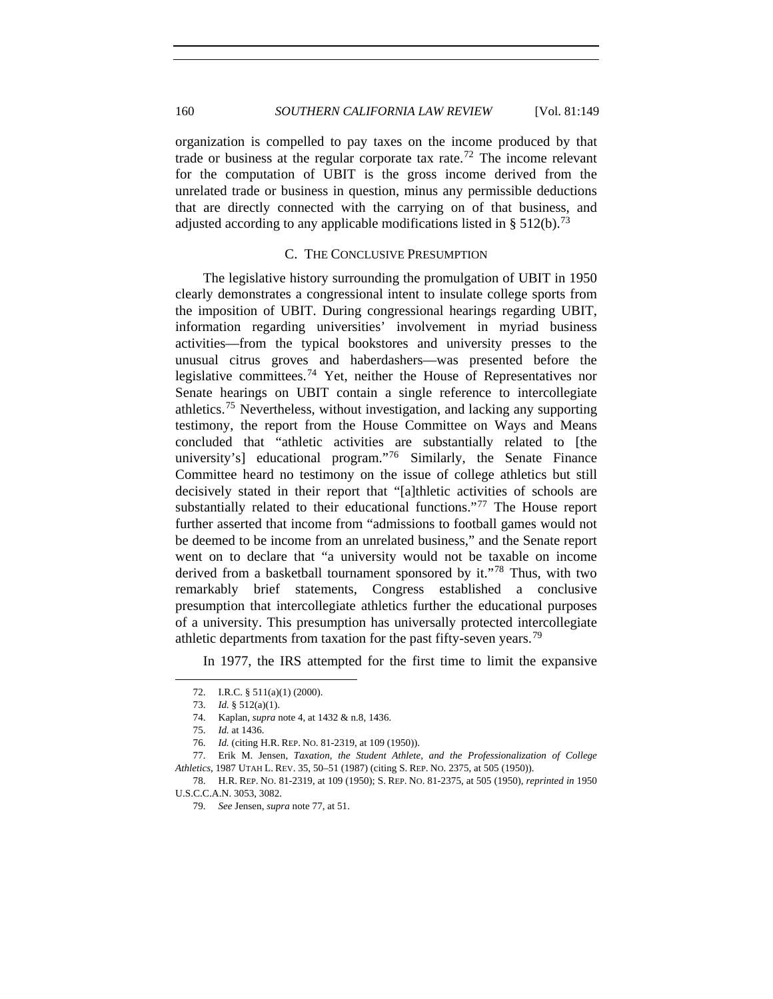organization is compelled to pay taxes on the income produced by that trade or business at the regular corporate tax rate.<sup>[72](#page-11-0)</sup> The income relevant for the computation of UBIT is the gross income derived from the unrelated trade or business in question, minus any permissible deductions that are directly connected with the carrying on of that business, and adjusted according to any applicable modifications listed in  $\S 512(b)$ .<sup>[73](#page-11-1)</sup>

## C. THE CONCLUSIVE PRESUMPTION

The legislative history surrounding the promulgation of UBIT in 1950 clearly demonstrates a congressional intent to insulate college sports from the imposition of UBIT. During congressional hearings regarding UBIT, information regarding universities' involvement in myriad business activities—from the typical bookstores and university presses to the unusual citrus groves and haberdashers—was presented before the legislative committees.<sup>[74](#page-11-2)</sup> Yet, neither the House of Representatives nor Senate hearings on UBIT contain a single reference to intercollegiate athletics.[75](#page-11-3) Nevertheless, without investigation, and lacking any supporting testimony, the report from the House Committee on Ways and Means concluded that "athletic activities are substantially related to [the university's] educational program."<sup>[76](#page-11-4)</sup> Similarly, the Senate Finance Committee heard no testimony on the issue of college athletics but still decisively stated in their report that "[a]thletic activities of schools are substantially related to their educational functions."<sup>[77](#page-11-5)</sup> The House report further asserted that income from "admissions to football games would not be deemed to be income from an unrelated business," and the Senate report went on to declare that "a university would not be taxable on income derived from a basketball tournament sponsored by it."[78](#page-11-6) Thus, with two remarkably brief statements, Congress established a conclusive presumption that intercollegiate athletics further the educational purposes of a university. This presumption has universally protected intercollegiate athletic departments from taxation for the past fifty-seven years.<sup>[79](#page-11-7)</sup>

In 1977, the IRS attempted for the first time to limit the expansive

<sup>72.</sup> I.R.C. § 511(a)(1) (2000).

<sup>73.</sup> *Id.* § 512(a)(1). 74. Kaplan, *supra* note 4, at 1432 & n.8, 1436.

<sup>75.</sup> *Id.* at 1436.

<sup>76.</sup> *Id.* (citing H.R. REP. NO. 81-2319, at 109 (1950)).

<span id="page-11-5"></span><span id="page-11-4"></span><span id="page-11-3"></span><span id="page-11-2"></span><span id="page-11-1"></span><span id="page-11-0"></span><sup>77.</sup> Erik M. Jensen, *Taxation, the Student Athlete, and the Professionalization of College Athletics*, 1987 UTAH L. REV. 35, 50–51 (1987) (citing S. REP. NO. 2375, at 505 (1950)).

<span id="page-11-7"></span><span id="page-11-6"></span><sup>78.</sup> H.R. REP. NO. 81-2319, at 109 (1950); S. REP. NO. 81-2375, at 505 (1950), *reprinted in* 1950 U.S.C.C.A.N. 3053, 3082.

<sup>79.</sup> *See* Jensen, *supra* note 77, at 51.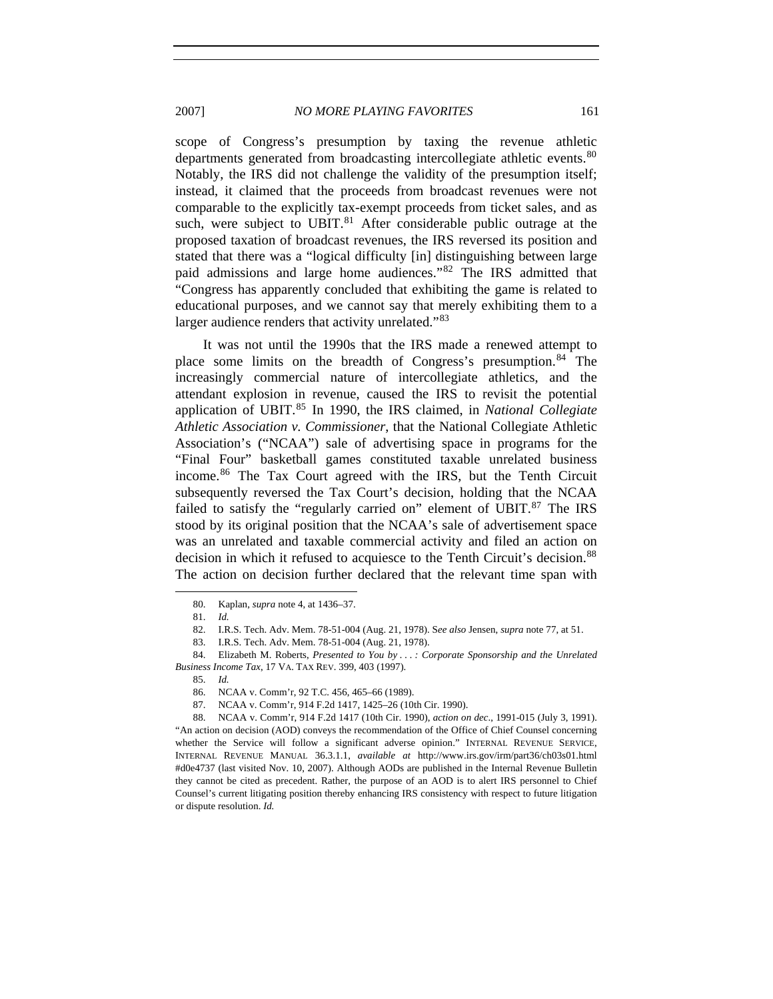scope of Congress's presumption by taxing the revenue athletic departments generated from broadcasting intercollegiate athletic events.<sup>[80](#page-12-0)</sup> Notably, the IRS did not challenge the validity of the presumption itself; instead, it claimed that the proceeds from broadcast revenues were not comparable to the explicitly tax-exempt proceeds from ticket sales, and as such, were subject to UBIT. $81$  After considerable public outrage at the proposed taxation of broadcast revenues, the IRS reversed its position and stated that there was a "logical difficulty [in] distinguishing between large paid admissions and large home audiences."[82](#page-12-2) The IRS admitted that "Congress has apparently concluded that exhibiting the game is related to educational purposes, and we cannot say that merely exhibiting them to a larger audience renders that activity unrelated."<sup>[83](#page-12-3)</sup>

It was not until the 1990s that the IRS made a renewed attempt to place some limits on the breadth of Congress's presumption.<sup>[84](#page-12-4)</sup> The increasingly commercial nature of intercollegiate athletics, and the attendant explosion in revenue, caused the IRS to revisit the potential application of UBIT.[85](#page-12-5) In 1990, the IRS claimed, in *National Collegiate Athletic Association v. Commissioner*, that the National Collegiate Athletic Association's ("NCAA") sale of advertising space in programs for the "Final Four" basketball games constituted taxable unrelated business income.[86](#page-12-6) The Tax Court agreed with the IRS, but the Tenth Circuit subsequently reversed the Tax Court's decision, holding that the NCAA failed to satisfy the "regularly carried on" element of  $UBIT.^{87}$  $UBIT.^{87}$  $UBIT.^{87}$  The IRS stood by its original position that the NCAA's sale of advertisement space was an unrelated and taxable commercial activity and filed an action on decision in which it refused to acquiesce to the Tenth Circuit's decision.<sup>[88](#page-12-8)</sup> The action on decision further declared that the relevant time span with

<span id="page-12-1"></span><span id="page-12-0"></span>-

87. NCAA v. Comm'r, 914 F.2d 1417, 1425–26 (10th Cir. 1990).

<span id="page-12-8"></span><span id="page-12-7"></span><span id="page-12-6"></span>88. NCAA v. Comm'r, 914 F.2d 1417 (10th Cir. 1990), *action on dec*., 1991-015 (July 3, 1991). "An action on decision (AOD) conveys the recommendation of the Office of Chief Counsel concerning whether the Service will follow a significant adverse opinion." INTERNAL REVENUE SERVICE, INTERNAL REVENUE MANUAL 36.3.1.1, *available at* http://www.irs.gov/irm/part36/ch03s01.html #d0e4737 (last visited Nov. 10, 2007). Although AODs are published in the Internal Revenue Bulletin they cannot be cited as precedent. Rather, the purpose of an AOD is to alert IRS personnel to Chief Counsel's current litigating position thereby enhancing IRS consistency with respect to future litigation or dispute resolution. *Id.*

<sup>80.</sup> Kaplan, *supra* note 4, at 1436–37.

<sup>81.</sup> *Id.*

<sup>82.</sup> I.R.S. Tech. Adv. Mem. 78-51-004 (Aug. 21, 1978). S*ee also* Jensen, *supra* note 77, at 51.

<sup>83.</sup> I.R.S. Tech. Adv. Mem. 78-51-004 (Aug. 21, 1978).

<span id="page-12-5"></span><span id="page-12-4"></span><span id="page-12-3"></span><span id="page-12-2"></span><sup>84.</sup> Elizabeth M. Roberts, *Presented to You by . . . : Corporate Sponsorship and the Unrelated Business Income Tax*, 17 VA. TAX REV. 399, 403 (1997).

<sup>85.</sup> *Id.*

<sup>86.</sup> NCAA v. Comm'r, 92 T.C. 456, 465–66 (1989).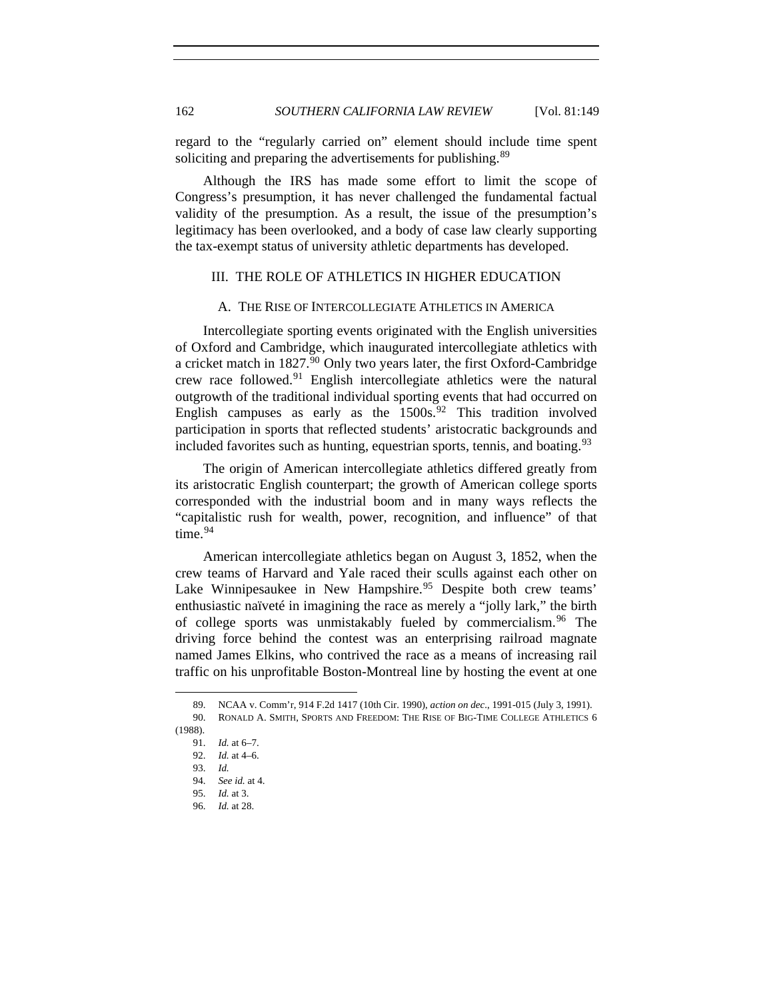regard to the "regularly carried on" element should include time spent soliciting and preparing the advertisements for publishing.<sup>[89](#page-13-0)</sup>

Although the IRS has made some effort to limit the scope of Congress's presumption, it has never challenged the fundamental factual validity of the presumption. As a result, the issue of the presumption's legitimacy has been overlooked, and a body of case law clearly supporting the tax-exempt status of university athletic departments has developed.

## III. THE ROLE OF ATHLETICS IN HIGHER EDUCATION

### A. THE RISE OF INTERCOLLEGIATE ATHLETICS IN AMERICA

Intercollegiate sporting events originated with the English universities of Oxford and Cambridge, which inaugurated intercollegiate athletics with a cricket match in 1827.<sup>[90](#page-13-1)</sup> Only two years later, the first Oxford-Cambridge crew race followed.<sup>[91](#page-13-2)</sup> English intercollegiate athletics were the natural outgrowth of the traditional individual sporting events that had occurred on English campuses as early as the  $1500s^{92}$  $1500s^{92}$  $1500s^{92}$  This tradition involved participation in sports that reflected students' aristocratic backgrounds and included favorites such as hunting, equestrian sports, tennis, and boating.  $93$ 

The origin of American intercollegiate athletics differed greatly from its aristocratic English counterpart; the growth of American college sports corresponded with the industrial boom and in many ways reflects the "capitalistic rush for wealth, power, recognition, and influence" of that time. $94$ 

American intercollegiate athletics began on August 3, 1852, when the crew teams of Harvard and Yale raced their sculls against each other on Lake Winnipesaukee in New Hampshire.<sup>[95](#page-13-6)</sup> Despite both crew teams' enthusiastic naïveté in imagining the race as merely a "jolly lark," the birth of college sports was unmistakably fueled by commercialism.<sup>[96](#page-13-7)</sup> The driving force behind the contest was an enterprising railroad magnate named James Elkins, who contrived the race as a means of increasing rail traffic on his unprofitable Boston-Montreal line by hosting the event at one

<span id="page-13-5"></span><span id="page-13-4"></span><span id="page-13-3"></span><span id="page-13-2"></span><span id="page-13-1"></span><span id="page-13-0"></span><sup>89.</sup> NCAA v. Comm'r, 914 F.2d 1417 (10th Cir. 1990), *action on dec*., 1991-015 (July 3, 1991). 90. RONALD A. SMITH, SPORTS AND FREEDOM: THE RISE OF BIG-TIME COLLEGE ATHLETICS 6 (1988).

<sup>91.</sup> *Id.* at 6–7.

<sup>92.</sup> *Id.* at 4–6.

<sup>93.</sup> *Id.*

<span id="page-13-6"></span><sup>94.</sup> *See id.* at 4.

<sup>95.</sup> *Id.* at 3.

<span id="page-13-7"></span><sup>96.</sup> *Id.* at 28.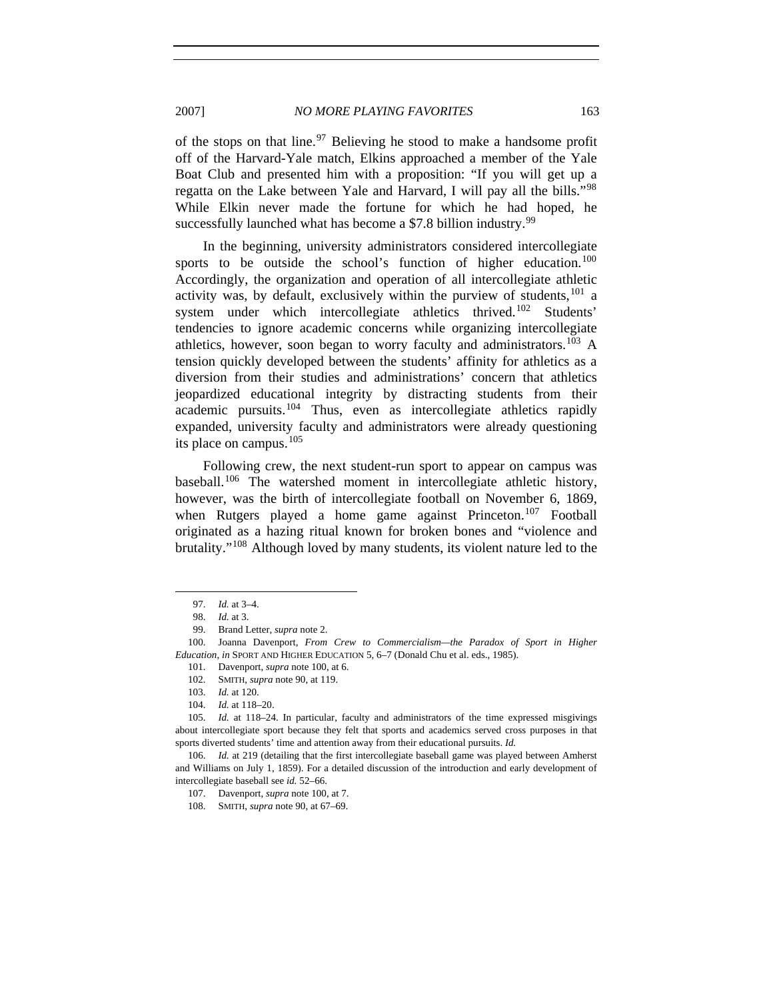of the stops on that line.<sup>[97](#page-14-0)</sup> Believing he stood to make a handsome profit off of the Harvard-Yale match, Elkins approached a member of the Yale Boat Club and presented him with a proposition: "If you will get up a regatta on the Lake between Yale and Harvard, I will pay all the bills."<sup>[98](#page-14-1)</sup> While Elkin never made the fortune for which he had hoped, he successfully launched what has become a \$7.8 billion industry.<sup>[99](#page-14-2)</sup>

In the beginning, university administrators considered intercollegiate sports to be outside the school's function of higher education.<sup>[100](#page-14-3)</sup> Accordingly, the organization and operation of all intercollegiate athletic activity was, by default, exclusively within the purview of students,  $101$  a system under which intercollegiate athletics thrived.<sup>[102](#page-14-5)</sup> Students' tendencies to ignore academic concerns while organizing intercollegiate athletics, however, soon began to worry faculty and administrators.<sup>[103](#page-14-6)</sup> A tension quickly developed between the students' affinity for athletics as a diversion from their studies and administrations' concern that athletics jeopardized educational integrity by distracting students from their academic pursuits.[104](#page-14-7) Thus, even as intercollegiate athletics rapidly expanded, university faculty and administrators were already questioning its place on campus.<sup>[105](#page-14-8)</sup>

Following crew, the next student-run sport to appear on campus was baseball.<sup>[106](#page-14-9)</sup> The watershed moment in intercollegiate athletic history, however, was the birth of intercollegiate football on November 6, 1869, when Rutgers played a home game against Princeton.<sup>[107](#page-14-10)</sup> Football originated as a hazing ritual known for broken bones and "violence and brutality."<sup>[108](#page-14-11)</sup> Although loved by many students, its violent nature led to the

<sup>97.</sup> *Id.* at 3–4.

<sup>98.</sup> *Id.* at 3.

<sup>99.</sup> Brand Letter, *supra* note 2.

<span id="page-14-5"></span><span id="page-14-4"></span><span id="page-14-3"></span><span id="page-14-2"></span><span id="page-14-1"></span><span id="page-14-0"></span><sup>100.</sup> Joanna Davenport, *From Crew to Commercialism—the Paradox of Sport in Higher Education*, *in* SPORT AND HIGHER EDUCATION 5, 6–7 (Donald Chu et al. eds., 1985).

<sup>101.</sup> Davenport, *supra* note 100, at 6.

<sup>102.</sup> SMITH, *supra* note 90, at 119.

<sup>103.</sup> *Id.* at 120.

<sup>104.</sup> *Id.* at 118–20.

<span id="page-14-8"></span><span id="page-14-7"></span><span id="page-14-6"></span><sup>105.</sup> *Id.* at 118–24. In particular, faculty and administrators of the time expressed misgivings about intercollegiate sport because they felt that sports and academics served cross purposes in that sports diverted students' time and attention away from their educational pursuits. *Id.*

<span id="page-14-11"></span><span id="page-14-10"></span><span id="page-14-9"></span><sup>106.</sup> *Id.* at 219 (detailing that the first intercollegiate baseball game was played between Amherst and Williams on July 1, 1859). For a detailed discussion of the introduction and early development of intercollegiate baseball see *id.* 52–66.

<sup>107.</sup> Davenport, *supra* note 100, at 7.

<sup>108.</sup> SMITH, *supra* note 90, at 67–69.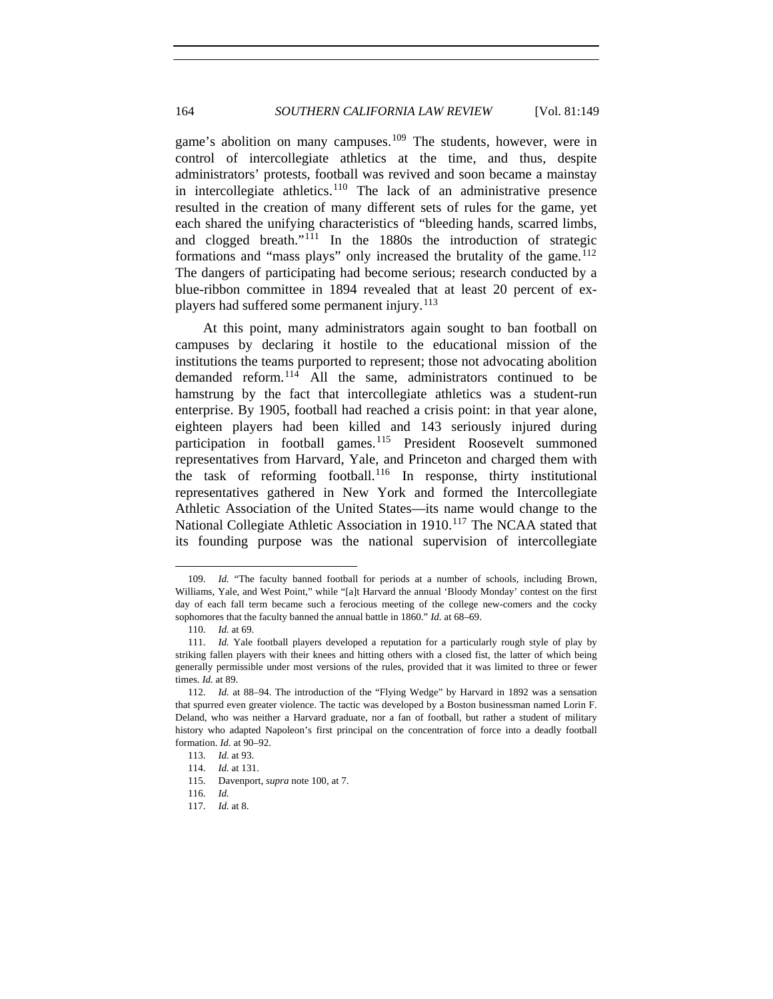game's abolition on many campuses.<sup>[109](#page-15-0)</sup> The students, however, were in control of intercollegiate athletics at the time, and thus, despite administrators' protests, football was revived and soon became a mainstay in intercollegiate athletics.<sup>[110](#page-15-1)</sup> The lack of an administrative presence resulted in the creation of many different sets of rules for the game, yet each shared the unifying characteristics of "bleeding hands, scarred limbs, and clogged breath."<sup>[111](#page-15-2)</sup> In the 1880s the introduction of strategic formations and "mass plays" only increased the brutality of the game.<sup>[112](#page-15-3)</sup> The dangers of participating had become serious; research conducted by a blue-ribbon committee in 1894 revealed that at least 20 percent of ex-players had suffered some permanent injury.<sup>[113](#page-15-4)</sup>

At this point, many administrators again sought to ban football on campuses by declaring it hostile to the educational mission of the institutions the teams purported to represent; those not advocating abolition demanded reform.<sup>[114](#page-15-5)</sup> All the same, administrators continued to be hamstrung by the fact that intercollegiate athletics was a student-run enterprise. By 1905, football had reached a crisis point: in that year alone, eighteen players had been killed and 143 seriously injured during participation in football games.<sup>[115](#page-15-6)</sup> President Roosevelt summoned representatives from Harvard, Yale, and Princeton and charged them with the task of reforming football.<sup>[116](#page-15-7)</sup> In response, thirty institutional representatives gathered in New York and formed the Intercollegiate Athletic Association of the United States—its name would change to the National Collegiate Athletic Association in 1910.<sup>[117](#page-15-8)</sup> The NCAA stated that its founding purpose was the national supervision of intercollegiate

<span id="page-15-0"></span><sup>109.</sup> *Id.* "The faculty banned football for periods at a number of schools, including Brown, Williams, Yale, and West Point," while "[a]t Harvard the annual 'Bloody Monday' contest on the first day of each fall term became such a ferocious meeting of the college new-comers and the cocky sophomores that the faculty banned the annual battle in 1860." *Id.* at 68–69.

<sup>110.</sup> *Id.* at 69.

<span id="page-15-2"></span><span id="page-15-1"></span><sup>111.</sup> *Id.* Yale football players developed a reputation for a particularly rough style of play by striking fallen players with their knees and hitting others with a closed fist, the latter of which being generally permissible under most versions of the rules, provided that it was limited to three or fewer times. *Id.* at 89.

<span id="page-15-4"></span><span id="page-15-3"></span><sup>112.</sup> *Id.* at 88–94. The introduction of the "Flying Wedge" by Harvard in 1892 was a sensation that spurred even greater violence. The tactic was developed by a Boston businessman named Lorin F. Deland, who was neither a Harvard graduate, nor a fan of football, but rather a student of military history who adapted Napoleon's first principal on the concentration of force into a deadly football formation. *Id.* at 90–92.

<sup>113.</sup> *Id.* at 93.

<span id="page-15-5"></span><sup>114.</sup> *Id.* at 131.

<span id="page-15-6"></span><sup>115.</sup> Davenport, *supra* note 100, at 7.

<span id="page-15-7"></span><sup>116.</sup> *Id.*

<span id="page-15-8"></span><sup>117.</sup> *Id.* at 8.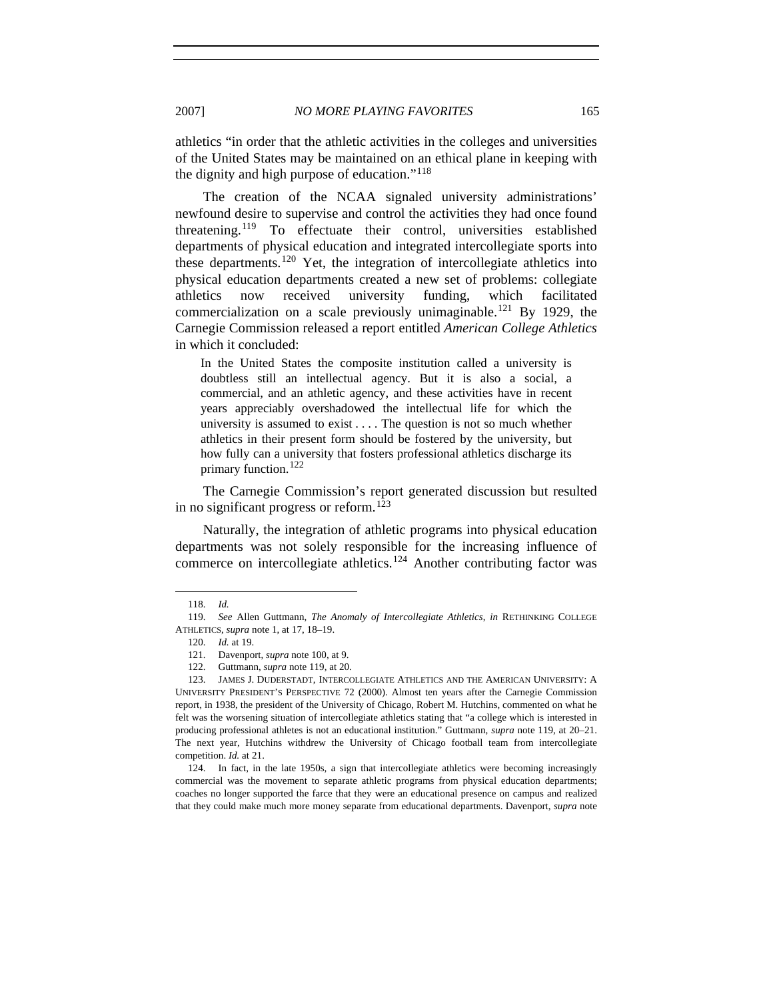athletics "in order that the athletic activities in the colleges and universities of the United States may be maintained on an ethical plane in keeping with the dignity and high purpose of education."[118](#page-16-0)

The creation of the NCAA signaled university administrations' newfound desire to supervise and control the activities they had once found threatening.[119](#page-16-1) To effectuate their control, universities established departments of physical education and integrated intercollegiate sports into these departments.<sup>[120](#page-16-2)</sup> Yet, the integration of intercollegiate athletics into physical education departments created a new set of problems: collegiate athletics now received university funding, which facilitated commercialization on a scale previously unimaginable.<sup>[121](#page-16-3)</sup> By 1929, the Carnegie Commission released a report entitled *American College Athletics* in which it concluded:

In the United States the composite institution called a university is doubtless still an intellectual agency. But it is also a social, a commercial, and an athletic agency, and these activities have in recent years appreciably overshadowed the intellectual life for which the university is assumed to exist . . . . The question is not so much whether athletics in their present form should be fostered by the university, but how fully can a university that fosters professional athletics discharge its primary function.<sup>[122](#page-16-4)</sup>

The Carnegie Commission's report generated discussion but resulted in no significant progress or reform.<sup>[123](#page-16-5)</sup>

Naturally, the integration of athletic programs into physical education departments was not solely responsible for the increasing influence of commerce on intercollegiate athletics.<sup>[124](#page-16-6)</sup> Another contributing factor was

<sup>118.</sup> *Id.*

<span id="page-16-2"></span><span id="page-16-1"></span><span id="page-16-0"></span><sup>119.</sup> *See* Allen Guttmann, *The Anomaly of Intercollegiate Athletics*, *in* RETHINKING COLLEGE ATHLETICS, *supra* note 1, at 17, 18–19.

<sup>120.</sup> *Id.* at 19.

<sup>121.</sup> Davenport, *supra* note 100, at 9.

<sup>122.</sup> Guttmann, *supra* note 119, at 20.

<span id="page-16-5"></span><span id="page-16-4"></span><span id="page-16-3"></span><sup>123.</sup> JAMES J. DUDERSTADT, INTERCOLLEGIATE ATHLETICS AND THE AMERICAN UNIVERSITY: A UNIVERSITY PRESIDENT'S PERSPECTIVE 72 (2000). Almost ten years after the Carnegie Commission report, in 1938, the president of the University of Chicago, Robert M. Hutchins, commented on what he felt was the worsening situation of intercollegiate athletics stating that "a college which is interested in producing professional athletes is not an educational institution." Guttmann, *supra* note 119, at 20–21. The next year, Hutchins withdrew the University of Chicago football team from intercollegiate competition. *Id.* at 21.

<span id="page-16-6"></span><sup>124.</sup> In fact, in the late 1950s, a sign that intercollegiate athletics were becoming increasingly commercial was the movement to separate athletic programs from physical education departments; coaches no longer supported the farce that they were an educational presence on campus and realized that they could make much more money separate from educational departments. Davenport, *supra* note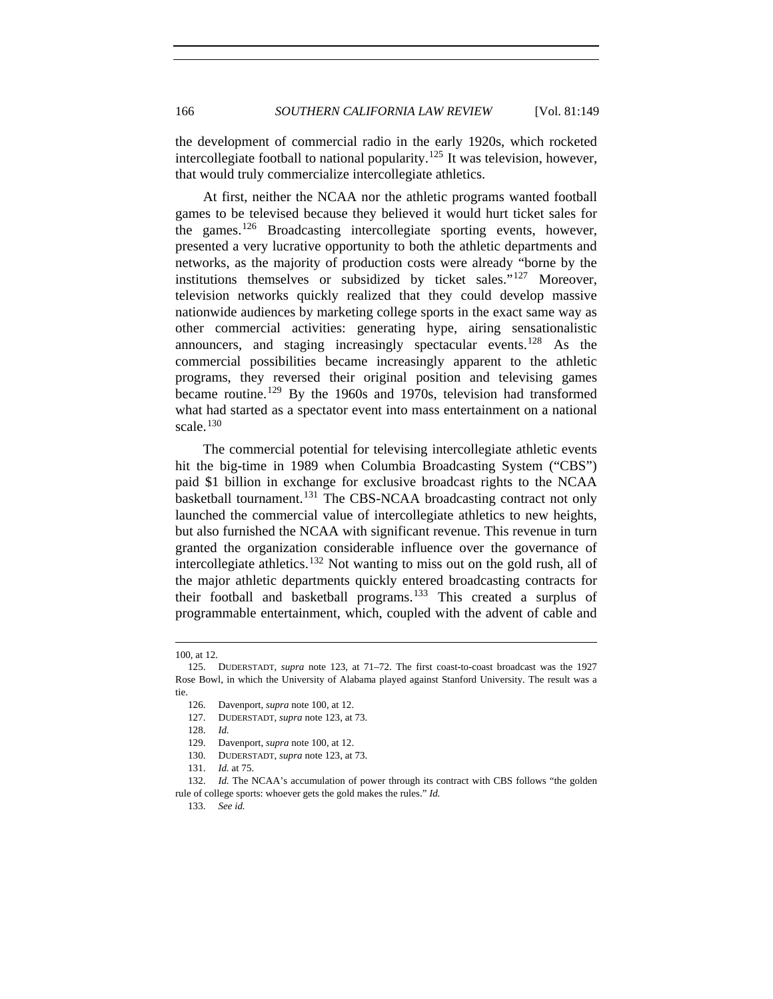the development of commercial radio in the early 1920s, which rocketed intercollegiate football to national popularity.<sup>[125](#page-17-0)</sup> It was television, however, that would truly commercialize intercollegiate athletics.

At first, neither the NCAA nor the athletic programs wanted football games to be televised because they believed it would hurt ticket sales for the games.[126](#page-17-1) Broadcasting intercollegiate sporting events, however, presented a very lucrative opportunity to both the athletic departments and networks, as the majority of production costs were already "borne by the institutions themselves or subsidized by ticket sales."<sup>[127](#page-17-2)</sup> Moreover, television networks quickly realized that they could develop massive nationwide audiences by marketing college sports in the exact same way as other commercial activities: generating hype, airing sensationalistic announcers, and staging increasingly spectacular events.<sup>[128](#page-17-3)</sup> As the commercial possibilities became increasingly apparent to the athletic programs, they reversed their original position and televising games became routine.<sup>[129](#page-17-4)</sup> By the 1960s and 1970s, television had transformed what had started as a spectator event into mass entertainment on a national scale. $130$ 

The commercial potential for televising intercollegiate athletic events hit the big-time in 1989 when Columbia Broadcasting System ("CBS") paid \$1 billion in exchange for exclusive broadcast rights to the NCAA basketball tournament.<sup>[131](#page-17-6)</sup> The CBS-NCAA broadcasting contract not only launched the commercial value of intercollegiate athletics to new heights, but also furnished the NCAA with significant revenue. This revenue in turn granted the organization considerable influence over the governance of intercollegiate athletics.<sup>[132](#page-17-7)</sup> Not wanting to miss out on the gold rush, all of the major athletic departments quickly entered broadcasting contracts for their football and basketball programs.<sup>[133](#page-17-8)</sup> This created a surplus of programmable entertainment, which, coupled with the advent of cable and

l

131. *Id.* at 75.

<span id="page-17-8"></span><span id="page-17-7"></span><span id="page-17-6"></span><span id="page-17-5"></span><span id="page-17-4"></span><span id="page-17-3"></span>132. *Id.* The NCAA's accumulation of power through its contract with CBS follows "the golden rule of college sports: whoever gets the gold makes the rules." *Id.*

133. *See id.*

<sup>100,</sup> at 12.

<span id="page-17-2"></span><span id="page-17-1"></span><span id="page-17-0"></span><sup>125.</sup> DUDERSTADT, *supra* note 123, at 71–72. The first coast-to-coast broadcast was the 1927 Rose Bowl, in which the University of Alabama played against Stanford University. The result was a tie.

<sup>126.</sup> Davenport, *supra* note 100, at 12.

<sup>127.</sup> DUDERSTADT, *supra* note 123, at 73.

<sup>128.</sup> *Id.*

<sup>129.</sup> Davenport, *supra* note 100, at 12.

<sup>130.</sup> DUDERSTADT, *supra* note 123, at 73.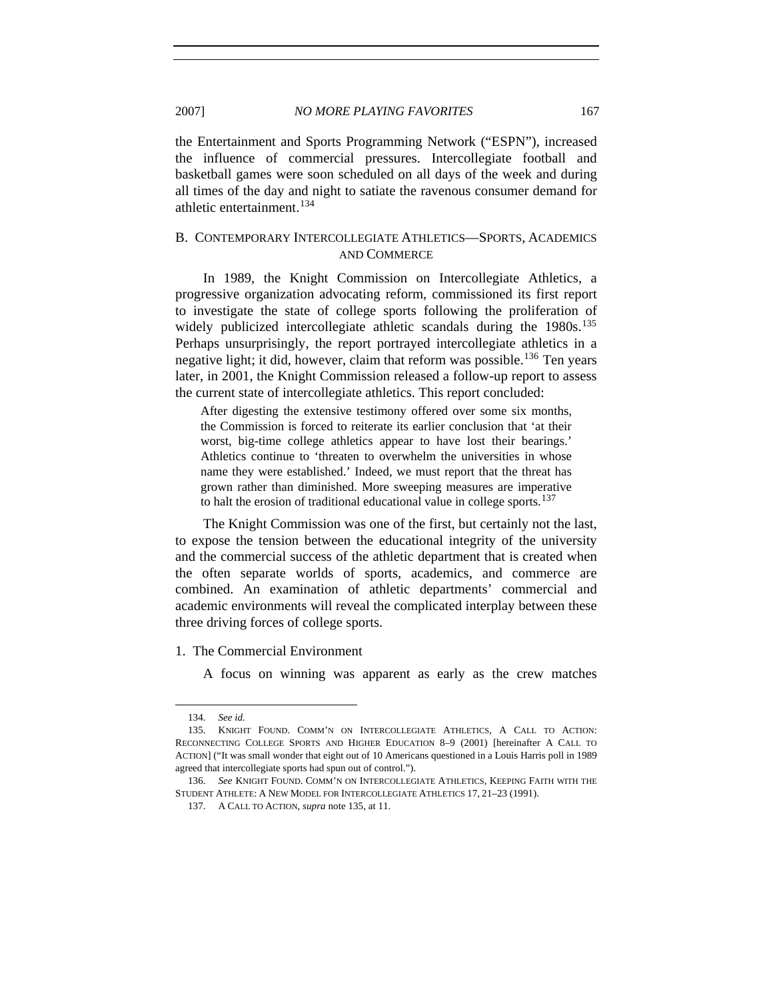the Entertainment and Sports Programming Network ("ESPN"), increased the influence of commercial pressures. Intercollegiate football and basketball games were soon scheduled on all days of the week and during all times of the day and night to satiate the ravenous consumer demand for athletic entertainment.<sup>[134](#page-18-0)</sup>

# B. CONTEMPORARY INTERCOLLEGIATE ATHLETICS—SPORTS, ACADEMICS AND COMMERCE

In 1989, the Knight Commission on Intercollegiate Athletics, a progressive organization advocating reform, commissioned its first report to investigate the state of college sports following the proliferation of widely publicized intercollegiate athletic scandals during the 1980s.<sup>[135](#page-18-1)</sup> Perhaps unsurprisingly, the report portrayed intercollegiate athletics in a negative light; it did, however, claim that reform was possible.<sup>[136](#page-18-2)</sup> Ten years later, in 2001, the Knight Commission released a follow-up report to assess the current state of intercollegiate athletics. This report concluded:

After digesting the extensive testimony offered over some six months, the Commission is forced to reiterate its earlier conclusion that 'at their worst, big-time college athletics appear to have lost their bearings.' Athletics continue to 'threaten to overwhelm the universities in whose name they were established.' Indeed, we must report that the threat has grown rather than diminished. More sweeping measures are imperative to halt the erosion of traditional educational value in college sports.<sup>[137](#page-18-3)</sup>

The Knight Commission was one of the first, but certainly not the last, to expose the tension between the educational integrity of the university and the commercial success of the athletic department that is created when the often separate worlds of sports, academics, and commerce are combined. An examination of athletic departments' commercial and academic environments will reveal the complicated interplay between these three driving forces of college sports.

1. The Commercial Environment

A focus on winning was apparent as early as the crew matches

<sup>134.</sup> *See id.*

<span id="page-18-1"></span><span id="page-18-0"></span><sup>135.</sup> KNIGHT FOUND. COMM'N ON INTERCOLLEGIATE ATHLETICS, A CALL TO ACTION: RECONNECTING COLLEGE SPORTS AND HIGHER EDUCATION 8–9 (2001) [hereinafter A CALL TO ACTION] ("It was small wonder that eight out of 10 Americans questioned in a Louis Harris poll in 1989 agreed that intercollegiate sports had spun out of control.").

<span id="page-18-3"></span><span id="page-18-2"></span><sup>136.</sup> *See* KNIGHT FOUND. COMM'N ON INTERCOLLEGIATE ATHLETICS, KEEPING FAITH WITH THE STUDENT ATHLETE: A NEW MODEL FOR INTERCOLLEGIATE ATHLETICS 17, 21–23 (1991).

<sup>137.</sup> A CALL TO ACTION, *supra* note 135, at 11.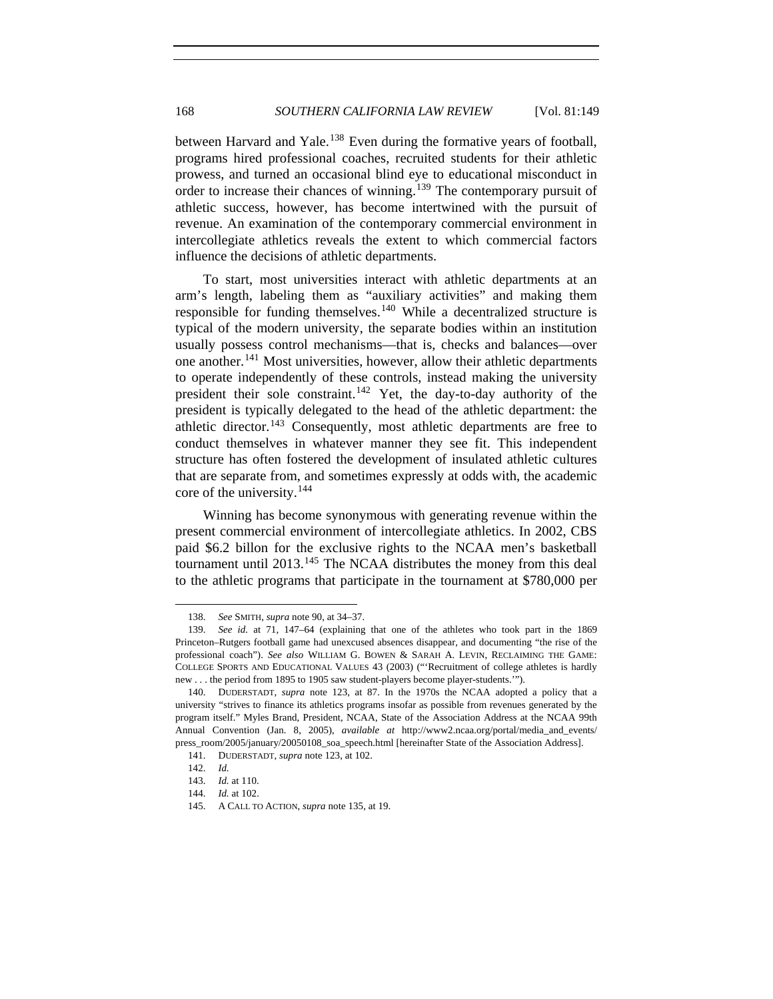between Harvard and Yale.<sup>[138](#page-19-0)</sup> Even during the formative years of football, programs hired professional coaches, recruited students for their athletic prowess, and turned an occasional blind eye to educational misconduct in order to increase their chances of winning.<sup>[139](#page-19-1)</sup> The contemporary pursuit of athletic success, however, has become intertwined with the pursuit of revenue. An examination of the contemporary commercial environment in intercollegiate athletics reveals the extent to which commercial factors influence the decisions of athletic departments.

To start, most universities interact with athletic departments at an arm's length, labeling them as "auxiliary activities" and making them responsible for funding themselves.<sup>[140](#page-19-2)</sup> While a decentralized structure is typical of the modern university, the separate bodies within an institution usually possess control mechanisms—that is, checks and balances—over one another.<sup>[141](#page-19-3)</sup> Most universities, however, allow their athletic departments to operate independently of these controls, instead making the university president their sole constraint.<sup>[142](#page-19-4)</sup> Yet, the day-to-day authority of the president is typically delegated to the head of the athletic department: the athletic director.<sup>[143](#page-19-5)</sup> Consequently, most athletic departments are free to conduct themselves in whatever manner they see fit. This independent structure has often fostered the development of insulated athletic cultures that are separate from, and sometimes expressly at odds with, the academic core of the university.[144](#page-19-6)

Winning has become synonymous with generating revenue within the present commercial environment of intercollegiate athletics. In 2002, CBS paid \$6.2 billon for the exclusive rights to the NCAA men's basketball tournament until 2013.<sup>[145](#page-19-7)</sup> The NCAA distributes the money from this deal to the athletic programs that participate in the tournament at \$780,000 per

<sup>138.</sup> *See* SMITH, *supra* note 90, at 34–37.

<span id="page-19-1"></span><span id="page-19-0"></span><sup>139.</sup> *See id.* at 71, 147–64 (explaining that one of the athletes who took part in the 1869 Princeton–Rutgers football game had unexcused absences disappear, and documenting "the rise of the professional coach"). *See also* WILLIAM G. BOWEN & SARAH A. LEVIN, RECLAIMING THE GAME: COLLEGE SPORTS AND EDUCATIONAL VALUES 43 (2003) ("'Recruitment of college athletes is hardly new . . . the period from 1895 to 1905 saw student-players become player-students.'").

<span id="page-19-3"></span><span id="page-19-2"></span><sup>140.</sup> DUDERSTADT, *supra* note 123, at 87. In the 1970s the NCAA adopted a policy that a university "strives to finance its athletics programs insofar as possible from revenues generated by the program itself." Myles Brand, President, NCAA, State of the Association Address at the NCAA 99th Annual Convention (Jan. 8, 2005), *available at* http://www2.ncaa.org/portal/media\_and\_events/ press\_room/2005/january/20050108\_soa\_speech.html [hereinafter State of the Association Address].

<sup>141.</sup> DUDERSTADT, *supra* note 123, at 102.

<span id="page-19-4"></span><sup>142.</sup> *Id.*

<sup>143.</sup> *Id.* at 110.

<span id="page-19-6"></span><span id="page-19-5"></span><sup>144.</sup> *Id.* at 102.

<span id="page-19-7"></span><sup>145.</sup> A CALL TO ACTION, *supra* note 135, at 19.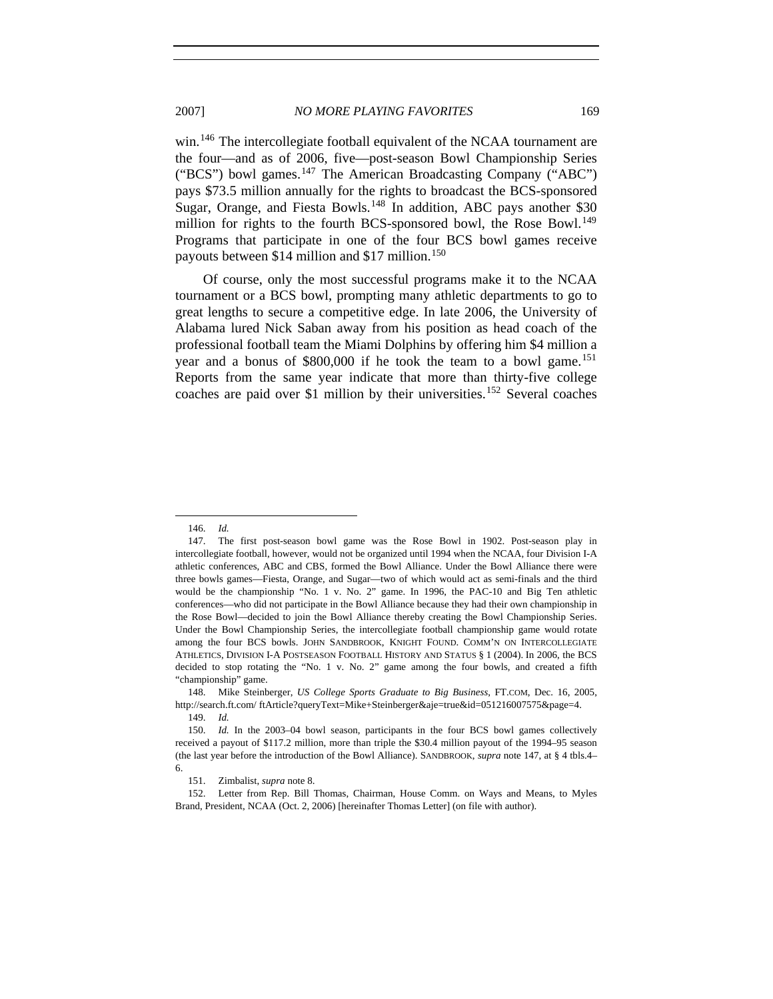win.<sup>[146](#page-20-0)</sup> The intercollegiate football equivalent of the NCAA tournament are the four—and as of 2006, five—post-season Bowl Championship Series ("BCS") bowl games.<sup>[147](#page-20-1)</sup> The American Broadcasting Company ("ABC") pays \$73.5 million annually for the rights to broadcast the BCS-sponsored Sugar, Orange, and Fiesta Bowls.<sup>[148](#page-20-2)</sup> In addition, ABC pays another \$30 million for rights to the fourth BCS-sponsored bowl, the Rose Bowl.<sup>[149](#page-20-3)</sup> Programs that participate in one of the four BCS bowl games receive payouts between \$14 million and \$17 million.<sup>[150](#page-20-4)</sup>

Of course, only the most successful programs make it to the NCAA tournament or a BCS bowl, prompting many athletic departments to go to great lengths to secure a competitive edge. In late 2006, the University of Alabama lured Nick Saban away from his position as head coach of the professional football team the Miami Dolphins by offering him \$4 million a year and a bonus of  $$800,000$  if he took the team to a bowl game.<sup>[151](#page-20-5)</sup> Reports from the same year indicate that more than thirty-five college coaches are paid over \$1 million by their universities.<sup>[152](#page-20-6)</sup> Several coaches

<sup>146.</sup> *Id.*

<span id="page-20-1"></span><span id="page-20-0"></span><sup>147.</sup> The first post-season bowl game was the Rose Bowl in 1902. Post-season play in intercollegiate football, however, would not be organized until 1994 when the NCAA, four Division I-A athletic conferences, ABC and CBS, formed the Bowl Alliance. Under the Bowl Alliance there were three bowls games—Fiesta, Orange, and Sugar—two of which would act as semi-finals and the third would be the championship "No. 1 v. No. 2" game. In 1996, the PAC-10 and Big Ten athletic conferences—who did not participate in the Bowl Alliance because they had their own championship in the Rose Bowl—decided to join the Bowl Alliance thereby creating the Bowl Championship Series. Under the Bowl Championship Series, the intercollegiate football championship game would rotate among the four BCS bowls. JOHN SANDBROOK, KNIGHT FOUND. COMM'N ON INTERCOLLEGIATE ATHLETICS, DIVISION I-A POSTSEASON FOOTBALL HISTORY AND STATUS § 1 (2004). In 2006, the BCS decided to stop rotating the "No. 1 v. No. 2" game among the four bowls, and created a fifth "championship" game.

<span id="page-20-3"></span><span id="page-20-2"></span><sup>148.</sup> Mike Steinberger, *US College Sports Graduate to Big Business*, FT.COM, Dec. 16, 2005, http://search.ft.com/ ftArticle?queryText=Mike+Steinberger&aje=true&id=051216007575&page=4.

<sup>149.</sup> *Id.*

<span id="page-20-4"></span><sup>150.</sup> *Id.* In the 2003–04 bowl season, participants in the four BCS bowl games collectively received a payout of \$117.2 million, more than triple the \$30.4 million payout of the 1994–95 season (the last year before the introduction of the Bowl Alliance). SANDBROOK, *supra* note 147, at § 4 tbls.4– 6.

<sup>151.</sup> Zimbalist, *supra* note 8.

<span id="page-20-6"></span><span id="page-20-5"></span><sup>152.</sup> Letter from Rep. Bill Thomas, Chairman, House Comm. on Ways and Means, to Myles Brand, President, NCAA (Oct. 2, 2006) [hereinafter Thomas Letter] (on file with author).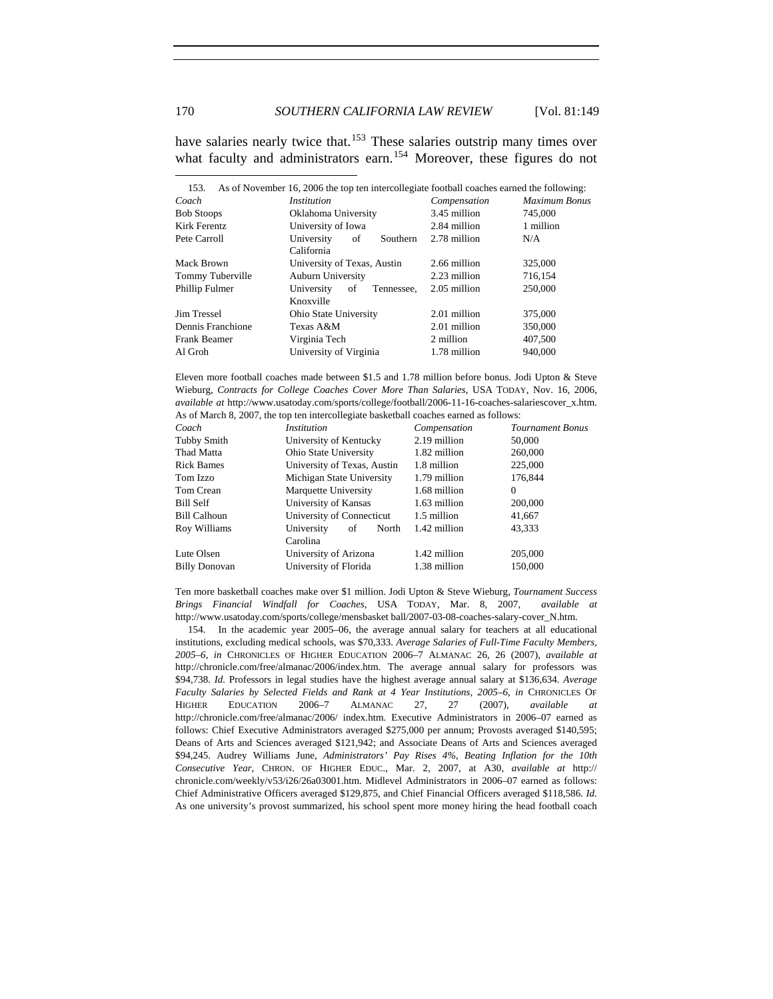have salaries nearly twice that.<sup>[153](#page-21-0)</sup> These salaries outstrip many times over what faculty and administrators earn.<sup>[154](#page-21-1)</sup> Moreover, these figures do not

<span id="page-21-0"></span>

| 153.              | As of November 16, 2006 the top ten intercollegiate football coaches earned the following: |              |                      |
|-------------------|--------------------------------------------------------------------------------------------|--------------|----------------------|
| Coach             | <i>Institution</i>                                                                         | Compensation | <b>Maximum Bonus</b> |
| <b>Bob Stoops</b> | Oklahoma University                                                                        | 3.45 million | 745,000              |
| Kirk Ferentz      | University of Iowa                                                                         | 2.84 million | 1 million            |
| Pete Carroll      | University<br>Southern<br>οf                                                               | 2.78 million | N/A                  |
|                   | California                                                                                 |              |                      |
| Mack Brown        | University of Texas, Austin                                                                | 2.66 million | 325,000              |
| Tommy Tuberville  | <b>Auburn University</b>                                                                   | 2.23 million | 716,154              |
| Phillip Fulmer    | University<br>Tennessee,<br>οf                                                             | 2.05 million | 250,000              |
|                   | Knoxville                                                                                  |              |                      |
| Jim Tressel       | <b>Ohio State University</b>                                                               | 2.01 million | 375,000              |
| Dennis Franchione | Texas A&M                                                                                  | 2.01 million | 350,000              |
| Frank Beamer      | Virginia Tech                                                                              | 2 million    | 407,500              |
| Al Groh           | University of Virginia                                                                     | 1.78 million | 940,000              |

Eleven more football coaches made between \$1.5 and 1.78 million before bonus. Jodi Upton & Steve Wieburg, *Contracts for College Coaches Cover More Than Salaries*, USA TODAY, Nov. 16, 2006, *available at* http://www.usatoday.com/sports/college/football/2006-11-16-coaches-salariescover\_x.htm. As of March 8, 2007, the top ten intercollegiate basketball coaches earned as follows:

| Coach                | <i>Institution</i>          | Compensation | Tournament Bonus |
|----------------------|-----------------------------|--------------|------------------|
| Tubby Smith          | University of Kentucky      | 2.19 million | 50,000           |
| Thad Matta           | Ohio State University       | 1.82 million | 260,000          |
| <b>Rick Bames</b>    | University of Texas, Austin | 1.8 million  | 225,000          |
| Tom Izzo             | Michigan State University   | 1.79 million | 176,844          |
| Tom Crean            | Marquette University        | 1.68 million | $^{0}$           |
| <b>Bill Self</b>     | University of Kansas        | 1.63 million | 200,000          |
| <b>Bill Calhoun</b>  | University of Connecticut   | 1.5 million  | 41,667           |
| Roy Williams         | University<br>North<br>οf   | 1.42 million | 43,333           |
|                      | Carolina                    |              |                  |
| Lute Olsen           | University of Arizona       | 1.42 million | 205,000          |
| <b>Billy Donovan</b> | University of Florida       | 1.38 million | 150,000          |
|                      |                             |              |                  |

Ten more basketball coaches make over \$1 million. Jodi Upton & Steve Wieburg, *Tournament Success Brings Financial Windfall for Coaches*, USA TODAY, Mar. 8, 2007, *available at* http://www.usatoday.com/sports/college/mensbasket ball/2007-03-08-coaches-salary-cover\_N.htm.

<span id="page-21-1"></span>154. In the academic year 2005–06, the average annual salary for teachers at all educational institutions, excluding medical schools, was \$70,333. *Average Salaries of Full-Time Faculty Members, 2005–6*, *in* CHRONICLES OF HIGHER EDUCATION 2006–7 ALMANAC 26, 26 (2007), *available at* http://chronicle.com/free/almanac/2006/index.htm. The average annual salary for professors was \$94,738. *Id.* Professors in legal studies have the highest average annual salary at \$136,634. *Average Faculty Salaries by Selected Fields and Rank at 4 Year Institutions, 2005–6*, *in* CHRONICLES OF HIGHER EDUCATION 2006–7 ALMANAC 27, 27 (2007), *available at* http://chronicle.com/free/almanac/2006/ index.htm. Executive Administrators in 2006–07 earned as follows: Chief Executive Administrators averaged \$275,000 per annum; Provosts averaged \$140,595; Deans of Arts and Sciences averaged \$121,942; and Associate Deans of Arts and Sciences averaged \$94,245. Audrey Williams June, *Administrators' Pay Rises 4%, Beating Inflation for the 10th Consecutive Year*, CHRON. OF HIGHER EDUC., Mar. 2, 2007, at A30, *available at* http:// chronicle.com/weekly/v53/i26/26a03001.htm. Midlevel Administrators in 2006–07 earned as follows: Chief Administrative Officers averaged \$129,875, and Chief Financial Officers averaged \$118,586. *Id.* As one university's provost summarized, his school spent more money hiring the head football coach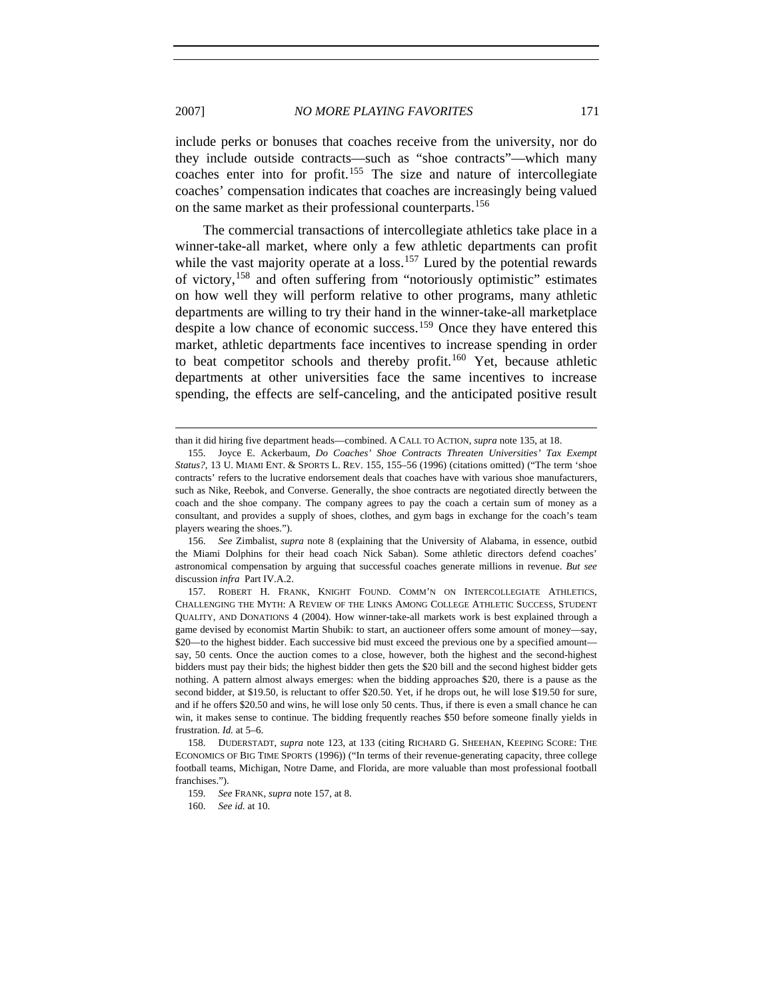include perks or bonuses that coaches receive from the university, nor do they include outside contracts—such as "shoe contracts"—which many coaches enter into for profit.[155](#page-22-0) The size and nature of intercollegiate coaches' compensation indicates that coaches are increasingly being valued on the same market as their professional counterparts.<sup>[156](#page-22-1)</sup>

The commercial transactions of intercollegiate athletics take place in a winner-take-all market, where only a few athletic departments can profit while the vast majority operate at a loss.<sup>[157](#page-22-2)</sup> Lured by the potential rewards of victory,[158](#page-22-3) and often suffering from "notoriously optimistic" estimates on how well they will perform relative to other programs, many athletic departments are willing to try their hand in the winner-take-all marketplace despite a low chance of economic success.<sup>[159](#page-22-4)</sup> Once they have entered this market, athletic departments face incentives to increase spending in order to beat competitor schools and thereby profit.<sup>[160](#page-22-5)</sup> Yet, because athletic departments at other universities face the same incentives to increase spending, the effects are self-canceling, and the anticipated positive result

l

than it did hiring five department heads—combined. A CALL TO ACTION, *supra* note 135, at 18.

<span id="page-22-0"></span><sup>155.</sup> Joyce E. Ackerbaum, *Do Coaches' Shoe Contracts Threaten Universities' Tax Exempt Status?*, 13 U. MIAMI ENT. & SPORTS L. REV. 155, 155–56 (1996) (citations omitted) ("The term 'shoe contracts' refers to the lucrative endorsement deals that coaches have with various shoe manufacturers, such as Nike, Reebok, and Converse. Generally, the shoe contracts are negotiated directly between the coach and the shoe company. The company agrees to pay the coach a certain sum of money as a consultant, and provides a supply of shoes, clothes, and gym bags in exchange for the coach's team players wearing the shoes.").

<span id="page-22-1"></span><sup>156.</sup> *See* Zimbalist, *supra* note 8 (explaining that the University of Alabama, in essence, outbid the Miami Dolphins for their head coach Nick Saban). Some athletic directors defend coaches' astronomical compensation by arguing that successful coaches generate millions in revenue. *But see* discussion *infra* Part IV.A.2.

<span id="page-22-2"></span><sup>157.</sup> ROBERT H. FRANK, KNIGHT FOUND. COMM'N ON INTERCOLLEGIATE ATHLETICS, CHALLENGING THE MYTH: A REVIEW OF THE LINKS AMONG COLLEGE ATHLETIC SUCCESS, STUDENT QUALITY, AND DONATIONS 4 (2004). How winner-take-all markets work is best explained through a game devised by economist Martin Shubik: to start, an auctioneer offers some amount of money—say, \$20—to the highest bidder. Each successive bid must exceed the previous one by a specified amount say, 50 cents. Once the auction comes to a close, however, both the highest and the second-highest bidders must pay their bids; the highest bidder then gets the \$20 bill and the second highest bidder gets nothing. A pattern almost always emerges: when the bidding approaches \$20, there is a pause as the second bidder, at \$19.50, is reluctant to offer \$20.50. Yet, if he drops out, he will lose \$19.50 for sure, and if he offers \$20.50 and wins, he will lose only 50 cents. Thus, if there is even a small chance he can win, it makes sense to continue. The bidding frequently reaches \$50 before someone finally yields in frustration. *Id.* at 5–6.

<span id="page-22-5"></span><span id="page-22-4"></span><span id="page-22-3"></span><sup>158.</sup> DUDERSTADT, *supra* note 123, at 133 (citing RICHARD G. SHEEHAN, KEEPING SCORE: THE ECONOMICS OF BIG TIME SPORTS (1996)) ("In terms of their revenue-generating capacity, three college football teams, Michigan, Notre Dame, and Florida, are more valuable than most professional football franchises.").

<sup>159.</sup> *See* FRANK, *supra* note 157, at 8.

<sup>160.</sup> *See id.* at 10.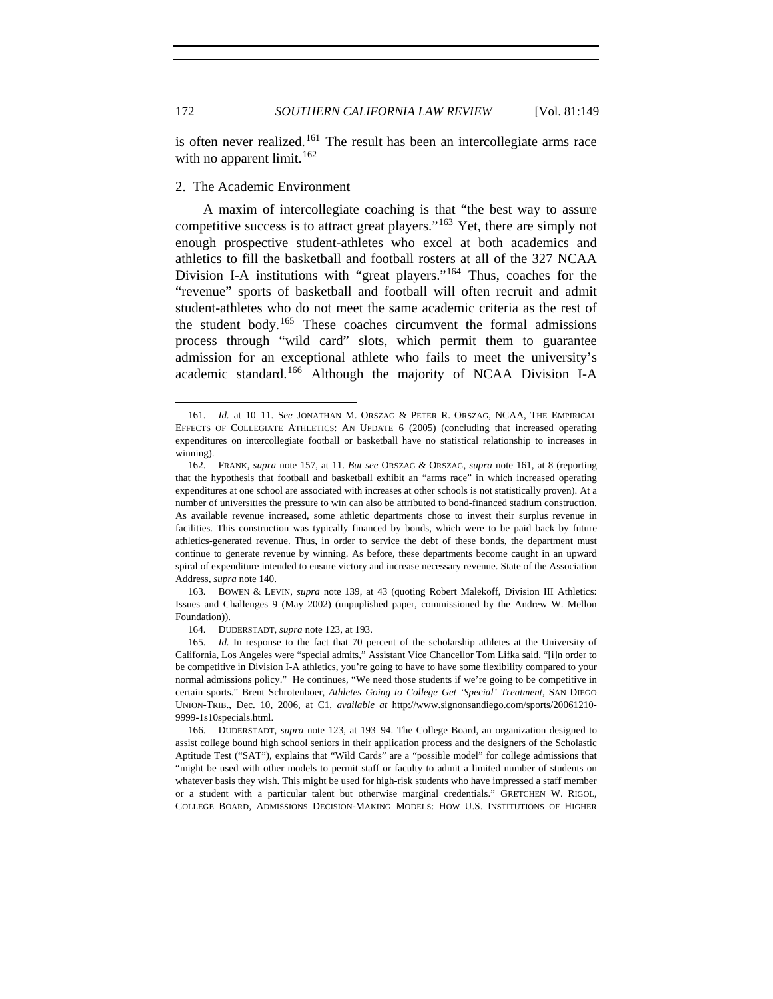is often never realized.<sup>[161](#page-23-0)</sup> The result has been an intercollegiate arms race with no apparent limit.<sup>[162](#page-23-1)</sup>

# 2. The Academic Environment

A maxim of intercollegiate coaching is that "the best way to assure competitive success is to attract great players."<sup>[163](#page-23-2)</sup> Yet, there are simply not enough prospective student-athletes who excel at both academics and athletics to fill the basketball and football rosters at all of the 327 NCAA Division I-A institutions with "great players."<sup>[164](#page-23-3)</sup> Thus, coaches for the "revenue" sports of basketball and football will often recruit and admit student-athletes who do not meet the same academic criteria as the rest of the student body.<sup>[165](#page-23-4)</sup> These coaches circumvent the formal admissions process through "wild card" slots, which permit them to guarantee admission for an exceptional athlete who fails to meet the university's academic standard.[166](#page-23-5) Although the majority of NCAA Division I-A

<span id="page-23-0"></span><sup>161.</sup> *Id.* at 10–11. S*ee* JONATHAN M. ORSZAG & PETER R. ORSZAG, NCAA, THE EMPIRICAL EFFECTS OF COLLEGIATE ATHLETICS: AN UPDATE 6 (2005) (concluding that increased operating expenditures on intercollegiate football or basketball have no statistical relationship to increases in winning).

<span id="page-23-1"></span><sup>162.</sup> FRANK, *supra* note 157, at 11. *But see* ORSZAG & ORSZAG, *supra* note 161, at 8 (reporting that the hypothesis that football and basketball exhibit an "arms race" in which increased operating expenditures at one school are associated with increases at other schools is not statistically proven). At a number of universities the pressure to win can also be attributed to bond-financed stadium construction. As available revenue increased, some athletic departments chose to invest their surplus revenue in facilities. This construction was typically financed by bonds, which were to be paid back by future athletics-generated revenue. Thus, in order to service the debt of these bonds, the department must continue to generate revenue by winning. As before, these departments become caught in an upward spiral of expenditure intended to ensure victory and increase necessary revenue. State of the Association Address, *supra* note 140.

<span id="page-23-2"></span><sup>163.</sup> BOWEN & LEVIN, *supra* note 139, at 43 (quoting Robert Malekoff, Division III Athletics: Issues and Challenges 9 (May 2002) (unpuplished paper, commissioned by the Andrew W. Mellon Foundation)).

<sup>164.</sup> DUDERSTADT, *supra* note 123, at 193.

<span id="page-23-4"></span><span id="page-23-3"></span><sup>165.</sup> *Id.* In response to the fact that 70 percent of the scholarship athletes at the University of California, Los Angeles were "special admits," Assistant Vice Chancellor Tom Lifka said, "[i]n order to be competitive in Division I-A athletics, you're going to have to have some flexibility compared to your normal admissions policy." He continues, "We need those students if we're going to be competitive in certain sports." Brent Schrotenboer, *Athletes Going to College Get 'Special' Treatment*, SAN DIEGO UNION-TRIB., Dec. 10, 2006, at C1, *available at* http://www.signonsandiego.com/sports/20061210- 9999-1s10specials.html.

<span id="page-23-5"></span><sup>166.</sup> DUDERSTADT, *supra* note 123, at 193–94. The College Board, an organization designed to assist college bound high school seniors in their application process and the designers of the Scholastic Aptitude Test ("SAT"), explains that "Wild Cards" are a "possible model" for college admissions that "might be used with other models to permit staff or faculty to admit a limited number of students on whatever basis they wish. This might be used for high-risk students who have impressed a staff member or a student with a particular talent but otherwise marginal credentials." GRETCHEN W. RIGOL, COLLEGE BOARD, ADMISSIONS DECISION-MAKING MODELS: HOW U.S. INSTITUTIONS OF HIGHER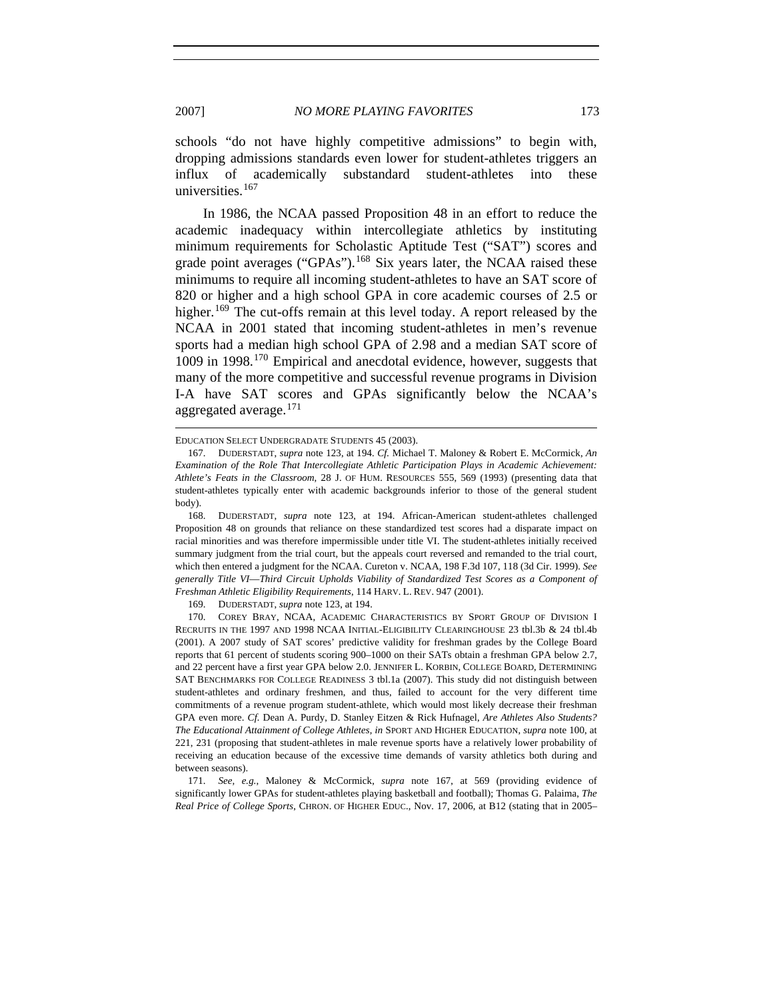schools "do not have highly competitive admissions" to begin with, dropping admissions standards even lower for student-athletes triggers an influx of academically substandard student-athletes into these universities.<sup>[167](#page-24-0)</sup>

In 1986, the NCAA passed Proposition 48 in an effort to reduce the academic inadequacy within intercollegiate athletics by instituting minimum requirements for Scholastic Aptitude Test ("SAT") scores and grade point averages ("GPAs").<sup>[168](#page-24-1)</sup> Six years later, the NCAA raised these minimums to require all incoming student-athletes to have an SAT score of 820 or higher and a high school GPA in core academic courses of 2.5 or higher.<sup>[169](#page-24-2)</sup> The cut-offs remain at this level today. A report released by the NCAA in 2001 stated that incoming student-athletes in men's revenue sports had a median high school GPA of 2.98 and a median SAT score of 1009 in 1998.[170](#page-24-3) Empirical and anecdotal evidence, however, suggests that many of the more competitive and successful revenue programs in Division I-A have SAT scores and GPAs significantly below the NCAA's aggregated average.<sup>[171](#page-24-4)</sup>

169. DUDERSTADT, *supra* note 123, at 194.

l

EDUCATION SELECT UNDERGRADATE STUDENTS 45 (2003).

<span id="page-24-0"></span><sup>167.</sup> DUDERSTADT, *supra* note 123, at 194. *Cf.* Michael T. Maloney & Robert E. McCormick, *An Examination of the Role That Intercollegiate Athletic Participation Plays in Academic Achievement: Athlete's Feats in the Classroom*, 28 J. OF HUM. RESOURCES 555, 569 (1993) (presenting data that student-athletes typically enter with academic backgrounds inferior to those of the general student body).

<span id="page-24-1"></span><sup>168.</sup> DUDERSTADT, *supra* note 123, at 194. African-American student-athletes challenged Proposition 48 on grounds that reliance on these standardized test scores had a disparate impact on racial minorities and was therefore impermissible under title VI. The student-athletes initially received summary judgment from the trial court, but the appeals court reversed and remanded to the trial court, which then entered a judgment for the NCAA. Cureton v. NCAA, 198 F.3d 107, 118 (3d Cir. 1999). *See generally Title VI*—*Third Circuit Upholds Viability of Standardized Test Scores as a Component of Freshman Athletic Eligibility Requirements*, 114 HARV. L. REV. 947 (2001).

<span id="page-24-3"></span><span id="page-24-2"></span><sup>170.</sup> COREY BRAY, NCAA, ACADEMIC CHARACTERISTICS BY SPORT GROUP OF DIVISION I RECRUITS IN THE 1997 AND 1998 NCAA INITIAL-ELIGIBILITY CLEARINGHOUSE 23 tbl.3b & 24 tbl.4b (2001). A 2007 study of SAT scores' predictive validity for freshman grades by the College Board reports that 61 percent of students scoring 900–1000 on their SATs obtain a freshman GPA below 2.7, and 22 percent have a first year GPA below 2.0. JENNIFER L. KORBIN, COLLEGE BOARD, DETERMINING SAT BENCHMARKS FOR COLLEGE READINESS 3 tbl.1a (2007). This study did not distinguish between student-athletes and ordinary freshmen, and thus, failed to account for the very different time commitments of a revenue program student-athlete, which would most likely decrease their freshman GPA even more. *Cf.* Dean A. Purdy, D. Stanley Eitzen & Rick Hufnagel, *Are Athletes Also Students? The Educational Attainment of College Athletes*, *in* SPORT AND HIGHER EDUCATION, *supra* note 100, at 221, 231 (proposing that student-athletes in male revenue sports have a relatively lower probability of receiving an education because of the excessive time demands of varsity athletics both during and between seasons).

<span id="page-24-4"></span><sup>171.</sup> *See, e.g.*, Maloney & McCormick, *supra* note 167, at 569 (providing evidence of significantly lower GPAs for student-athletes playing basketball and football); Thomas G. Palaima, *The Real Price of College Sports*, CHRON. OF HIGHER EDUC., Nov. 17, 2006, at B12 (stating that in 2005–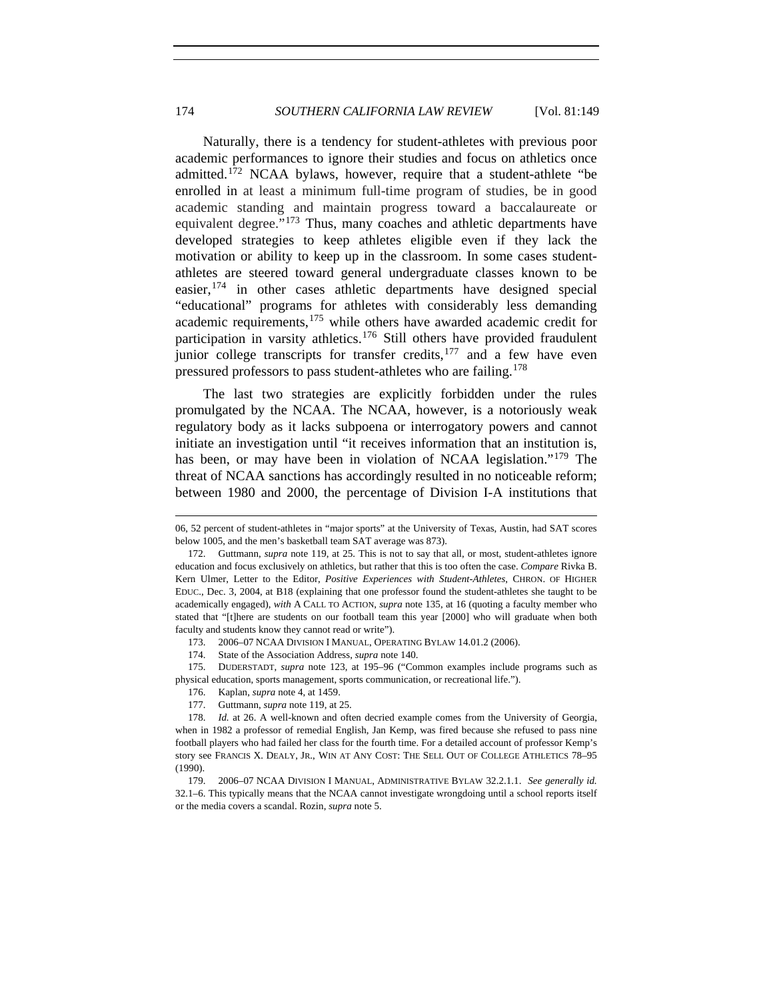Naturally, there is a tendency for student-athletes with previous poor academic performances to ignore their studies and focus on athletics once admitted.[172](#page-25-0) NCAA bylaws, however, require that a student-athlete "be enrolled in at least a minimum full-time program of studies, be in good academic standing and maintain progress toward a baccalaureate or equivalent degree."[173](#page-25-1) Thus, many coaches and athletic departments have developed strategies to keep athletes eligible even if they lack the motivation or ability to keep up in the classroom. In some cases studentathletes are steered toward general undergraduate classes known to be easier,  $174$  in other cases athletic departments have designed special "educational" programs for athletes with considerably less demanding academic requirements,<sup>[175](#page-25-3)</sup> while others have awarded academic credit for participation in varsity athletics.<sup>[176](#page-25-4)</sup> Still others have provided fraudulent junior college transcripts for transfer credits, $177$  and a few have even pressured professors to pass student-athletes who are failing.<sup>[178](#page-25-6)</sup>

The last two strategies are explicitly forbidden under the rules promulgated by the NCAA. The NCAA, however, is a notoriously weak regulatory body as it lacks subpoena or interrogatory powers and cannot initiate an investigation until "it receives information that an institution is, has been, or may have been in violation of NCAA legislation."<sup>[179](#page-25-7)</sup> The threat of NCAA sanctions has accordingly resulted in no noticeable reform; between 1980 and 2000, the percentage of Division I-A institutions that

174. State of the Association Address, *supra* note 140.

<span id="page-25-3"></span><span id="page-25-2"></span><span id="page-25-1"></span>175. DUDERSTADT, *supra* note 123, at 195–96 ("Common examples include programs such as physical education, sports management, sports communication, or recreational life.").

176. Kaplan, *supra* note 4, at 1459.

l

177. Guttmann, *supra* note 119, at 25.

<sup>06, 52</sup> percent of student-athletes in "major sports" at the University of Texas, Austin, had SAT scores below 1005, and the men's basketball team SAT average was 873).

<span id="page-25-0"></span><sup>172.</sup> Guttmann, *supra* note 119, at 25. This is not to say that all, or most, student-athletes ignore education and focus exclusively on athletics, but rather that this is too often the case. *Compare* Rivka B. Kern Ulmer, Letter to the Editor, *Positive Experiences with Student-Athletes*, CHRON. OF HIGHER EDUC., Dec. 3, 2004, at B18 (explaining that one professor found the student-athletes she taught to be academically engaged), *with* A CALL TO ACTION, *supra* note 135, at 16 (quoting a faculty member who stated that "[t]here are students on our football team this year [2000] who will graduate when both faculty and students know they cannot read or write").

<sup>173. 2006–07</sup> NCAA DIVISION I MANUAL, OPERATING BYLAW 14.01.2 (2006).

<span id="page-25-6"></span><span id="page-25-5"></span><span id="page-25-4"></span><sup>178.</sup> *Id.* at 26. A well-known and often decried example comes from the University of Georgia, when in 1982 a professor of remedial English, Jan Kemp, was fired because she refused to pass nine football players who had failed her class for the fourth time. For a detailed account of professor Kemp's story see FRANCIS X. DEALY, JR., WIN AT ANY COST: THE SELL OUT OF COLLEGE ATHLETICS 78–95 (1990).

<span id="page-25-7"></span><sup>179. 2006–07</sup> NCAA DIVISION I MANUAL, ADMINISTRATIVE BYLAW 32.2.1.1. *See generally id.*  32.1–6. This typically means that the NCAA cannot investigate wrongdoing until a school reports itself or the media covers a scandal. Rozin, *supra* note 5.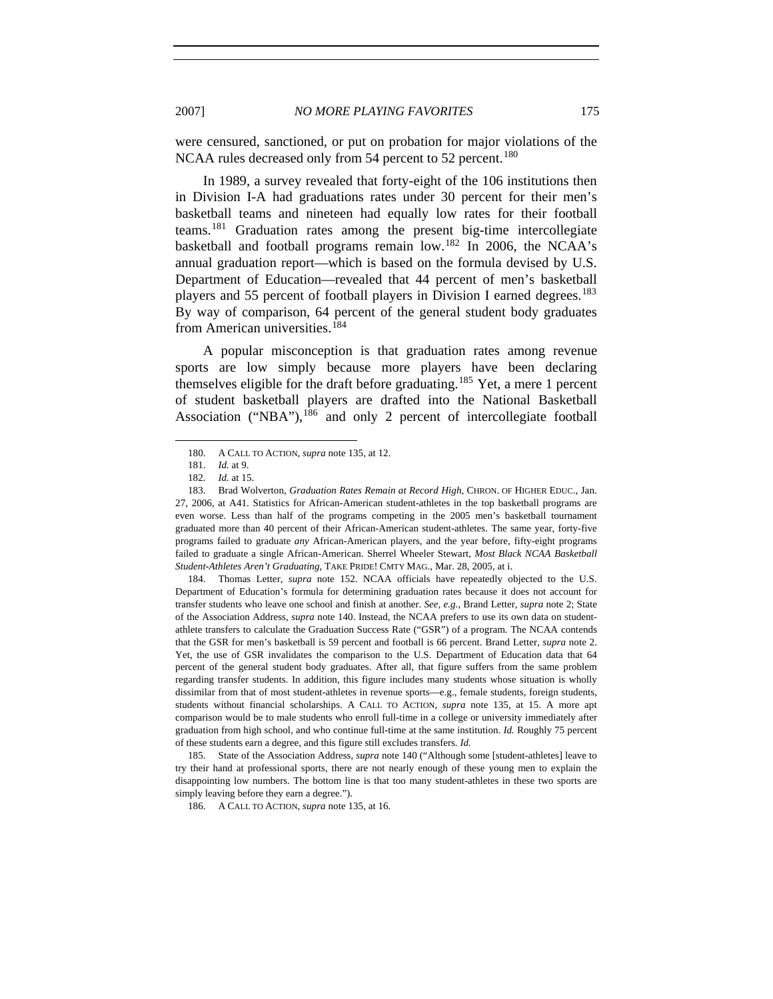were censured, sanctioned, or put on probation for major violations of the NCAA rules decreased only from 54 percent to 52 percent.<sup>[180](#page-26-0)</sup>

In 1989, a survey revealed that forty-eight of the 106 institutions then in Division I-A had graduations rates under 30 percent for their men's basketball teams and nineteen had equally low rates for their football teams.[181](#page-26-1) Graduation rates among the present big-time intercollegiate basketball and football programs remain low.[182](#page-26-2) In 2006, the NCAA's annual graduation report—which is based on the formula devised by U.S. Department of Education—revealed that 44 percent of men's basketball players and 55 percent of football players in Division I earned degrees.<sup>[183](#page-26-3)</sup> By way of comparison, 64 percent of the general student body graduates from American universities.<sup>[184](#page-26-4)</sup>

A popular misconception is that graduation rates among revenue sports are low simply because more players have been declaring themselves eligible for the draft before graduating.<sup>[185](#page-26-5)</sup> Yet, a mere 1 percent of student basketball players are drafted into the National Basketball Association ("NBA"),<sup>[186](#page-26-6)</sup> and only 2 percent of intercollegiate football

<span id="page-26-0"></span>-

<span id="page-26-4"></span>184. Thomas Letter, *supra* note 152. NCAA officials have repeatedly objected to the U.S. Department of Education's formula for determining graduation rates because it does not account for transfer students who leave one school and finish at another. *See, e.g.*, Brand Letter, *supra* note 2; State of the Association Address, *supra* note 140. Instead, the NCAA prefers to use its own data on studentathlete transfers to calculate the Graduation Success Rate ("GSR") of a program. The NCAA contends that the GSR for men's basketball is 59 percent and football is 66 percent. Brand Letter, *supra* note 2. Yet, the use of GSR invalidates the comparison to the U.S. Department of Education data that 64 percent of the general student body graduates. After all, that figure suffers from the same problem regarding transfer students. In addition, this figure includes many students whose situation is wholly dissimilar from that of most student-athletes in revenue sports—e.g., female students, foreign students, students without financial scholarships. A CALL TO ACTION, *supra* note 135, at 15. A more apt comparison would be to male students who enroll full-time in a college or university immediately after graduation from high school, and who continue full-time at the same institution. *Id.* Roughly 75 percent of these students earn a degree, and this figure still excludes transfers. *Id.*

<span id="page-26-6"></span><span id="page-26-5"></span>185. State of the Association Address, *supra* note 140 ("Although some [student-athletes] leave to try their hand at professional sports, there are not nearly enough of these young men to explain the disappointing low numbers. The bottom line is that too many student-athletes in these two sports are simply leaving before they earn a degree.").

186. A CALL TO ACTION, *supra* note 135, at 16.

<sup>180.</sup> A CALL TO ACTION, *supra* note 135, at 12.

<sup>181.</sup> *Id.* at 9.

<sup>182.</sup> *Id.* at 15.

<span id="page-26-3"></span><span id="page-26-2"></span><span id="page-26-1"></span><sup>183.</sup> Brad Wolverton, *Graduation Rates Remain at Record High*, CHRON. OF HIGHER EDUC., Jan. 27, 2006, at A41. Statistics for African-American student-athletes in the top basketball programs are even worse. Less than half of the programs competing in the 2005 men's basketball tournament graduated more than 40 percent of their African-American student-athletes. The same year, forty-five programs failed to graduate *any* African-American players, and the year before, fifty-eight programs failed to graduate a single African-American. Sherrel Wheeler Stewart, *Most Black NCAA Basketball Student-Athletes Aren't Graduating*, TAKE PRIDE! CMTY MAG., Mar. 28, 2005, at i.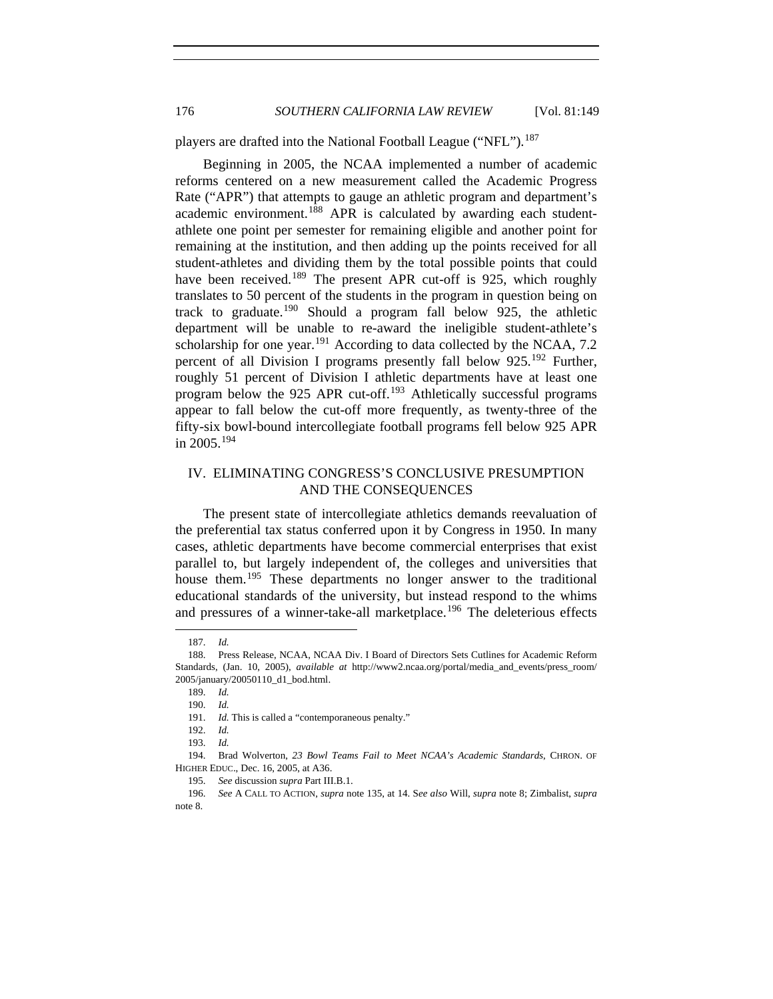players are drafted into the National Football League ("NFL").<sup>[187](#page-27-0)</sup>

Beginning in 2005, the NCAA implemented a number of academic reforms centered on a new measurement called the Academic Progress Rate ("APR") that attempts to gauge an athletic program and department's academic environment.<sup>[188](#page-27-1)</sup> APR is calculated by awarding each studentathlete one point per semester for remaining eligible and another point for remaining at the institution, and then adding up the points received for all student-athletes and dividing them by the total possible points that could have been received.<sup>[189](#page-27-2)</sup> The present APR cut-off is 925, which roughly translates to 50 percent of the students in the program in question being on track to graduate.<sup>[190](#page-27-3)</sup> Should a program fall below 925, the athletic department will be unable to re-award the ineligible student-athlete's scholarship for one year.<sup>[191](#page-27-4)</sup> According to data collected by the NCAA, 7.2 percent of all Division I programs presently fall below 925.<sup>[192](#page-27-5)</sup> Further, roughly 51 percent of Division I athletic departments have at least one program below the 925 APR cut-off.<sup>[193](#page-27-6)</sup> Athletically successful programs appear to fall below the cut-off more frequently, as twenty-three of the fifty-six bowl-bound intercollegiate football programs fell below 925 APR in  $2005.194$  $2005.194$ 

# IV. ELIMINATING CONGRESS'S CONCLUSIVE PRESUMPTION AND THE CONSEQUENCES

The present state of intercollegiate athletics demands reevaluation of the preferential tax status conferred upon it by Congress in 1950. In many cases, athletic departments have become commercial enterprises that exist parallel to, but largely independent of, the colleges and universities that house them.<sup>[195](#page-27-8)</sup> These departments no longer answer to the traditional educational standards of the university, but instead respond to the whims and pressures of a winner-take-all marketplace.<sup>[196](#page-27-9)</sup> The deleterious effects

<sup>187.</sup> *Id.*

<span id="page-27-3"></span><span id="page-27-2"></span><span id="page-27-1"></span><span id="page-27-0"></span><sup>188.</sup> Press Release, NCAA, NCAA Div. I Board of Directors Sets Cutlines for Academic Reform Standards, (Jan. 10, 2005), *available at* http://www2.ncaa.org/portal/media\_and\_events/press\_room/ 2005/january/20050110\_d1\_bod.html.

<sup>189.</sup> *Id.*

<sup>190.</sup> *Id.*

<sup>191.</sup> *Id.* This is called a "contemporaneous penalty."

<sup>192.</sup> *Id.*

<sup>193.</sup> *Id.*

<span id="page-27-7"></span><span id="page-27-6"></span><span id="page-27-5"></span><span id="page-27-4"></span><sup>194.</sup> Brad Wolverton, *23 Bowl Teams Fail to Meet NCAA's Academic Standards*, CHRON. OF HIGHER EDUC., Dec. 16, 2005, at A36.

<sup>195.</sup> *See* discussion *supra* Part III.B.1.

<span id="page-27-9"></span><span id="page-27-8"></span><sup>196.</sup> *See* A CALL TO ACTION, *supra* note 135, at 14. S*ee also* Will, *supra* note 8; Zimbalist, *supra* note 8.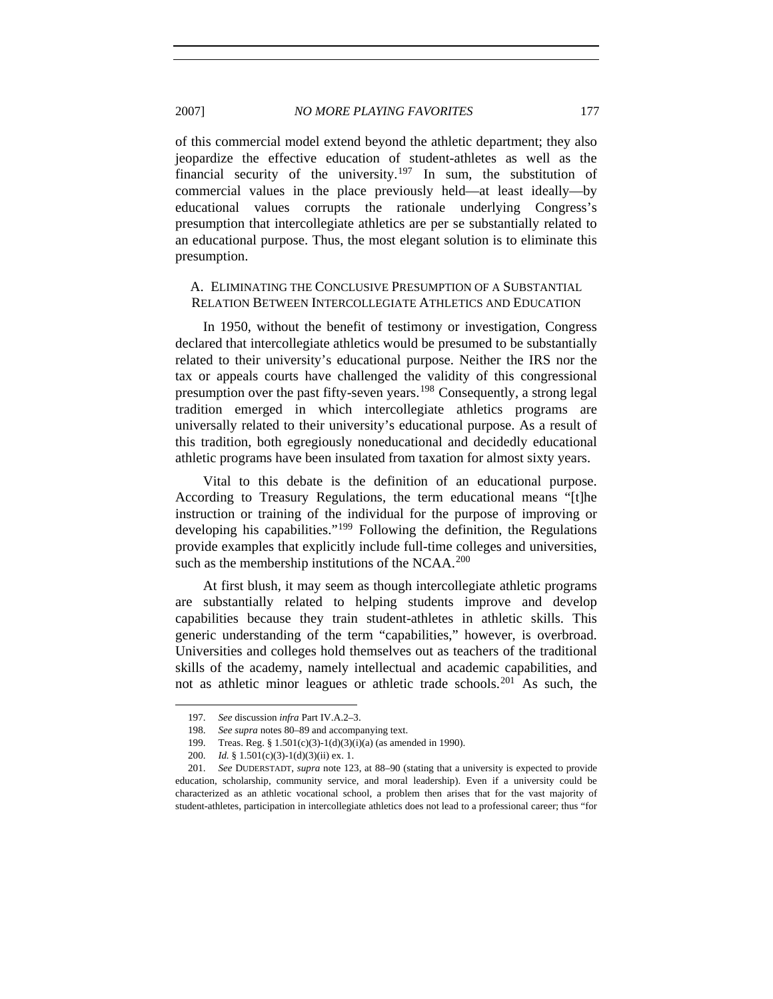of this commercial model extend beyond the athletic department; they also jeopardize the effective education of student-athletes as well as the financial security of the university.<sup>[197](#page-28-0)</sup> In sum, the substitution of commercial values in the place previously held—at least ideally—by educational values corrupts the rationale underlying Congress's presumption that intercollegiate athletics are per se substantially related to an educational purpose. Thus, the most elegant solution is to eliminate this presumption.

## A. ELIMINATING THE CONCLUSIVE PRESUMPTION OF A SUBSTANTIAL RELATION BETWEEN INTERCOLLEGIATE ATHLETICS AND EDUCATION

In 1950, without the benefit of testimony or investigation, Congress declared that intercollegiate athletics would be presumed to be substantially related to their university's educational purpose. Neither the IRS nor the tax or appeals courts have challenged the validity of this congressional presumption over the past fifty-seven years.<sup>[198](#page-28-1)</sup> Consequently, a strong legal tradition emerged in which intercollegiate athletics programs are universally related to their university's educational purpose. As a result of this tradition, both egregiously noneducational and decidedly educational athletic programs have been insulated from taxation for almost sixty years.

Vital to this debate is the definition of an educational purpose. According to Treasury Regulations, the term educational means "[t]he instruction or training of the individual for the purpose of improving or developing his capabilities."[199](#page-28-2) Following the definition, the Regulations provide examples that explicitly include full-time colleges and universities, such as the membership institutions of the NCAA. $^{200}$  $^{200}$  $^{200}$ 

At first blush, it may seem as though intercollegiate athletic programs are substantially related to helping students improve and develop capabilities because they train student-athletes in athletic skills. This generic understanding of the term "capabilities," however, is overbroad. Universities and colleges hold themselves out as teachers of the traditional skills of the academy, namely intellectual and academic capabilities, and not as athletic minor leagues or athletic trade schools.<sup>[201](#page-28-4)</sup> As such, the

<sup>197.</sup> *See* discussion *infra* Part IV.A.2–3.

<sup>198.</sup> *See supra* notes 80–89 and accompanying text.

<sup>199.</sup> Treas. Reg. § 1.501(c)(3)-1(d)(3)(i)(a) (as amended in 1990).

<sup>200.</sup> *Id.* § 1.501(c)(3)-1(d)(3)(ii) ex. 1.

<span id="page-28-4"></span><span id="page-28-3"></span><span id="page-28-2"></span><span id="page-28-1"></span><span id="page-28-0"></span><sup>201.</sup> *See* DUDERSTADT, *supra* note 123, at 88–90 (stating that a university is expected to provide education, scholarship, community service, and moral leadership). Even if a university could be characterized as an athletic vocational school, a problem then arises that for the vast majority of student-athletes, participation in intercollegiate athletics does not lead to a professional career; thus "for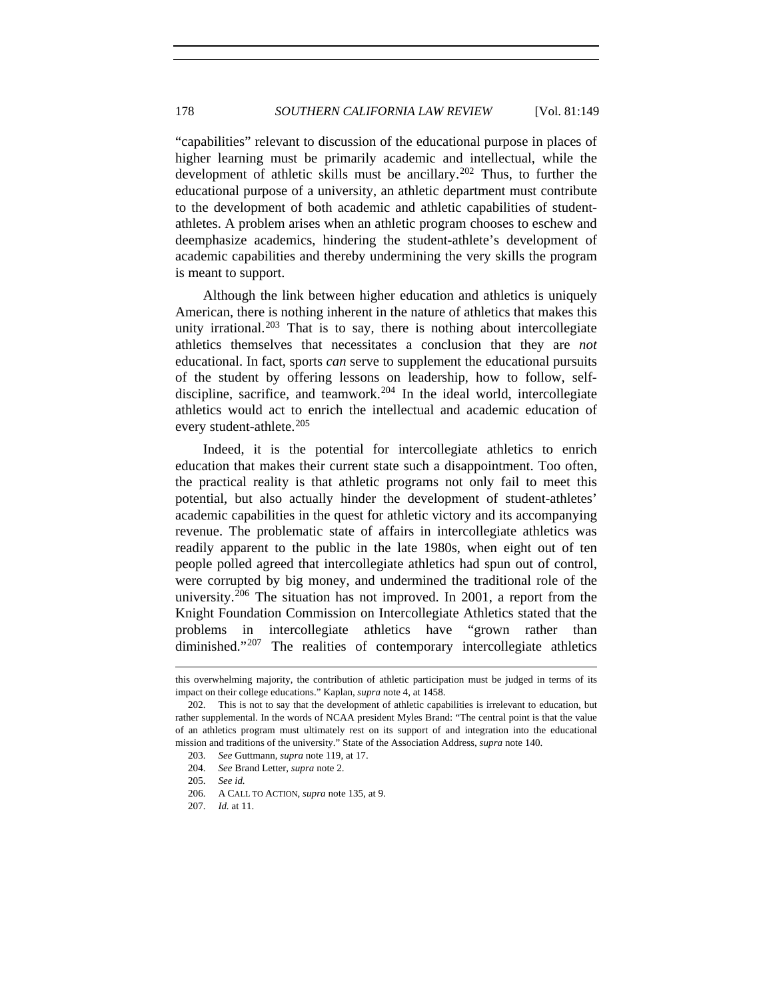"capabilities" relevant to discussion of the educational purpose in places of higher learning must be primarily academic and intellectual, while the development of athletic skills must be ancillary.<sup>[202](#page-29-0)</sup> Thus, to further the educational purpose of a university, an athletic department must contribute to the development of both academic and athletic capabilities of studentathletes. A problem arises when an athletic program chooses to eschew and deemphasize academics, hindering the student-athlete's development of academic capabilities and thereby undermining the very skills the program is meant to support.

Although the link between higher education and athletics is uniquely American, there is nothing inherent in the nature of athletics that makes this unity irrational.<sup>[203](#page-29-1)</sup> That is to say, there is nothing about intercollegiate athletics themselves that necessitates a conclusion that they are *not* educational. In fact, sports *can* serve to supplement the educational pursuits of the student by offering lessons on leadership, how to follow, self-discipline, sacrifice, and teamwork.<sup>[204](#page-29-2)</sup> In the ideal world, intercollegiate athletics would act to enrich the intellectual and academic education of every student-athlete.<sup>[205](#page-29-3)</sup>

Indeed, it is the potential for intercollegiate athletics to enrich education that makes their current state such a disappointment. Too often, the practical reality is that athletic programs not only fail to meet this potential, but also actually hinder the development of student-athletes' academic capabilities in the quest for athletic victory and its accompanying revenue. The problematic state of affairs in intercollegiate athletics was readily apparent to the public in the late 1980s, when eight out of ten people polled agreed that intercollegiate athletics had spun out of control, were corrupted by big money, and undermined the traditional role of the university.<sup>[206](#page-29-4)</sup> The situation has not improved. In 2001, a report from the Knight Foundation Commission on Intercollegiate Athletics stated that the problems in intercollegiate athletics have "grown rather than diminished."<sup>[207](#page-29-5)</sup> The realities of contemporary intercollegiate athletics

l

this overwhelming majority, the contribution of athletic participation must be judged in terms of its impact on their college educations." Kaplan, *supra* note 4, at 1458.

<span id="page-29-2"></span><span id="page-29-1"></span><span id="page-29-0"></span><sup>202.</sup> This is not to say that the development of athletic capabilities is irrelevant to education, but rather supplemental. In the words of NCAA president Myles Brand: "The central point is that the value of an athletics program must ultimately rest on its support of and integration into the educational mission and traditions of the university." State of the Association Address, *supra* note 140.

<sup>203.</sup> *See* Guttmann, *supra* note 119, at 17.

<sup>204.</sup> *See* Brand Letter, *supra* note 2.

<sup>205.</sup> *See id.*

<span id="page-29-4"></span><span id="page-29-3"></span><sup>206.</sup> A CALL TO ACTION, *supra* note 135, at 9.

<span id="page-29-5"></span><sup>207.</sup> *Id.* at 11.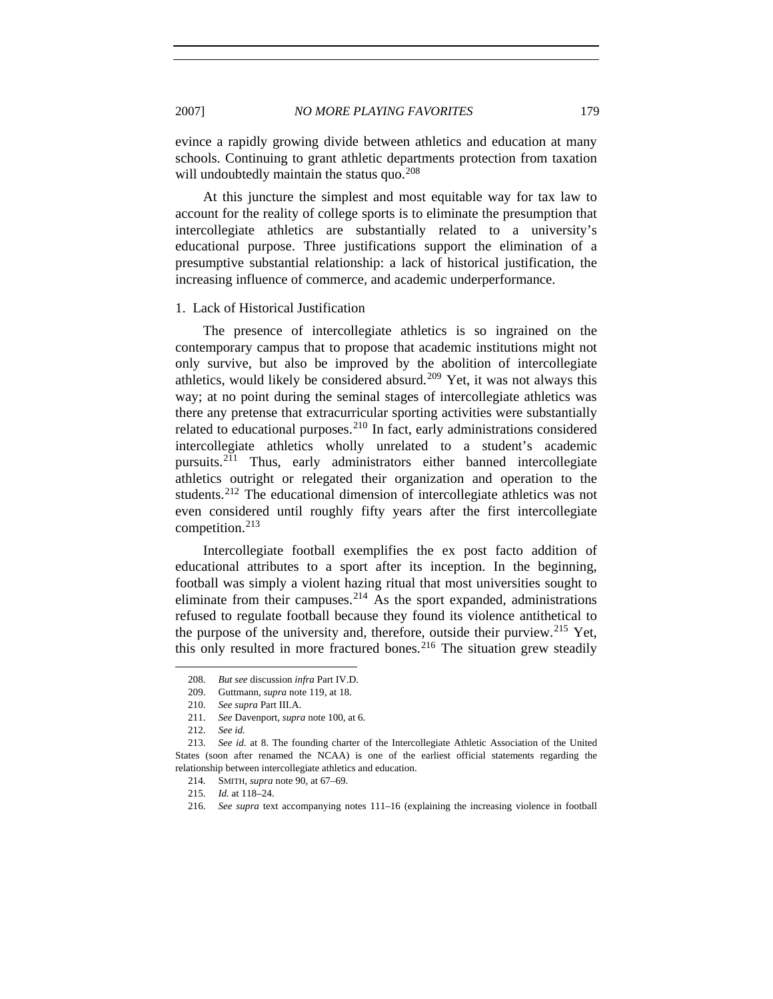evince a rapidly growing divide between athletics and education at many schools. Continuing to grant athletic departments protection from taxation will undoubtedly maintain the status quo.<sup>[208](#page-30-0)</sup>

At this juncture the simplest and most equitable way for tax law to account for the reality of college sports is to eliminate the presumption that intercollegiate athletics are substantially related to a university's educational purpose. Three justifications support the elimination of a presumptive substantial relationship: a lack of historical justification, the increasing influence of commerce, and academic underperformance.

#### 1. Lack of Historical Justification

The presence of intercollegiate athletics is so ingrained on the contemporary campus that to propose that academic institutions might not only survive, but also be improved by the abolition of intercollegiate athletics, would likely be considered absurd.<sup>[209](#page-30-1)</sup> Yet, it was not always this way; at no point during the seminal stages of intercollegiate athletics was there any pretense that extracurricular sporting activities were substantially related to educational purposes.<sup>[210](#page-30-2)</sup> In fact, early administrations considered intercollegiate athletics wholly unrelated to a student's academic pursuits.[211](#page-30-3) Thus, early administrators either banned intercollegiate athletics outright or relegated their organization and operation to the students.<sup>[212](#page-30-4)</sup> The educational dimension of intercollegiate athletics was not even considered until roughly fifty years after the first intercollegiate competition.[213](#page-30-5)

Intercollegiate football exemplifies the ex post facto addition of educational attributes to a sport after its inception. In the beginning, football was simply a violent hazing ritual that most universities sought to eliminate from their campuses.<sup>[214](#page-30-6)</sup> As the sport expanded, administrations refused to regulate football because they found its violence antithetical to the purpose of the university and, therefore, outside their purview.<sup>[215](#page-30-7)</sup> Yet, this only resulted in more fractured bones.<sup>[216](#page-30-8)</sup> The situation grew steadily

<sup>208.</sup> *But see* discussion *infra* Part IV.D.

<sup>209.</sup> Guttmann, *supra* note 119, at 18.

<sup>210.</sup> *See supra* Part III.A.

<sup>211.</sup> *See* Davenport, *supra* note 100, at 6.

<sup>212.</sup> *See id.*

<span id="page-30-8"></span><span id="page-30-7"></span><span id="page-30-6"></span><span id="page-30-5"></span><span id="page-30-4"></span><span id="page-30-3"></span><span id="page-30-2"></span><span id="page-30-1"></span><span id="page-30-0"></span><sup>213.</sup> *See id.* at 8. The founding charter of the Intercollegiate Athletic Association of the United States (soon after renamed the NCAA) is one of the earliest official statements regarding the relationship between intercollegiate athletics and education.

<sup>214.</sup> SMITH, *supra* note 90, at 67–69.

<sup>215.</sup> *Id.* at 118–24.

<sup>216.</sup> *See supra* text accompanying notes 111–16 (explaining the increasing violence in football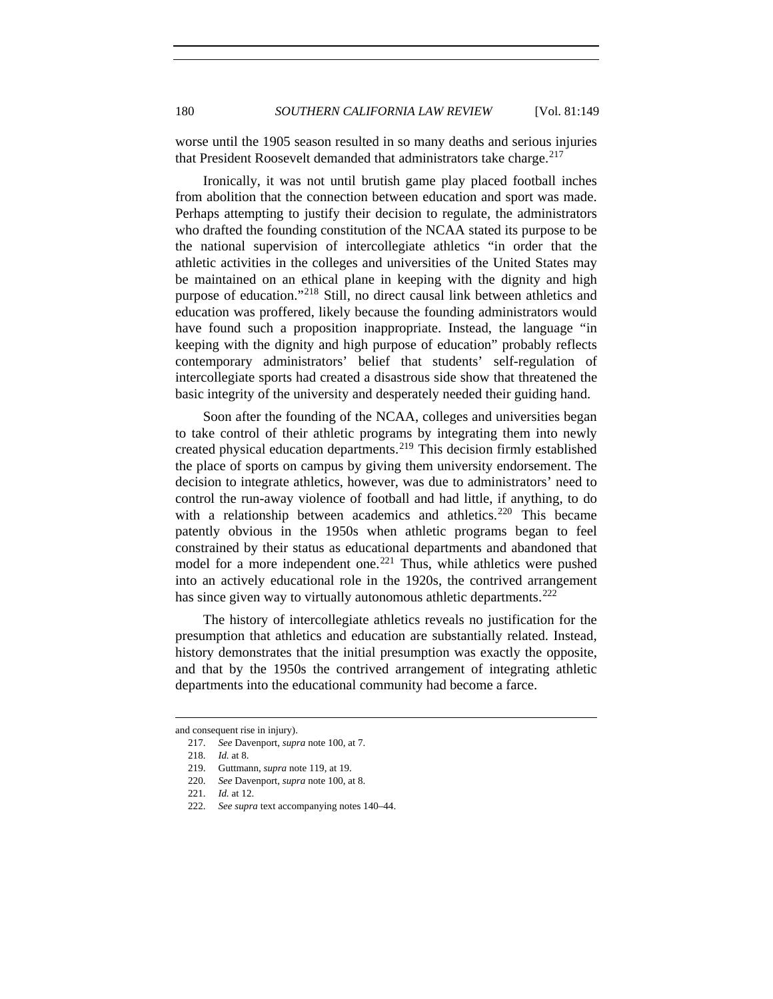worse until the 1905 season resulted in so many deaths and serious injuries that President Roosevelt demanded that administrators take charge.<sup>[217](#page-31-0)</sup>

Ironically, it was not until brutish game play placed football inches from abolition that the connection between education and sport was made. Perhaps attempting to justify their decision to regulate, the administrators who drafted the founding constitution of the NCAA stated its purpose to be the national supervision of intercollegiate athletics "in order that the athletic activities in the colleges and universities of the United States may be maintained on an ethical plane in keeping with the dignity and high purpose of education."[218](#page-31-1) Still, no direct causal link between athletics and education was proffered, likely because the founding administrators would have found such a proposition inappropriate. Instead, the language "in keeping with the dignity and high purpose of education" probably reflects contemporary administrators' belief that students' self-regulation of intercollegiate sports had created a disastrous side show that threatened the basic integrity of the university and desperately needed their guiding hand.

Soon after the founding of the NCAA, colleges and universities began to take control of their athletic programs by integrating them into newly created physical education departments.<sup>[219](#page-31-2)</sup> This decision firmly established the place of sports on campus by giving them university endorsement. The decision to integrate athletics, however, was due to administrators' need to control the run-away violence of football and had little, if anything, to do with a relationship between academics and athletics.<sup>[220](#page-31-3)</sup> This became patently obvious in the 1950s when athletic programs began to feel constrained by their status as educational departments and abandoned that model for a more independent one.<sup>[221](#page-31-4)</sup> Thus, while athletics were pushed into an actively educational role in the 1920s, the contrived arrangement has since given way to virtually autonomous athletic departments.<sup>[222](#page-31-5)</sup>

The history of intercollegiate athletics reveals no justification for the presumption that athletics and education are substantially related. Instead, history demonstrates that the initial presumption was exactly the opposite, and that by the 1950s the contrived arrangement of integrating athletic departments into the educational community had become a farce.

l

<span id="page-31-4"></span><span id="page-31-3"></span><span id="page-31-2"></span><span id="page-31-1"></span><span id="page-31-0"></span>and consequent rise in injury).

<sup>217.</sup> *See* Davenport, *supra* note 100, at 7.

<sup>218.</sup> *Id.* at 8.

<sup>219.</sup> Guttmann, *supra* note 119, at 19.

<sup>220.</sup> *See* Davenport, *supra* note 100, at 8.

<sup>221.</sup> *Id.* at 12.

<span id="page-31-5"></span><sup>222.</sup> *See supra* text accompanying notes 140–44.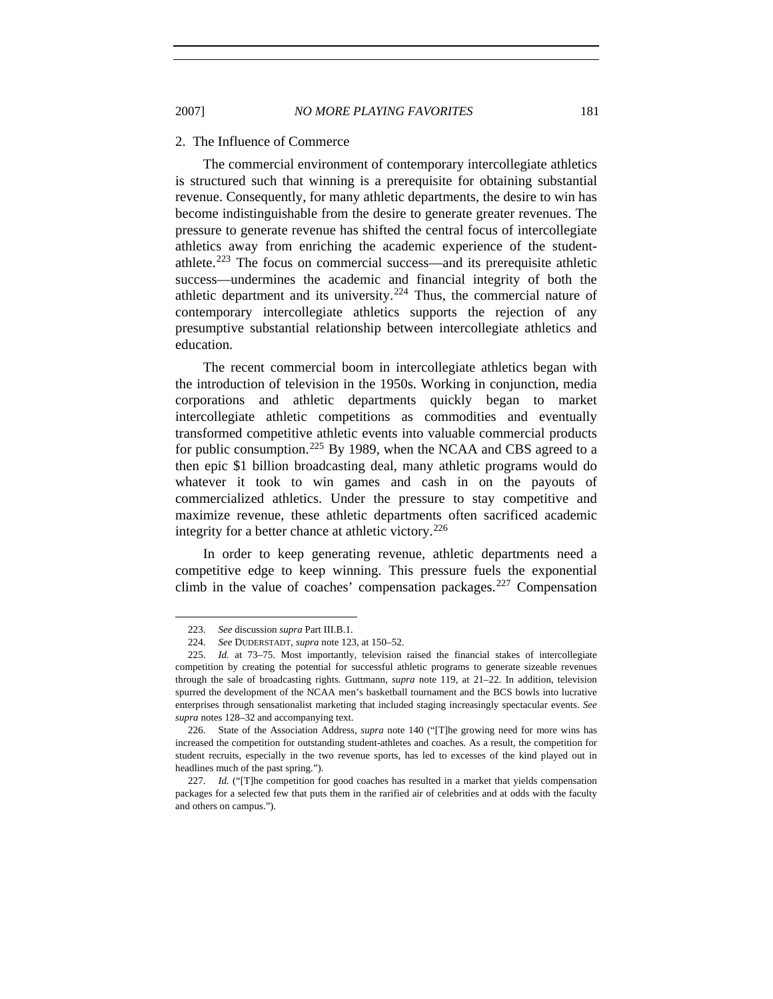#### 2. The Influence of Commerce

The commercial environment of contemporary intercollegiate athletics is structured such that winning is a prerequisite for obtaining substantial revenue. Consequently, for many athletic departments, the desire to win has become indistinguishable from the desire to generate greater revenues. The pressure to generate revenue has shifted the central focus of intercollegiate athletics away from enriching the academic experience of the student-athlete.<sup>[223](#page-32-0)</sup> The focus on commercial success—and its prerequisite athletic success—undermines the academic and financial integrity of both the athletic department and its university.<sup>[224](#page-32-1)</sup> Thus, the commercial nature of contemporary intercollegiate athletics supports the rejection of any presumptive substantial relationship between intercollegiate athletics and education.

The recent commercial boom in intercollegiate athletics began with the introduction of television in the 1950s. Working in conjunction, media corporations and athletic departments quickly began to market intercollegiate athletic competitions as commodities and eventually transformed competitive athletic events into valuable commercial products for public consumption.<sup>[225](#page-32-2)</sup> By 1989, when the NCAA and CBS agreed to a then epic \$1 billion broadcasting deal, many athletic programs would do whatever it took to win games and cash in on the payouts of commercialized athletics. Under the pressure to stay competitive and maximize revenue, these athletic departments often sacrificed academic integrity for a better chance at athletic victory.<sup>[226](#page-32-3)</sup>

In order to keep generating revenue, athletic departments need a competitive edge to keep winning. This pressure fuels the exponential climb in the value of coaches' compensation packages.<sup>[227](#page-32-4)</sup> Compensation

<sup>223.</sup> *See* discussion *supra* Part III.B.1.

<sup>224.</sup> *See* DUDERSTADT, *supra* note 123, at 150–52.

<span id="page-32-2"></span><span id="page-32-1"></span><span id="page-32-0"></span><sup>225.</sup> *Id.* at 73–75. Most importantly, television raised the financial stakes of intercollegiate competition by creating the potential for successful athletic programs to generate sizeable revenues through the sale of broadcasting rights. Guttmann, *supra* note 119, at 21–22. In addition, television spurred the development of the NCAA men's basketball tournament and the BCS bowls into lucrative enterprises through sensationalist marketing that included staging increasingly spectacular events. *See supra* notes 128–32 and accompanying text.

<span id="page-32-3"></span><sup>226.</sup> State of the Association Address, *supra* note 140 ("[T]he growing need for more wins has increased the competition for outstanding student-athletes and coaches. As a result, the competition for student recruits, especially in the two revenue sports, has led to excesses of the kind played out in headlines much of the past spring.").

<span id="page-32-4"></span><sup>227.</sup> *Id.* ("[T]he competition for good coaches has resulted in a market that yields compensation packages for a selected few that puts them in the rarified air of celebrities and at odds with the faculty and others on campus.").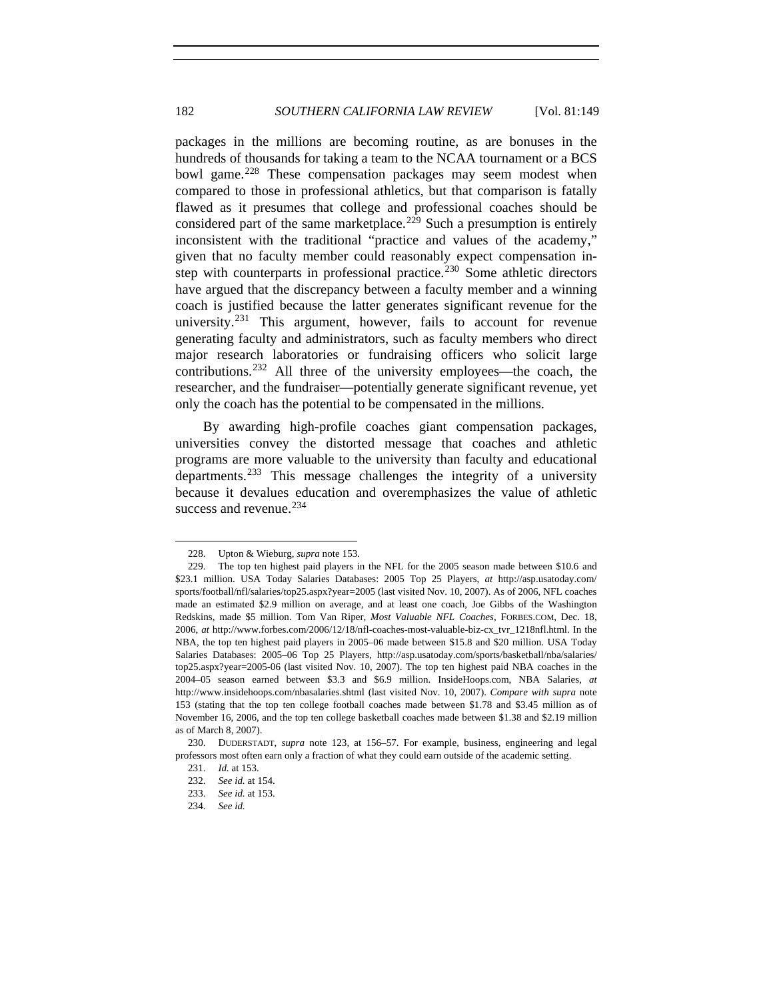packages in the millions are becoming routine, as are bonuses in the hundreds of thousands for taking a team to the NCAA tournament or a BCS bowl game.<sup>[228](#page-33-0)</sup> These compensation packages may seem modest when compared to those in professional athletics, but that comparison is fatally flawed as it presumes that college and professional coaches should be considered part of the same marketplace.<sup>[229](#page-33-1)</sup> Such a presumption is entirely inconsistent with the traditional "practice and values of the academy," given that no faculty member could reasonably expect compensation in-step with counterparts in professional practice.<sup>[230](#page-33-2)</sup> Some athletic directors have argued that the discrepancy between a faculty member and a winning coach is justified because the latter generates significant revenue for the university.<sup>[231](#page-33-3)</sup> This argument, however, fails to account for revenue generating faculty and administrators, such as faculty members who direct major research laboratories or fundraising officers who solicit large contributions.[232](#page-33-4) All three of the university employees—the coach, the researcher, and the fundraiser—potentially generate significant revenue, yet only the coach has the potential to be compensated in the millions.

By awarding high-profile coaches giant compensation packages, universities convey the distorted message that coaches and athletic programs are more valuable to the university than faculty and educational departments.<sup>[233](#page-33-5)</sup> This message challenges the integrity of a university because it devalues education and overemphasizes the value of athletic success and revenue.<sup>[234](#page-33-6)</sup>

<sup>228.</sup> Upton & Wieburg, *supra* note 153.

<span id="page-33-1"></span><span id="page-33-0"></span><sup>229.</sup> The top ten highest paid players in the NFL for the 2005 season made between \$10.6 and \$23.1 million. USA Today Salaries Databases: 2005 Top 25 Players, *at* http://asp.usatoday.com/ sports/football/nfl/salaries/top25.aspx?year=2005 (last visited Nov. 10, 2007). As of 2006, NFL coaches made an estimated \$2.9 million on average, and at least one coach, Joe Gibbs of the Washington Redskins, made \$5 million. Tom Van Riper, *Most Valuable NFL Coaches*, FORBES.COM, Dec. 18, 2006, *at* http://www.forbes.com/2006/12/18/nfl-coaches-most-valuable-biz-cx\_tvr\_1218nfl.html. In the NBA, the top ten highest paid players in 2005–06 made between \$15.8 and \$20 million. USA Today Salaries Databases: 2005–06 Top 25 Players, http://asp.usatoday.com/sports/basketball/nba/salaries/ top25.aspx?year=2005-06 (last visited Nov. 10, 2007). The top ten highest paid NBA coaches in the 2004–05 season earned between \$3.3 and \$6.9 million. InsideHoops.com, NBA Salaries*, at* http://www.insidehoops.com/nbasalaries.shtml (last visited Nov. 10, 2007). *Compare with supra* note 153 (stating that the top ten college football coaches made between \$1.78 and \$3.45 million as of November 16, 2006, and the top ten college basketball coaches made between \$1.38 and \$2.19 million as of March 8, 2007).

<span id="page-33-6"></span><span id="page-33-5"></span><span id="page-33-4"></span><span id="page-33-3"></span><span id="page-33-2"></span><sup>230.</sup> DUDERSTADT, *supra* note 123, at 156–57. For example, business, engineering and legal professors most often earn only a fraction of what they could earn outside of the academic setting.

<sup>231.</sup> *Id.* at 153.

<sup>232.</sup> *See id.* at 154.

<sup>233.</sup> *See id.* at 153.

<sup>234.</sup> *See id.*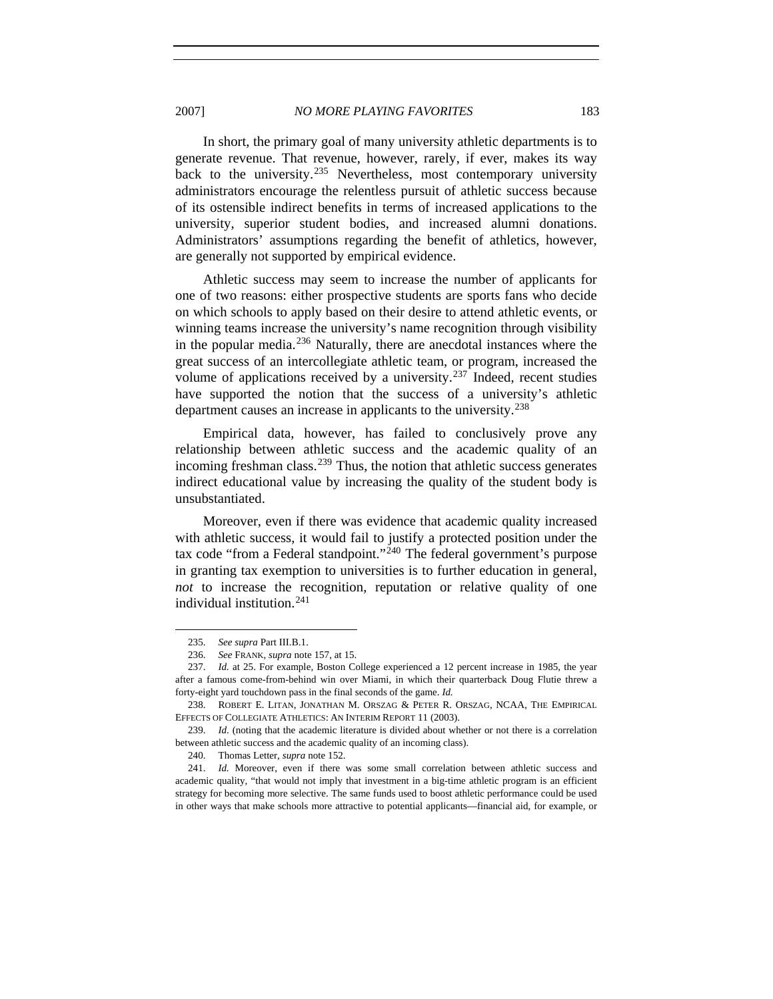In short, the primary goal of many university athletic departments is to generate revenue. That revenue, however, rarely, if ever, makes its way back to the university.<sup>[235](#page-34-0)</sup> Nevertheless, most contemporary university administrators encourage the relentless pursuit of athletic success because of its ostensible indirect benefits in terms of increased applications to the university, superior student bodies, and increased alumni donations. Administrators' assumptions regarding the benefit of athletics, however, are generally not supported by empirical evidence.

Athletic success may seem to increase the number of applicants for one of two reasons: either prospective students are sports fans who decide on which schools to apply based on their desire to attend athletic events, or winning teams increase the university's name recognition through visibility in the popular media.[236](#page-34-1) Naturally, there are anecdotal instances where the great success of an intercollegiate athletic team, or program, increased the volume of applications received by a university.<sup>[237](#page-34-2)</sup> Indeed, recent studies have supported the notion that the success of a university's athletic department causes an increase in applicants to the university.<sup>[238](#page-34-3)</sup>

Empirical data, however, has failed to conclusively prove any relationship between athletic success and the academic quality of an incoming freshman class.<sup>[239](#page-34-4)</sup> Thus, the notion that athletic success generates indirect educational value by increasing the quality of the student body is unsubstantiated.

Moreover, even if there was evidence that academic quality increased with athletic success, it would fail to justify a protected position under the tax code "from a Federal standpoint."<sup>[240](#page-34-5)</sup> The federal government's purpose in granting tax exemption to universities is to further education in general, *not* to increase the recognition, reputation or relative quality of one individual institution.<sup>[241](#page-34-6)</sup>

<sup>235.</sup> *See supra* Part III.B.1.

<sup>236.</sup> *See* FRANK, *supra* note 157, at 15.

<span id="page-34-2"></span><span id="page-34-1"></span><span id="page-34-0"></span><sup>237.</sup> *Id.* at 25. For example, Boston College experienced a 12 percent increase in 1985, the year after a famous come-from-behind win over Miami, in which their quarterback Doug Flutie threw a forty-eight yard touchdown pass in the final seconds of the game. *Id.*

<span id="page-34-3"></span><sup>238.</sup> ROBERT E. LITAN, JONATHAN M. ORSZAG & PETER R. ORSZAG, NCAA, THE EMPIRICAL EFFECTS OF COLLEGIATE ATHLETICS: AN INTERIM REPORT 11 (2003).

<span id="page-34-4"></span><sup>239.</sup> *Id*. (noting that the academic literature is divided about whether or not there is a correlation between athletic success and the academic quality of an incoming class).

<sup>240.</sup> Thomas Letter, *supra* note 152.

<span id="page-34-6"></span><span id="page-34-5"></span><sup>241.</sup> *Id.* Moreover, even if there was some small correlation between athletic success and academic quality, "that would not imply that investment in a big-time athletic program is an efficient strategy for becoming more selective. The same funds used to boost athletic performance could be used in other ways that make schools more attractive to potential applicants—financial aid, for example, or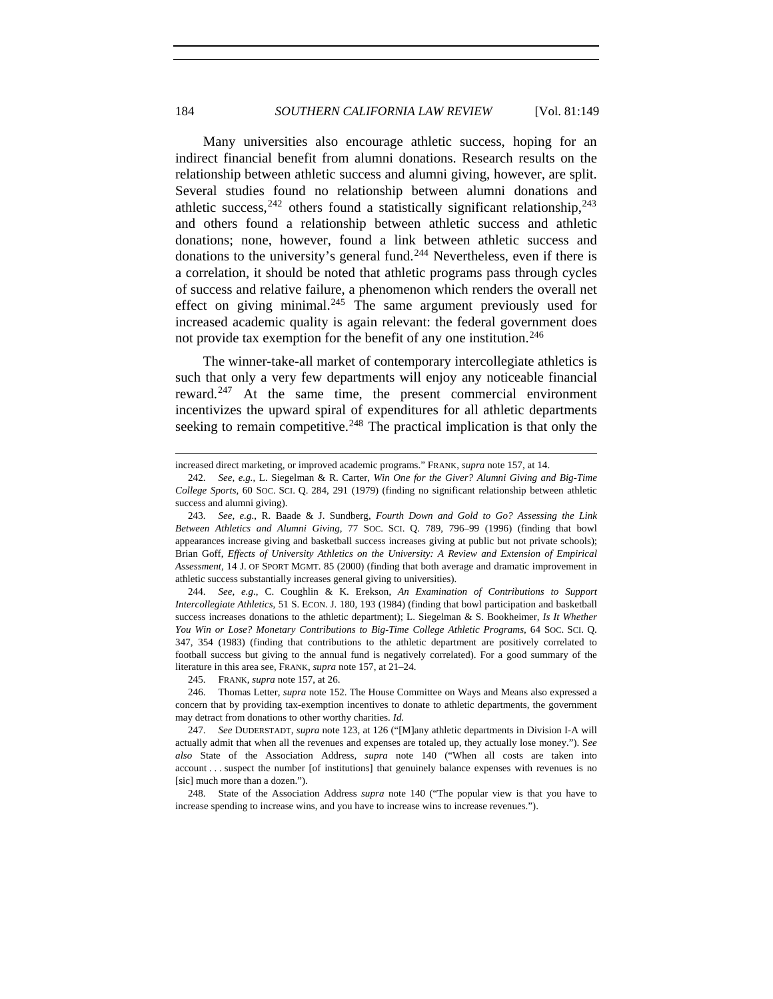Many universities also encourage athletic success, hoping for an indirect financial benefit from alumni donations. Research results on the relationship between athletic success and alumni giving, however, are split. Several studies found no relationship between alumni donations and athletic success,  $242$  others found a statistically significant relationship,  $243$ and others found a relationship between athletic success and athletic donations; none, however, found a link between athletic success and donations to the university's general fund.<sup>[244](#page-35-2)</sup> Nevertheless, even if there is a correlation, it should be noted that athletic programs pass through cycles of success and relative failure, a phenomenon which renders the overall net effect on giving minimal.<sup>[245](#page-35-3)</sup> The same argument previously used for increased academic quality is again relevant: the federal government does not provide tax exemption for the benefit of any one institution.<sup>[246](#page-35-4)</sup>

The winner-take-all market of contemporary intercollegiate athletics is such that only a very few departments will enjoy any noticeable financial reward.<sup>[247](#page-35-5)</sup> At the same time, the present commercial environment incentivizes the upward spiral of expenditures for all athletic departments seeking to remain competitive.<sup>[248](#page-35-6)</sup> The practical implication is that only the

245. FRANK, *supra* note 157, at 26.

l

increased direct marketing, or improved academic programs." FRANK, *supra* note 157, at 14.

<span id="page-35-0"></span><sup>242.</sup> *See, e.g.*, L. Siegelman & R. Carter, *Win One for the Giver? Alumni Giving and Big-Time College Sports*, 60 SOC. SCI. Q. 284, 291 (1979) (finding no significant relationship between athletic success and alumni giving).

<span id="page-35-1"></span><sup>243.</sup> *See, e.g.*, R. Baade & J. Sundberg, *Fourth Down and Gold to Go? Assessing the Link Between Athletics and Alumni Giving*, 77 SOC. SCI. Q. 789, 796–99 (1996) (finding that bowl appearances increase giving and basketball success increases giving at public but not private schools); Brian Goff, *Effects of University Athletics on the University: A Review and Extension of Empirical Assessment*, 14 J. OF SPORT MGMT. 85 (2000) (finding that both average and dramatic improvement in athletic success substantially increases general giving to universities).

<span id="page-35-2"></span><sup>244.</sup> *See, e.g.*, C. Coughlin & K. Erekson, *An Examination of Contributions to Support Intercollegiate Athletics*, 51 S. ECON. J. 180, 193 (1984) (finding that bowl participation and basketball success increases donations to the athletic department); L. Siegelman & S. Bookheimer, *Is It Whether You Win or Lose? Monetary Contributions to Big-Time College Athletic Programs*, 64 SOC. SCI. Q. 347, 354 (1983) (finding that contributions to the athletic department are positively correlated to football success but giving to the annual fund is negatively correlated). For a good summary of the literature in this area see, FRANK, *supra* note 157, at 21–24.

<span id="page-35-4"></span><span id="page-35-3"></span><sup>246.</sup> Thomas Letter, *supra* note 152. The House Committee on Ways and Means also expressed a concern that by providing tax-exemption incentives to donate to athletic departments, the government may detract from donations to other worthy charities. *Id.*

<span id="page-35-5"></span><sup>247.</sup> *See* DUDERSTADT, *supra* note 123, at 126 ("[M]any athletic departments in Division I-A will actually admit that when all the revenues and expenses are totaled up, they actually lose money."). S*ee also* State of the Association Address, *supra* note 140 ("When all costs are taken into account . . . suspect the number [of institutions] that genuinely balance expenses with revenues is no [sic] much more than a dozen.").

<span id="page-35-6"></span><sup>248.</sup> State of the Association Address *supra* note 140 ("The popular view is that you have to increase spending to increase wins, and you have to increase wins to increase revenues.").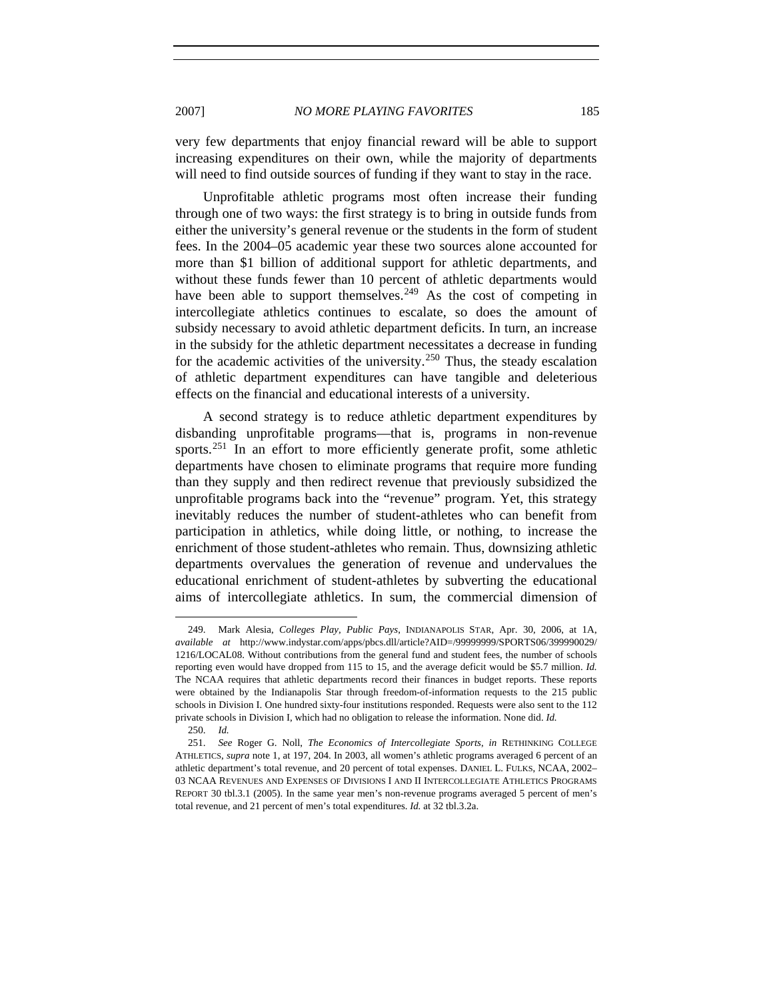very few departments that enjoy financial reward will be able to support increasing expenditures on their own, while the majority of departments will need to find outside sources of funding if they want to stay in the race.

Unprofitable athletic programs most often increase their funding through one of two ways: the first strategy is to bring in outside funds from either the university's general revenue or the students in the form of student fees. In the 2004–05 academic year these two sources alone accounted for more than \$1 billion of additional support for athletic departments, and without these funds fewer than 10 percent of athletic departments would have been able to support themselves.<sup>[249](#page-36-0)</sup> As the cost of competing in intercollegiate athletics continues to escalate, so does the amount of subsidy necessary to avoid athletic department deficits. In turn, an increase in the subsidy for the athletic department necessitates a decrease in funding for the academic activities of the university.<sup>[250](#page-36-1)</sup> Thus, the steady escalation of athletic department expenditures can have tangible and deleterious effects on the financial and educational interests of a university.

A second strategy is to reduce athletic department expenditures by disbanding unprofitable programs—that is, programs in non-revenue sports.<sup>[251](#page-36-2)</sup> In an effort to more efficiently generate profit, some athletic departments have chosen to eliminate programs that require more funding than they supply and then redirect revenue that previously subsidized the unprofitable programs back into the "revenue" program. Yet, this strategy inevitably reduces the number of student-athletes who can benefit from participation in athletics, while doing little, or nothing, to increase the enrichment of those student-athletes who remain. Thus, downsizing athletic departments overvalues the generation of revenue and undervalues the educational enrichment of student-athletes by subverting the educational aims of intercollegiate athletics. In sum, the commercial dimension of

<span id="page-36-0"></span><sup>249.</sup> Mark Alesia, *Colleges Play, Public Pays*, INDIANAPOLIS STAR, Apr. 30, 2006, at 1A, *available at* http://www.indystar.com/apps/pbcs.dll/article?AID=/99999999/SPORTS06/399990029/ 1216/LOCAL08. Without contributions from the general fund and student fees, the number of schools reporting even would have dropped from 115 to 15, and the average deficit would be \$5.7 million. *Id.* The NCAA requires that athletic departments record their finances in budget reports. These reports were obtained by the Indianapolis Star through freedom-of-information requests to the 215 public schools in Division I. One hundred sixty-four institutions responded. Requests were also sent to the 112 private schools in Division I, which had no obligation to release the information. None did. *Id.*

<sup>250.</sup> *Id.*

<span id="page-36-2"></span><span id="page-36-1"></span><sup>251.</sup> *See* Roger G. Noll, *The Economics of Intercollegiate Sports*, *in* RETHINKING COLLEGE ATHLETICS, *supra* note 1, at 197, 204. In 2003, all women's athletic programs averaged 6 percent of an athletic department's total revenue, and 20 percent of total expenses. DANIEL L. FULKS, NCAA, 2002– 03 NCAA REVENUES AND EXPENSES OF DIVISIONS I AND II INTERCOLLEGIATE ATHLETICS PROGRAMS REPORT 30 tbl.3.1 (2005). In the same year men's non-revenue programs averaged 5 percent of men's total revenue, and 21 percent of men's total expenditures. *Id.* at 32 tbl.3.2a.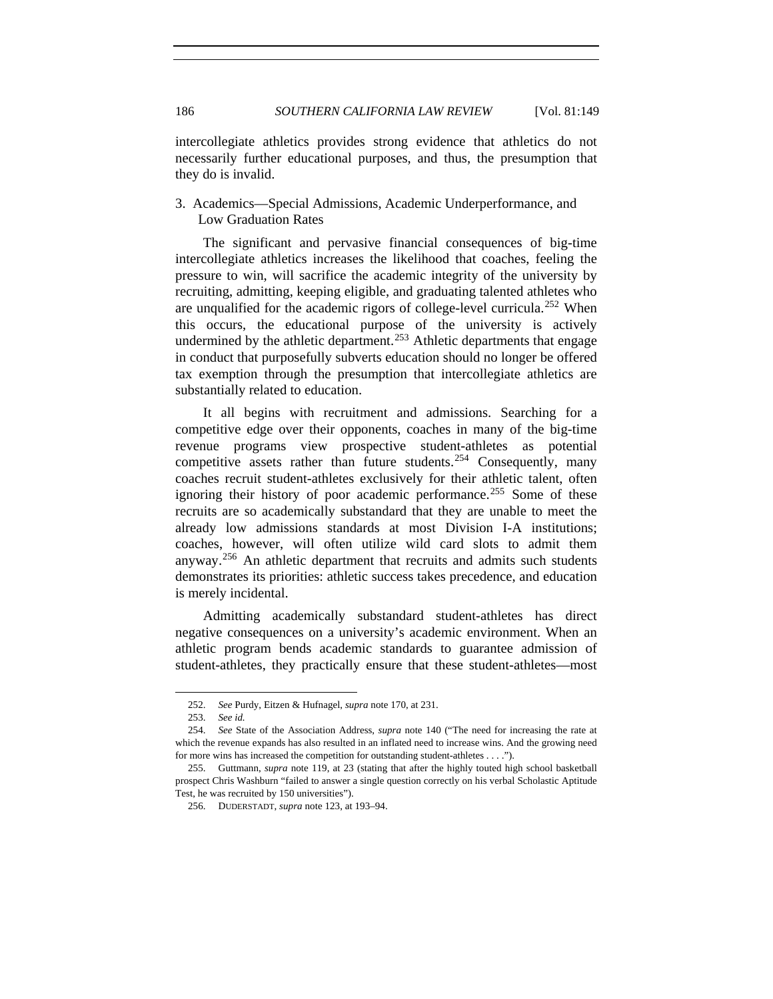intercollegiate athletics provides strong evidence that athletics do not necessarily further educational purposes, and thus, the presumption that they do is invalid.

# 3. Academics—Special Admissions, Academic Underperformance, and Low Graduation Rates

The significant and pervasive financial consequences of big-time intercollegiate athletics increases the likelihood that coaches, feeling the pressure to win, will sacrifice the academic integrity of the university by recruiting, admitting, keeping eligible, and graduating talented athletes who are unqualified for the academic rigors of college-level curricula.<sup>[252](#page-37-0)</sup> When this occurs, the educational purpose of the university is actively undermined by the athletic department.<sup>[253](#page-37-1)</sup> Athletic departments that engage in conduct that purposefully subverts education should no longer be offered tax exemption through the presumption that intercollegiate athletics are substantially related to education.

It all begins with recruitment and admissions. Searching for a competitive edge over their opponents, coaches in many of the big-time revenue programs view prospective student-athletes as potential competitive assets rather than future students.<sup>[254](#page-37-2)</sup> Consequently, many coaches recruit student-athletes exclusively for their athletic talent, often ignoring their history of poor academic performance.<sup>[255](#page-37-3)</sup> Some of these recruits are so academically substandard that they are unable to meet the already low admissions standards at most Division I-A institutions; coaches, however, will often utilize wild card slots to admit them anyway.<sup>[256](#page-37-4)</sup> An athletic department that recruits and admits such students demonstrates its priorities: athletic success takes precedence, and education is merely incidental.

Admitting academically substandard student-athletes has direct negative consequences on a university's academic environment. When an athletic program bends academic standards to guarantee admission of student-athletes, they practically ensure that these student-athletes—most

<sup>252.</sup> *See* Purdy, Eitzen & Hufnagel, *supra* note 170, at 231.

<sup>253.</sup> *See id.*

<span id="page-37-2"></span><span id="page-37-1"></span><span id="page-37-0"></span><sup>254.</sup> *See* State of the Association Address, *supra* note 140 ("The need for increasing the rate at which the revenue expands has also resulted in an inflated need to increase wins. And the growing need for more wins has increased the competition for outstanding student-athletes . . . .").

<span id="page-37-4"></span><span id="page-37-3"></span><sup>255.</sup> Guttmann, *supra* note 119, at 23 (stating that after the highly touted high school basketball prospect Chris Washburn "failed to answer a single question correctly on his verbal Scholastic Aptitude Test, he was recruited by 150 universities").

<sup>256.</sup> DUDERSTADT, *supra* note 123, at 193–94.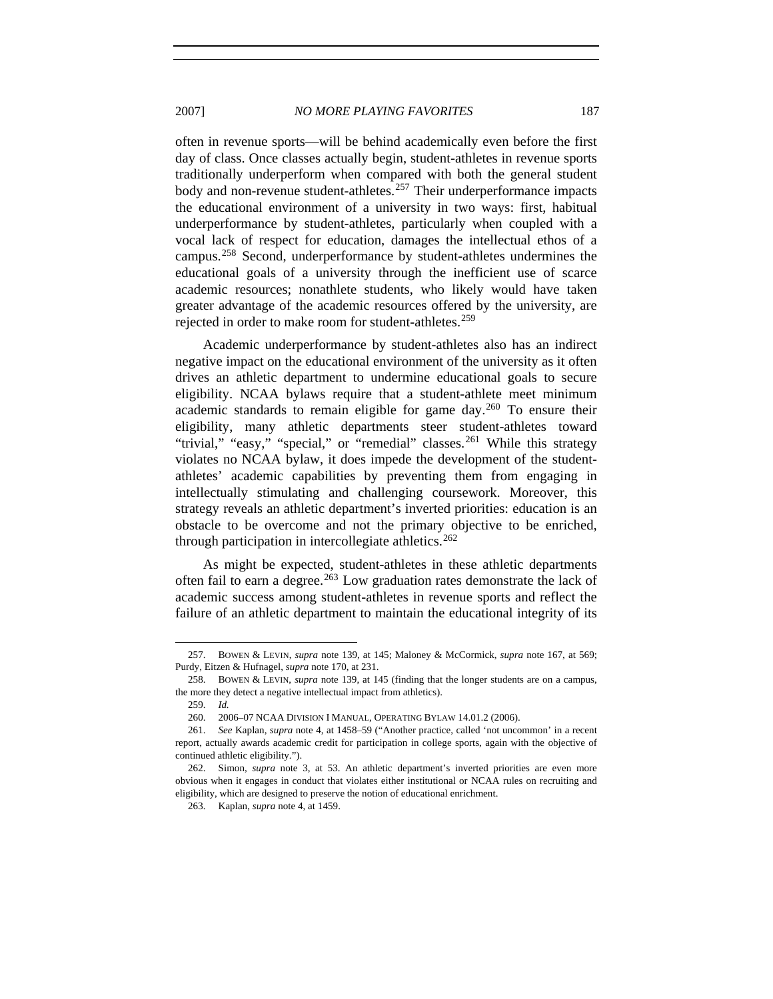2007] *NO MORE PLAYING FAVORITES* 187

often in revenue sports—will be behind academically even before the first day of class. Once classes actually begin, student-athletes in revenue sports traditionally underperform when compared with both the general student body and non-revenue student-athletes.<sup>[257](#page-38-0)</sup> Their underperformance impacts the educational environment of a university in two ways: first, habitual underperformance by student-athletes, particularly when coupled with a vocal lack of respect for education, damages the intellectual ethos of a campus.[258](#page-38-1) Second, underperformance by student-athletes undermines the educational goals of a university through the inefficient use of scarce academic resources; nonathlete students, who likely would have taken greater advantage of the academic resources offered by the university, are rejected in order to make room for student-athletes.<sup>[259](#page-38-2)</sup>

Academic underperformance by student-athletes also has an indirect negative impact on the educational environment of the university as it often drives an athletic department to undermine educational goals to secure eligibility. NCAA bylaws require that a student-athlete meet minimum academic standards to remain eligible for game day.<sup>[260](#page-38-3)</sup> To ensure their eligibility, many athletic departments steer student-athletes toward "trivial," "easy," "special," or "remedial" classes.<sup>[261](#page-38-4)</sup> While this strategy violates no NCAA bylaw, it does impede the development of the studentathletes' academic capabilities by preventing them from engaging in intellectually stimulating and challenging coursework. Moreover, this strategy reveals an athletic department's inverted priorities: education is an obstacle to be overcome and not the primary objective to be enriched, through participation in intercollegiate athletics. [262](#page-38-5)

As might be expected, student-athletes in these athletic departments often fail to earn a degree.<sup>[263](#page-38-6)</sup> Low graduation rates demonstrate the lack of academic success among student-athletes in revenue sports and reflect the failure of an athletic department to maintain the educational integrity of its

<span id="page-38-0"></span><sup>257.</sup> BOWEN & LEVIN, *supra* note 139, at 145; Maloney & McCormick, *supra* note 167, at 569; Purdy, Eitzen & Hufnagel, *supra* note 170, at 231.

<span id="page-38-2"></span><span id="page-38-1"></span><sup>258.</sup> BOWEN & LEVIN, *supra* note 139, at 145 (finding that the longer students are on a campus, the more they detect a negative intellectual impact from athletics).

<sup>259.</sup> *Id.*

<sup>260.</sup> 2006–07 NCAA DIVISION I MANUAL, OPERATING BYLAW 14.01.2 (2006).

<span id="page-38-4"></span><span id="page-38-3"></span><sup>261.</sup> *See* Kaplan, *supra* note 4, at 1458–59 ("Another practice, called 'not uncommon' in a recent report, actually awards academic credit for participation in college sports, again with the objective of continued athletic eligibility.").

<span id="page-38-6"></span><span id="page-38-5"></span><sup>262.</sup> Simon, *supra* note 3, at 53. An athletic department's inverted priorities are even more obvious when it engages in conduct that violates either institutional or NCAA rules on recruiting and eligibility, which are designed to preserve the notion of educational enrichment.

<sup>263.</sup> Kaplan, *supra* note 4, at 1459.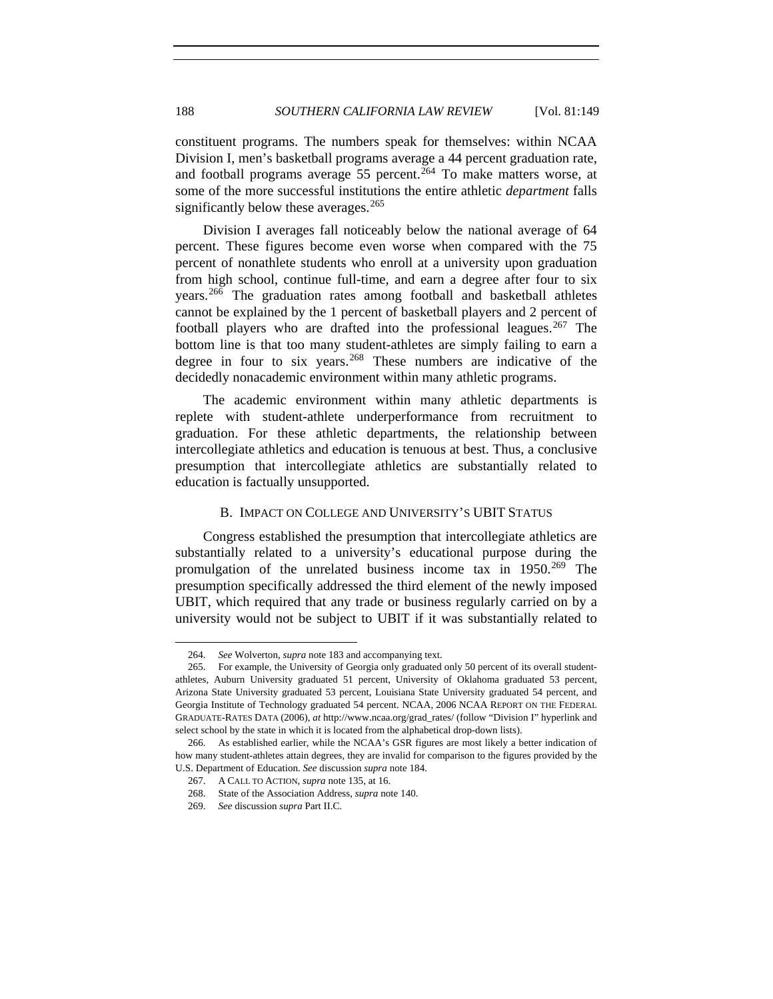constituent programs. The numbers speak for themselves: within NCAA Division I, men's basketball programs average a 44 percent graduation rate, and football programs average  $55$  percent.<sup>[264](#page-39-0)</sup> To make matters worse, at some of the more successful institutions the entire athletic *department* falls significantly below these averages.<sup>[265](#page-39-1)</sup>

Division I averages fall noticeably below the national average of 64 percent. These figures become even worse when compared with the 75 percent of nonathlete students who enroll at a university upon graduation from high school, continue full-time, and earn a degree after four to six years.[266](#page-39-2) The graduation rates among football and basketball athletes cannot be explained by the 1 percent of basketball players and 2 percent of football players who are drafted into the professional leagues.<sup>[267](#page-39-3)</sup> The bottom line is that too many student-athletes are simply failing to earn a degree in four to six years.<sup>[268](#page-39-4)</sup> These numbers are indicative of the decidedly nonacademic environment within many athletic programs.

The academic environment within many athletic departments is replete with student-athlete underperformance from recruitment to graduation. For these athletic departments, the relationship between intercollegiate athletics and education is tenuous at best. Thus, a conclusive presumption that intercollegiate athletics are substantially related to education is factually unsupported.

# B. IMPACT ON COLLEGE AND UNIVERSITY'S UBIT STATUS

Congress established the presumption that intercollegiate athletics are substantially related to a university's educational purpose during the promulgation of the unrelated business income tax in  $1950.^{269}$  $1950.^{269}$  $1950.^{269}$  The presumption specifically addressed the third element of the newly imposed UBIT, which required that any trade or business regularly carried on by a university would not be subject to UBIT if it was substantially related to

<sup>264.</sup> *See* Wolverton, *supra* note 183 and accompanying text.

<span id="page-39-1"></span><span id="page-39-0"></span><sup>265.</sup> For example, the University of Georgia only graduated only 50 percent of its overall studentathletes, Auburn University graduated 51 percent, University of Oklahoma graduated 53 percent, Arizona State University graduated 53 percent, Louisiana State University graduated 54 percent, and Georgia Institute of Technology graduated 54 percent. NCAA, 2006 NCAA REPORT ON THE FEDERAL GRADUATE-RATES DATA (2006), *at* http://www.ncaa.org/grad\_rates/ (follow "Division I" hyperlink and select school by the state in which it is located from the alphabetical drop-down lists).

<span id="page-39-5"></span><span id="page-39-4"></span><span id="page-39-3"></span><span id="page-39-2"></span><sup>266.</sup> As established earlier, while the NCAA's GSR figures are most likely a better indication of how many student-athletes attain degrees, they are invalid for comparison to the figures provided by the U.S. Department of Education. *See* discussion *supra* note 184.

<sup>267.</sup> A CALL TO ACTION, *supra* note 135, at 16.

<sup>268.</sup> State of the Association Address, *supra* note 140.

<sup>269.</sup> *See* discussion *supra* Part II.C.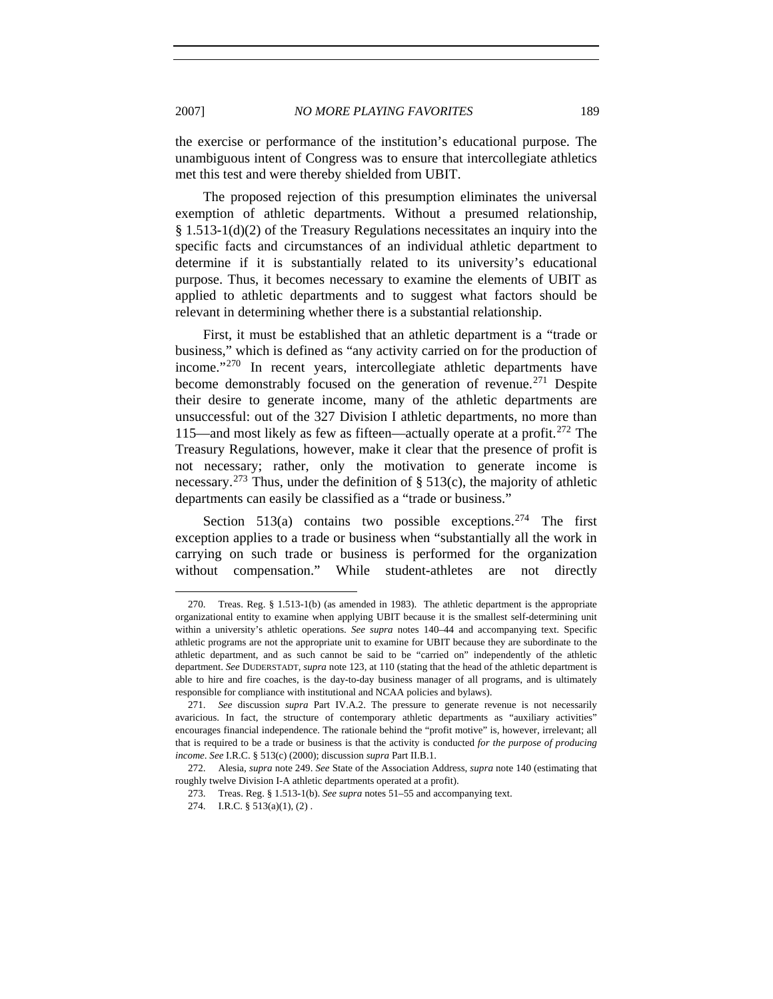the exercise or performance of the institution's educational purpose. The unambiguous intent of Congress was to ensure that intercollegiate athletics met this test and were thereby shielded from UBIT.

The proposed rejection of this presumption eliminates the universal exemption of athletic departments. Without a presumed relationship, § 1.513-1(d)(2) of the Treasury Regulations necessitates an inquiry into the specific facts and circumstances of an individual athletic department to determine if it is substantially related to its university's educational purpose. Thus, it becomes necessary to examine the elements of UBIT as applied to athletic departments and to suggest what factors should be relevant in determining whether there is a substantial relationship.

First, it must be established that an athletic department is a "trade or business," which is defined as "any activity carried on for the production of income."[270](#page-40-0) In recent years, intercollegiate athletic departments have become demonstrably focused on the generation of revenue.<sup>[271](#page-40-1)</sup> Despite their desire to generate income, many of the athletic departments are unsuccessful: out of the 327 Division I athletic departments, no more than 115—and most likely as few as fifteen—actually operate at a profit.<sup>[272](#page-40-2)</sup> The Treasury Regulations, however, make it clear that the presence of profit is not necessary; rather, only the motivation to generate income is necessary.<sup>[273](#page-40-3)</sup> Thus, under the definition of  $\S$  513(c), the majority of athletic departments can easily be classified as a "trade or business."

Section 513(a) contains two possible exceptions.<sup>[274](#page-40-4)</sup> The first exception applies to a trade or business when "substantially all the work in carrying on such trade or business is performed for the organization without compensation." While student-athletes are not directly

<span id="page-40-0"></span><sup>270.</sup> Treas. Reg. § 1.513-1(b) (as amended in 1983). The athletic department is the appropriate organizational entity to examine when applying UBIT because it is the smallest self-determining unit within a university's athletic operations. *See supra* notes 140–44 and accompanying text. Specific athletic programs are not the appropriate unit to examine for UBIT because they are subordinate to the athletic department, and as such cannot be said to be "carried on" independently of the athletic department. *See* DUDERSTADT, *supra* note 123, at 110 (stating that the head of the athletic department is able to hire and fire coaches, is the day-to-day business manager of all programs, and is ultimately responsible for compliance with institutional and NCAA policies and bylaws).

<span id="page-40-1"></span><sup>271.</sup> *See* discussion *supra* Part IV.A.2. The pressure to generate revenue is not necessarily avaricious. In fact, the structure of contemporary athletic departments as "auxiliary activities" encourages financial independence. The rationale behind the "profit motive" is, however, irrelevant; all that is required to be a trade or business is that the activity is conducted *for the purpose of producing income*. *See* I.R.C. § 513(c) (2000); discussion *supra* Part II.B.1.

<span id="page-40-4"></span><span id="page-40-3"></span><span id="page-40-2"></span><sup>272.</sup> Alesia, *supra* note 249. *See* State of the Association Address, *supra* note 140 (estimating that roughly twelve Division I-A athletic departments operated at a profit).

<sup>273.</sup> Treas. Reg. § 1.513-1(b). *See supra* notes 51–55 and accompanying text.

<sup>274.</sup> I.R.C. § 513(a)(1), (2) .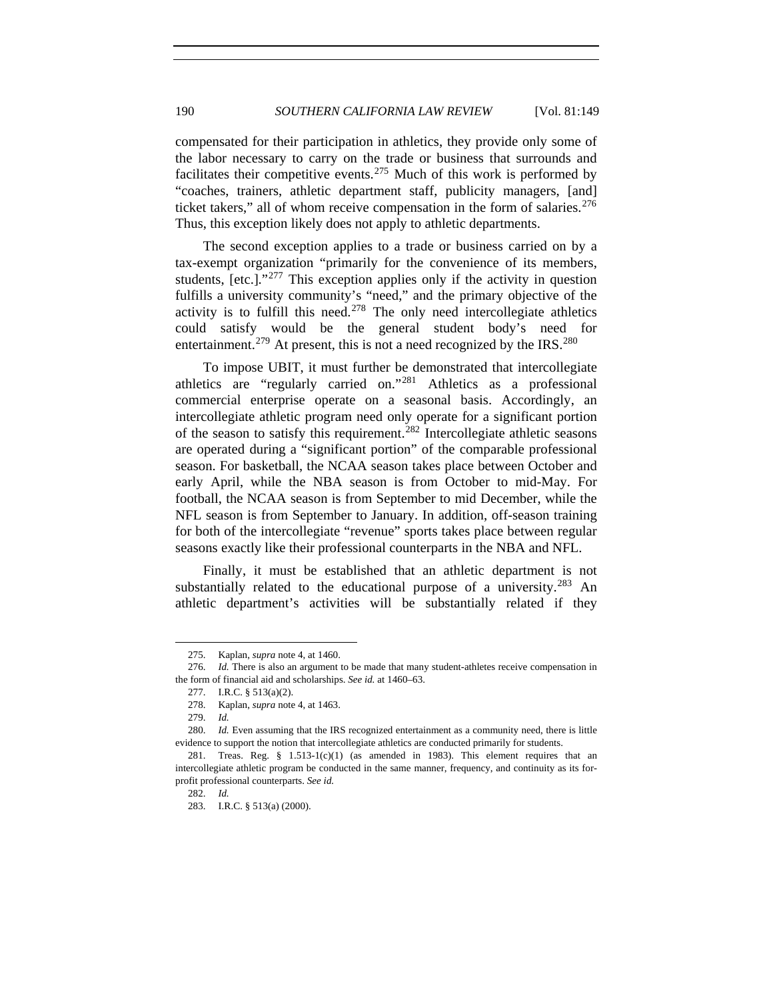compensated for their participation in athletics, they provide only some of the labor necessary to carry on the trade or business that surrounds and facilitates their competitive events.<sup>[275](#page-41-0)</sup> Much of this work is performed by "coaches, trainers, athletic department staff, publicity managers, [and] ticket takers," all of whom receive compensation in the form of salaries. $276$ Thus, this exception likely does not apply to athletic departments.

The second exception applies to a trade or business carried on by a tax-exempt organization "primarily for the convenience of its members, students,  $[etc.].$ <sup>"[277](#page-41-2)</sup> This exception applies only if the activity in question fulfills a university community's "need," and the primary objective of the activity is to fulfill this need.<sup>[278](#page-41-3)</sup> The only need intercollegiate athletics could satisfy would be the general student body's need for entertainment.<sup>[279](#page-41-4)</sup> At present, this is not a need recognized by the IRS.<sup>[280](#page-41-5)</sup>

To impose UBIT, it must further be demonstrated that intercollegiate athletics are "regularly carried on."[281](#page-41-6) Athletics as a professional commercial enterprise operate on a seasonal basis. Accordingly, an intercollegiate athletic program need only operate for a significant portion of the season to satisfy this requirement.[282](#page-41-7) Intercollegiate athletic seasons are operated during a "significant portion" of the comparable professional season. For basketball, the NCAA season takes place between October and early April, while the NBA season is from October to mid-May. For football, the NCAA season is from September to mid December, while the NFL season is from September to January. In addition, off-season training for both of the intercollegiate "revenue" sports takes place between regular seasons exactly like their professional counterparts in the NBA and NFL.

Finally, it must be established that an athletic department is not substantially related to the educational purpose of a university.<sup>[283](#page-41-8)</sup> An athletic department's activities will be substantially related if they

<sup>275.</sup> Kaplan, *supra* note 4, at 1460.

<span id="page-41-2"></span><span id="page-41-1"></span><span id="page-41-0"></span><sup>276.</sup> *Id.* There is also an argument to be made that many student-athletes receive compensation in the form of financial aid and scholarships. *See id.* at 1460–63.

<sup>277.</sup> I.R.C. § 513(a)(2).

<sup>278.</sup> Kaplan, *supra* note 4, at 1463.

<sup>279.</sup> *Id.*

<span id="page-41-5"></span><span id="page-41-4"></span><span id="page-41-3"></span><sup>280.</sup> *Id.* Even assuming that the IRS recognized entertainment as a community need, there is little evidence to support the notion that intercollegiate athletics are conducted primarily for students.

<span id="page-41-8"></span><span id="page-41-7"></span><span id="page-41-6"></span><sup>281.</sup> Treas. Reg.  $\S$  1.513-1(c)(1) (as amended in 1983). This element requires that an intercollegiate athletic program be conducted in the same manner, frequency, and continuity as its forprofit professional counterparts. *See id.*

<sup>282.</sup> *Id.*

<sup>283.</sup> I.R.C. § 513(a) (2000).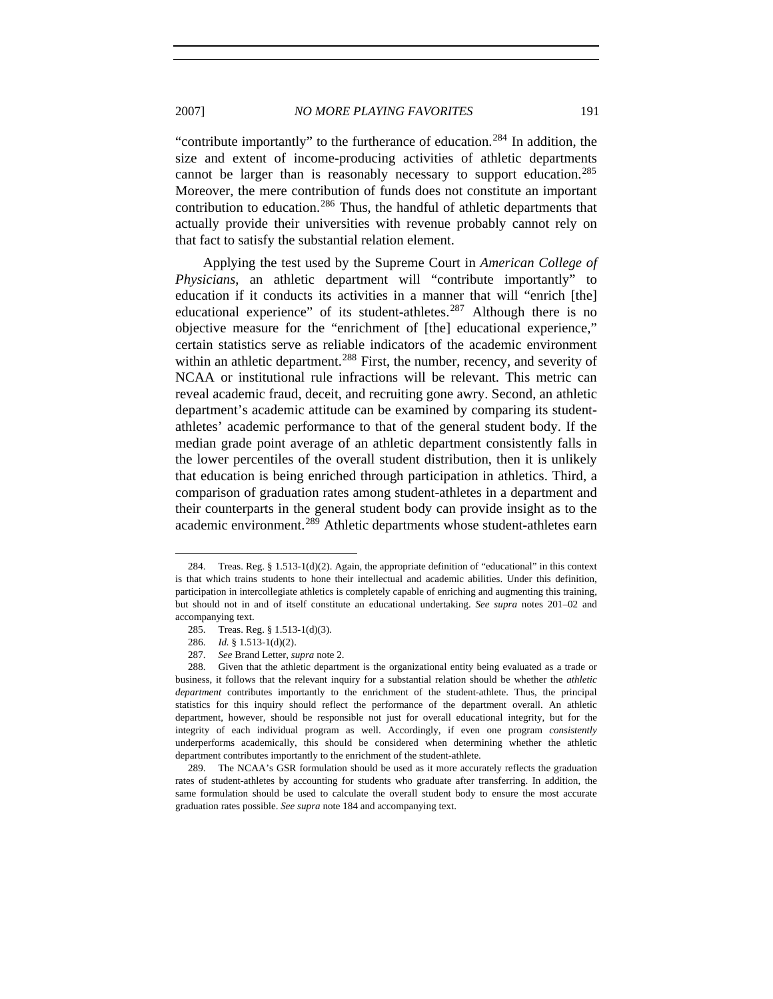2007] *NO MORE PLAYING FAVORITES* 191

"contribute importantly" to the furtherance of education.<sup>[284](#page-42-0)</sup> In addition, the size and extent of income-producing activities of athletic departments cannot be larger than is reasonably necessary to support education.<sup>[285](#page-42-1)</sup> Moreover, the mere contribution of funds does not constitute an important contribution to education.<sup>[286](#page-42-2)</sup> Thus, the handful of athletic departments that actually provide their universities with revenue probably cannot rely on that fact to satisfy the substantial relation element.

Applying the test used by the Supreme Court in *American College of Physicians*, an athletic department will "contribute importantly" to education if it conducts its activities in a manner that will "enrich [the] educational experience" of its student-athletes. $287$  Although there is no objective measure for the "enrichment of [the] educational experience," certain statistics serve as reliable indicators of the academic environment within an athletic department.<sup>[288](#page-42-4)</sup> First, the number, recency, and severity of NCAA or institutional rule infractions will be relevant. This metric can reveal academic fraud, deceit, and recruiting gone awry. Second, an athletic department's academic attitude can be examined by comparing its studentathletes' academic performance to that of the general student body. If the median grade point average of an athletic department consistently falls in the lower percentiles of the overall student distribution, then it is unlikely that education is being enriched through participation in athletics. Third, a comparison of graduation rates among student-athletes in a department and their counterparts in the general student body can provide insight as to the academic environment.<sup>[289](#page-42-5)</sup> Athletic departments whose student-athletes earn

<span id="page-42-0"></span><sup>284.</sup> Treas. Reg. § 1.513-1(d)(2). Again, the appropriate definition of "educational" in this context is that which trains students to hone their intellectual and academic abilities. Under this definition, participation in intercollegiate athletics is completely capable of enriching and augmenting this training, but should not in and of itself constitute an educational undertaking. *See supra* notes 201–02 and accompanying text.

<sup>285.</sup> Treas. Reg. § 1.513-1(d)(3).

<sup>286.</sup> *Id.* § 1.513-1(d)(2).

<sup>287.</sup> *See* Brand Letter, *supra* note 2.

<span id="page-42-4"></span><span id="page-42-3"></span><span id="page-42-2"></span><span id="page-42-1"></span><sup>288.</sup> Given that the athletic department is the organizational entity being evaluated as a trade or business, it follows that the relevant inquiry for a substantial relation should be whether the *athletic department* contributes importantly to the enrichment of the student-athlete. Thus, the principal statistics for this inquiry should reflect the performance of the department overall. An athletic department, however, should be responsible not just for overall educational integrity, but for the integrity of each individual program as well. Accordingly, if even one program *consistently* underperforms academically, this should be considered when determining whether the athletic department contributes importantly to the enrichment of the student-athlete.

<span id="page-42-5"></span><sup>289.</sup> The NCAA's GSR formulation should be used as it more accurately reflects the graduation rates of student-athletes by accounting for students who graduate after transferring. In addition, the same formulation should be used to calculate the overall student body to ensure the most accurate graduation rates possible. *See supra* note 184 and accompanying text.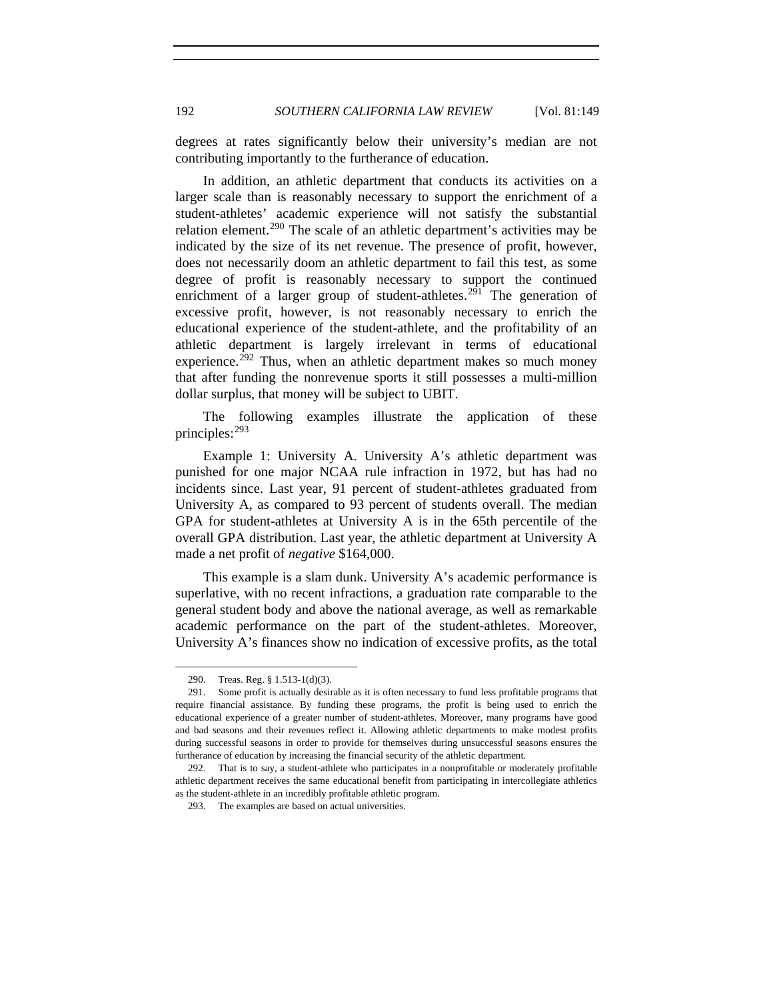degrees at rates significantly below their university's median are not contributing importantly to the furtherance of education.

In addition, an athletic department that conducts its activities on a larger scale than is reasonably necessary to support the enrichment of a student-athletes' academic experience will not satisfy the substantial relation element.<sup>[290](#page-43-0)</sup> The scale of an athletic department's activities may be indicated by the size of its net revenue. The presence of profit, however, does not necessarily doom an athletic department to fail this test, as some degree of profit is reasonably necessary to support the continued enrichment of a larger group of student-athletes.<sup>[291](#page-43-1)</sup> The generation of excessive profit, however, is not reasonably necessary to enrich the educational experience of the student-athlete, and the profitability of an athletic department is largely irrelevant in terms of educational experience.<sup>[292](#page-43-2)</sup> Thus, when an athletic department makes so much money that after funding the nonrevenue sports it still possesses a multi-million dollar surplus, that money will be subject to UBIT.

The following examples illustrate the application of these principles:[293](#page-43-3)

Example 1: University A. University A's athletic department was punished for one major NCAA rule infraction in 1972, but has had no incidents since. Last year, 91 percent of student-athletes graduated from University A, as compared to 93 percent of students overall. The median GPA for student-athletes at University A is in the 65th percentile of the overall GPA distribution. Last year, the athletic department at University A made a net profit of *negative* \$164,000.

This example is a slam dunk. University A's academic performance is superlative, with no recent infractions, a graduation rate comparable to the general student body and above the national average, as well as remarkable academic performance on the part of the student-athletes. Moreover, University A's finances show no indication of excessive profits, as the total

<sup>290.</sup> Treas. Reg. § 1.513-1(d)(3).

<span id="page-43-1"></span><span id="page-43-0"></span><sup>291.</sup> Some profit is actually desirable as it is often necessary to fund less profitable programs that require financial assistance. By funding these programs, the profit is being used to enrich the educational experience of a greater number of student-athletes. Moreover, many programs have good and bad seasons and their revenues reflect it. Allowing athletic departments to make modest profits during successful seasons in order to provide for themselves during unsuccessful seasons ensures the furtherance of education by increasing the financial security of the athletic department.

<span id="page-43-3"></span><span id="page-43-2"></span><sup>292.</sup> That is to say, a student-athlete who participates in a nonprofitable or moderately profitable athletic department receives the same educational benefit from participating in intercollegiate athletics as the student-athlete in an incredibly profitable athletic program.

<sup>293.</sup> The examples are based on actual universities.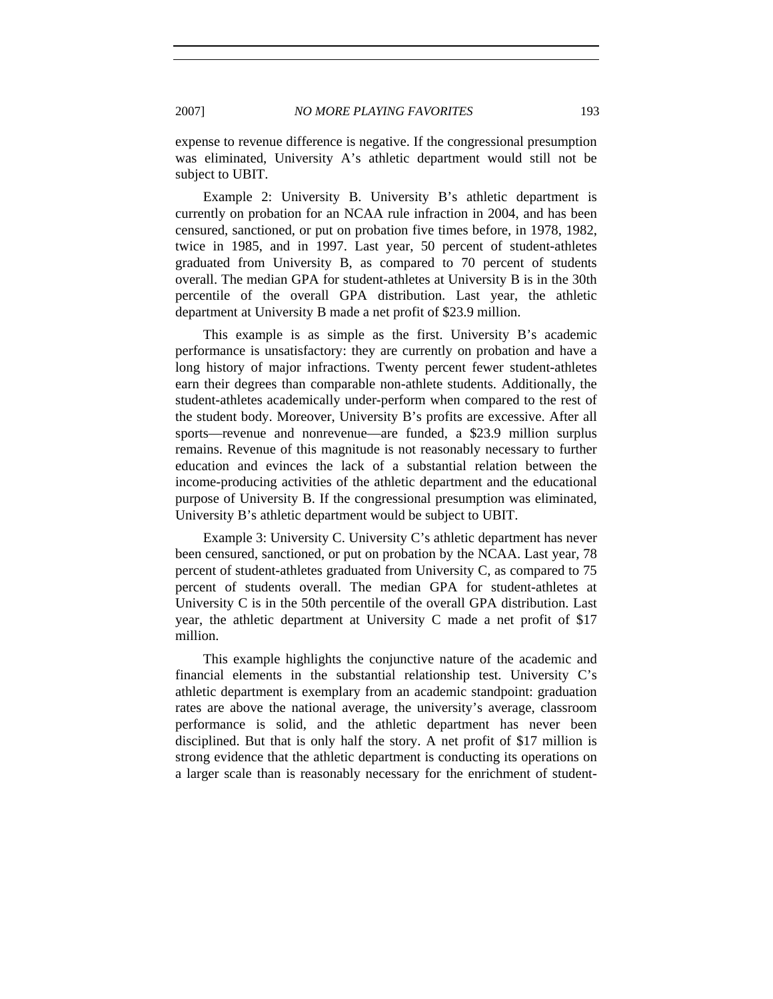expense to revenue difference is negative. If the congressional presumption was eliminated, University A's athletic department would still not be subject to UBIT.

Example 2: University B. University B's athletic department is currently on probation for an NCAA rule infraction in 2004, and has been censured, sanctioned, or put on probation five times before, in 1978, 1982, twice in 1985, and in 1997. Last year, 50 percent of student-athletes graduated from University B, as compared to 70 percent of students overall. The median GPA for student-athletes at University B is in the 30th percentile of the overall GPA distribution. Last year, the athletic department at University B made a net profit of \$23.9 million.

This example is as simple as the first. University B's academic performance is unsatisfactory: they are currently on probation and have a long history of major infractions. Twenty percent fewer student-athletes earn their degrees than comparable non-athlete students. Additionally, the student-athletes academically under-perform when compared to the rest of the student body. Moreover, University B's profits are excessive. After all sports—revenue and nonrevenue—are funded, a \$23.9 million surplus remains. Revenue of this magnitude is not reasonably necessary to further education and evinces the lack of a substantial relation between the income-producing activities of the athletic department and the educational purpose of University B. If the congressional presumption was eliminated, University B's athletic department would be subject to UBIT.

Example 3: University C. University C's athletic department has never been censured, sanctioned, or put on probation by the NCAA. Last year, 78 percent of student-athletes graduated from University C, as compared to 75 percent of students overall. The median GPA for student-athletes at University C is in the 50th percentile of the overall GPA distribution. Last year, the athletic department at University C made a net profit of \$17 million.

This example highlights the conjunctive nature of the academic and financial elements in the substantial relationship test. University C's athletic department is exemplary from an academic standpoint: graduation rates are above the national average, the university's average, classroom performance is solid, and the athletic department has never been disciplined. But that is only half the story. A net profit of \$17 million is strong evidence that the athletic department is conducting its operations on a larger scale than is reasonably necessary for the enrichment of student-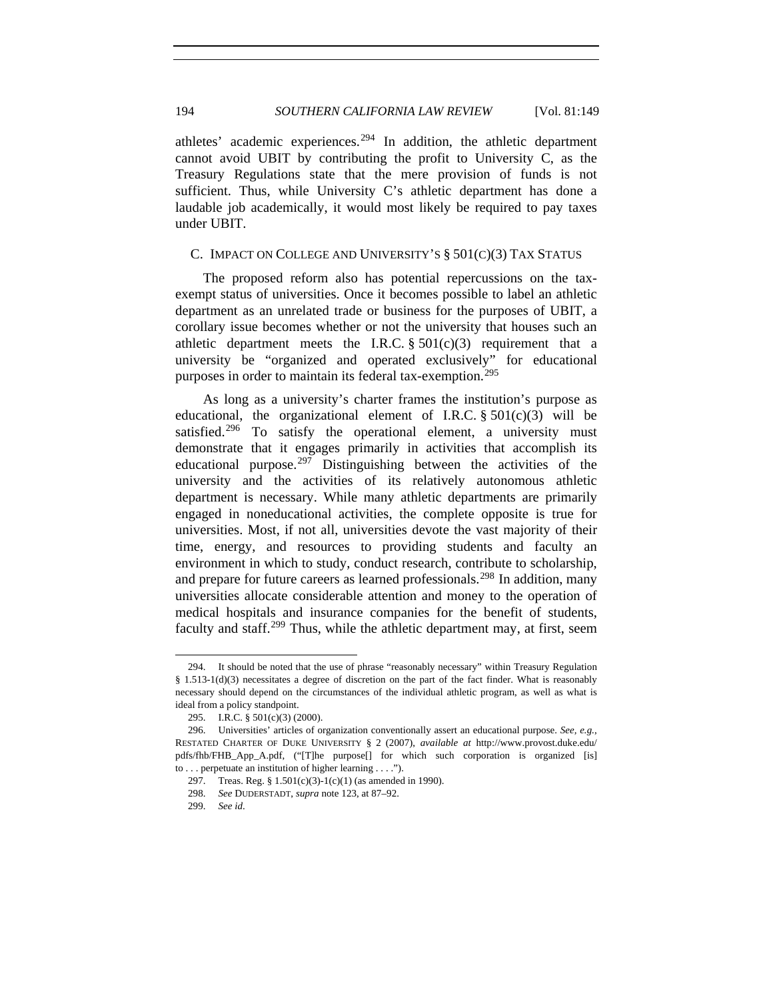athletes' academic experiences.<sup>[294](#page-45-0)</sup> In addition, the athletic department cannot avoid UBIT by contributing the profit to University C, as the Treasury Regulations state that the mere provision of funds is not sufficient. Thus, while University C's athletic department has done a laudable job academically, it would most likely be required to pay taxes under UBIT.

## C. IMPACT ON COLLEGE AND UNIVERSITY'S § 501(C)(3) TAX STATUS

The proposed reform also has potential repercussions on the taxexempt status of universities. Once it becomes possible to label an athletic department as an unrelated trade or business for the purposes of UBIT, a corollary issue becomes whether or not the university that houses such an athletic department meets the I.R.C.  $\S 501(c)(3)$  requirement that a university be "organized and operated exclusively" for educational purposes in order to maintain its federal tax-exemption.<sup>[295](#page-45-1)</sup>

As long as a university's charter frames the institution's purpose as educational, the organizational element of I.R.C.  $\S 501(c)(3)$  will be satisfied.<sup>[296](#page-45-2)</sup> To satisfy the operational element, a university must demonstrate that it engages primarily in activities that accomplish its educational purpose.<sup>[297](#page-45-3)</sup> Distinguishing between the activities of the university and the activities of its relatively autonomous athletic department is necessary. While many athletic departments are primarily engaged in noneducational activities, the complete opposite is true for universities. Most, if not all, universities devote the vast majority of their time, energy, and resources to providing students and faculty an environment in which to study, conduct research, contribute to scholarship, and prepare for future careers as learned professionals.<sup>[298](#page-45-4)</sup> In addition, many universities allocate considerable attention and money to the operation of medical hospitals and insurance companies for the benefit of students, faculty and staff.<sup>[299](#page-45-5)</sup> Thus, while the athletic department may, at first, seem

<span id="page-45-0"></span><sup>294.</sup> It should be noted that the use of phrase "reasonably necessary" within Treasury Regulation § 1.513-1(d)(3) necessitates a degree of discretion on the part of the fact finder. What is reasonably necessary should depend on the circumstances of the individual athletic program, as well as what is ideal from a policy standpoint.

<sup>295.</sup> I.R.C. § 501(c)(3) (2000).

<span id="page-45-4"></span><span id="page-45-3"></span><span id="page-45-2"></span><span id="page-45-1"></span><sup>296.</sup> Universities' articles of organization conventionally assert an educational purpose. *See, e.g.*, RESTATED CHARTER OF DUKE UNIVERSITY § 2 (2007), *available at* http://www.provost.duke.edu/ pdfs/fhb/FHB\_App\_A.pdf, ("[T]he purpose[] for which such corporation is organized [is] to . . . perpetuate an institution of higher learning . . . .").

<sup>297.</sup> Treas. Reg. § 1.501(c)(3)-1(c)(1) (as amended in 1990).

<sup>298.</sup> *See* DUDERSTADT, *supra* note 123, at 87–92.

<span id="page-45-5"></span><sup>299.</sup> *See id*.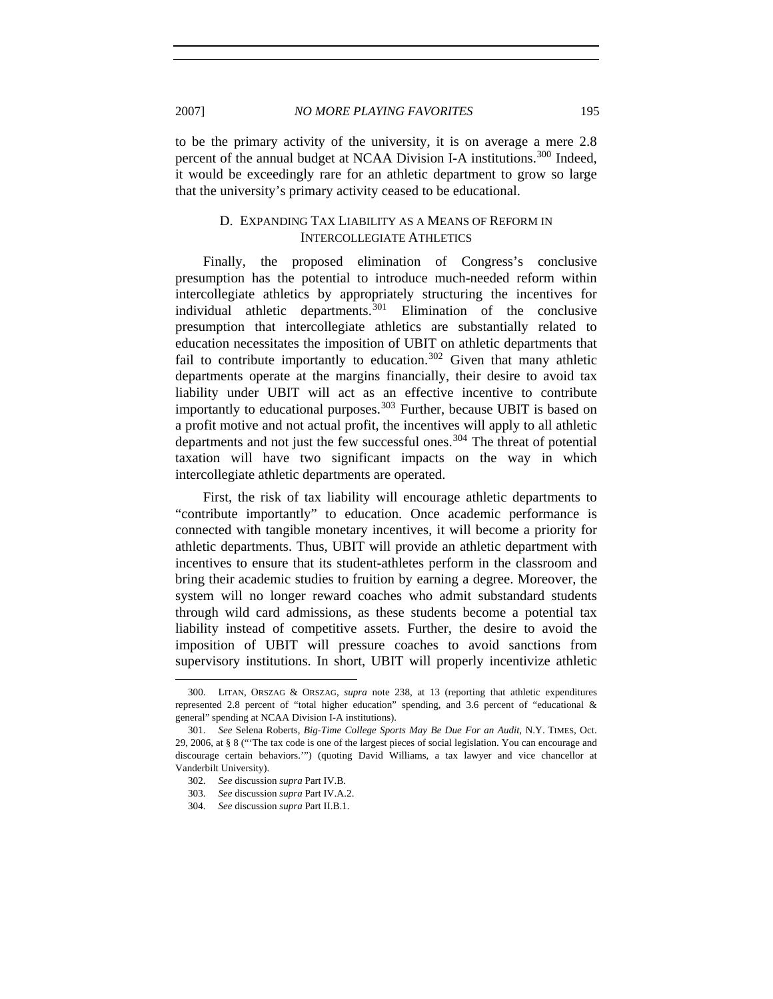to be the primary activity of the university, it is on average a mere 2.8 percent of the annual budget at NCAA Division I-A institutions.<sup>[300](#page-46-0)</sup> Indeed, it would be exceedingly rare for an athletic department to grow so large that the university's primary activity ceased to be educational.

# D. EXPANDING TAX LIABILITY AS A MEANS OF REFORM IN INTERCOLLEGIATE ATHLETICS

Finally, the proposed elimination of Congress's conclusive presumption has the potential to introduce much-needed reform within intercollegiate athletics by appropriately structuring the incentives for individual athletic departments.[301](#page-46-1) Elimination of the conclusive presumption that intercollegiate athletics are substantially related to education necessitates the imposition of UBIT on athletic departments that fail to contribute importantly to education.<sup>[302](#page-46-2)</sup> Given that many athletic departments operate at the margins financially, their desire to avoid tax liability under UBIT will act as an effective incentive to contribute importantly to educational purposes.<sup>[303](#page-46-3)</sup> Further, because UBIT is based on a profit motive and not actual profit, the incentives will apply to all athletic departments and not just the few successful ones.<sup>[304](#page-46-4)</sup> The threat of potential taxation will have two significant impacts on the way in which intercollegiate athletic departments are operated.

First, the risk of tax liability will encourage athletic departments to "contribute importantly" to education. Once academic performance is connected with tangible monetary incentives, it will become a priority for athletic departments. Thus, UBIT will provide an athletic department with incentives to ensure that its student-athletes perform in the classroom and bring their academic studies to fruition by earning a degree. Moreover, the system will no longer reward coaches who admit substandard students through wild card admissions, as these students become a potential tax liability instead of competitive assets. Further, the desire to avoid the imposition of UBIT will pressure coaches to avoid sanctions from supervisory institutions. In short, UBIT will properly incentivize athletic

<span id="page-46-0"></span><sup>300.</sup> LITAN, ORSZAG & ORSZAG, *supra* note 238, at 13 (reporting that athletic expenditures represented 2.8 percent of "total higher education" spending, and 3.6 percent of "educational & general" spending at NCAA Division I-A institutions).

<span id="page-46-3"></span><span id="page-46-2"></span><span id="page-46-1"></span><sup>301.</sup> *See* Selena Roberts, *Big-Time College Sports May Be Due For an Audit*, N.Y. TIMES, Oct. 29, 2006, at § 8 ("'The tax code is one of the largest pieces of social legislation. You can encourage and discourage certain behaviors.'") (quoting David Williams, a tax lawyer and vice chancellor at Vanderbilt University).

<sup>302.</sup> *See* discussion *supra* Part IV.B.

<sup>303.</sup> *See* discussion *supra* Part IV.A.2.

<span id="page-46-4"></span><sup>304.</sup> *See* discussion *supra* Part II.B.1.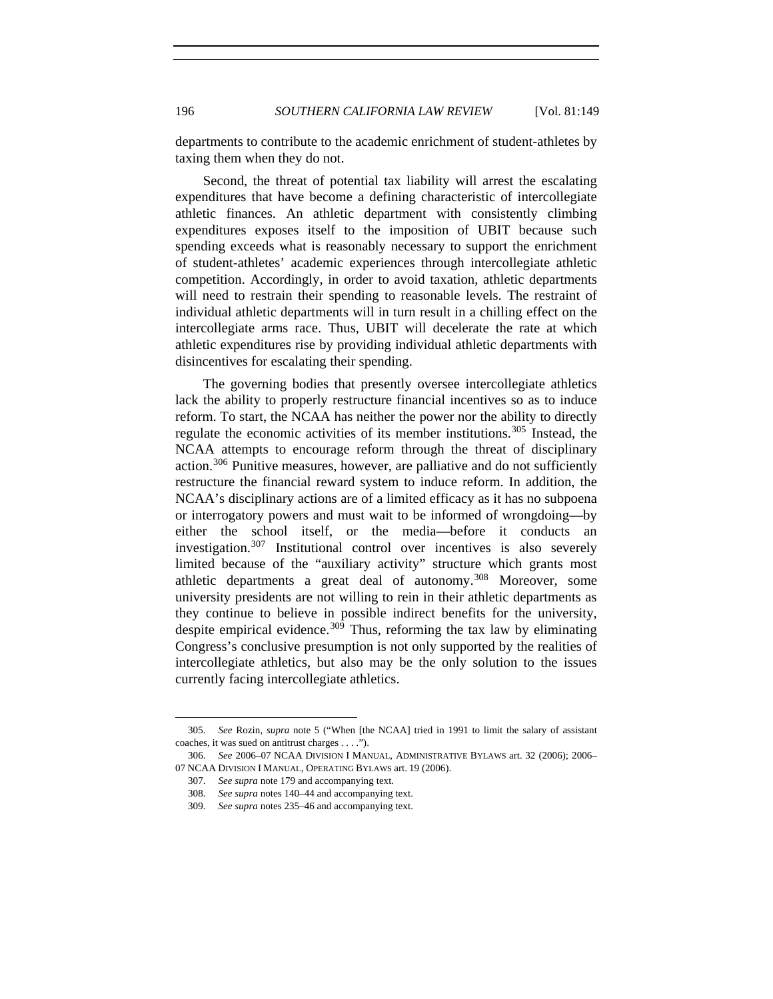departments to contribute to the academic enrichment of student-athletes by taxing them when they do not.

Second, the threat of potential tax liability will arrest the escalating expenditures that have become a defining characteristic of intercollegiate athletic finances. An athletic department with consistently climbing expenditures exposes itself to the imposition of UBIT because such spending exceeds what is reasonably necessary to support the enrichment of student-athletes' academic experiences through intercollegiate athletic competition. Accordingly, in order to avoid taxation, athletic departments will need to restrain their spending to reasonable levels. The restraint of individual athletic departments will in turn result in a chilling effect on the intercollegiate arms race. Thus, UBIT will decelerate the rate at which athletic expenditures rise by providing individual athletic departments with disincentives for escalating their spending.

The governing bodies that presently oversee intercollegiate athletics lack the ability to properly restructure financial incentives so as to induce reform. To start, the NCAA has neither the power nor the ability to directly regulate the economic activities of its member institutions.<sup>[305](#page-47-0)</sup> Instead, the NCAA attempts to encourage reform through the threat of disciplinary action.[306](#page-47-1) Punitive measures, however, are palliative and do not sufficiently restructure the financial reward system to induce reform. In addition, the NCAA's disciplinary actions are of a limited efficacy as it has no subpoena or interrogatory powers and must wait to be informed of wrongdoing—by either the school itself, or the media—before it conducts an investigation.<sup>[307](#page-47-2)</sup> Institutional control over incentives is also severely limited because of the "auxiliary activity" structure which grants most athletic departments a great deal of autonomy.[308](#page-47-3) Moreover, some university presidents are not willing to rein in their athletic departments as they continue to believe in possible indirect benefits for the university, despite empirical evidence.<sup>[309](#page-47-4)</sup> Thus, reforming the tax law by eliminating Congress's conclusive presumption is not only supported by the realities of intercollegiate athletics, but also may be the only solution to the issues currently facing intercollegiate athletics.

<span id="page-47-0"></span><sup>305.</sup> *See* Rozin, *supra* note 5 ("When [the NCAA] tried in 1991 to limit the salary of assistant coaches, it was sued on antitrust charges . . . .").

<span id="page-47-4"></span><span id="page-47-3"></span><span id="page-47-2"></span><span id="page-47-1"></span><sup>306.</sup> *See* 2006–07 NCAA DIVISION I MANUAL, ADMINISTRATIVE BYLAWS art. 32 (2006); 2006– 07 NCAA DIVISION I MANUAL, OPERATING BYLAWS art. 19 (2006).

<sup>307.</sup> *See supra* note 179 and accompanying text.

<sup>308.</sup> *See supra* notes 140–44 and accompanying text.

<sup>309.</sup> *See supra* notes 235–46 and accompanying text.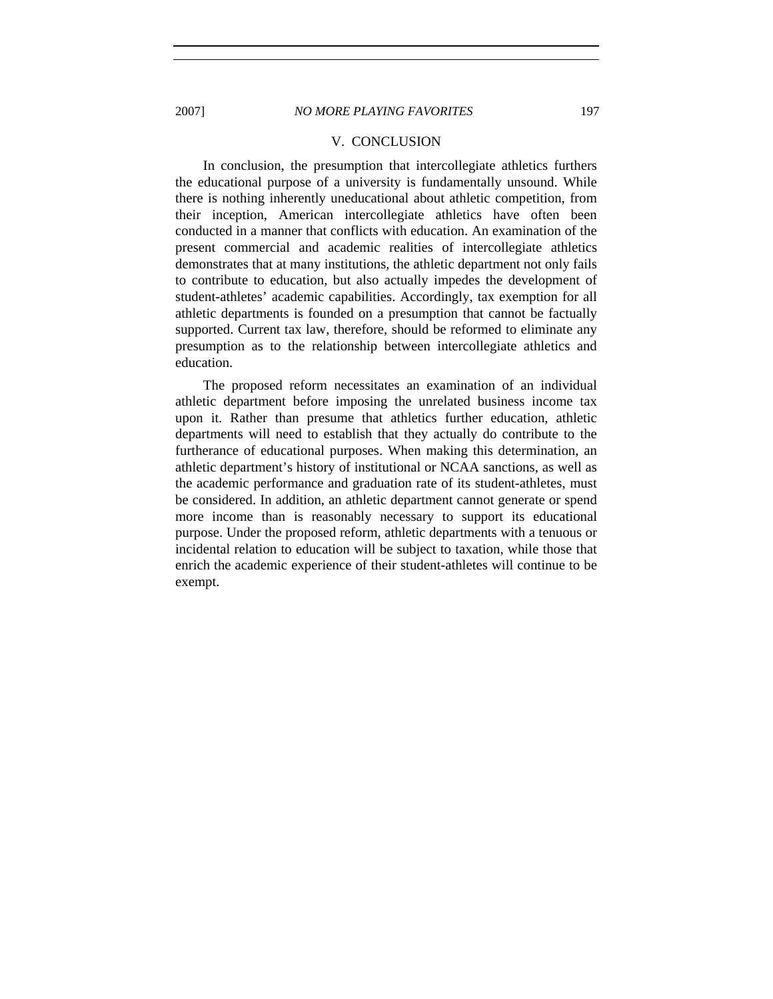#### V. CONCLUSION

In conclusion, the presumption that intercollegiate athletics furthers the educational purpose of a university is fundamentally unsound. While there is nothing inherently uneducational about athletic competition, from their inception, American intercollegiate athletics have often been conducted in a manner that conflicts with education. An examination of the present commercial and academic realities of intercollegiate athletics demonstrates that at many institutions, the athletic department not only fails to contribute to education, but also actually impedes the development of student-athletes' academic capabilities. Accordingly, tax exemption for all athletic departments is founded on a presumption that cannot be factually supported. Current tax law, therefore, should be reformed to eliminate any presumption as to the relationship between intercollegiate athletics and education.

The proposed reform necessitates an examination of an individual athletic department before imposing the unrelated business income tax upon it. Rather than presume that athletics further education, athletic departments will need to establish that they actually do contribute to the furtherance of educational purposes. When making this determination, an athletic department's history of institutional or NCAA sanctions, as well as the academic performance and graduation rate of its student-athletes, must be considered. In addition, an athletic department cannot generate or spend more income than is reasonably necessary to support its educational purpose. Under the proposed reform, athletic departments with a tenuous or incidental relation to education will be subject to taxation, while those that enrich the academic experience of their student-athletes will continue to be exempt.